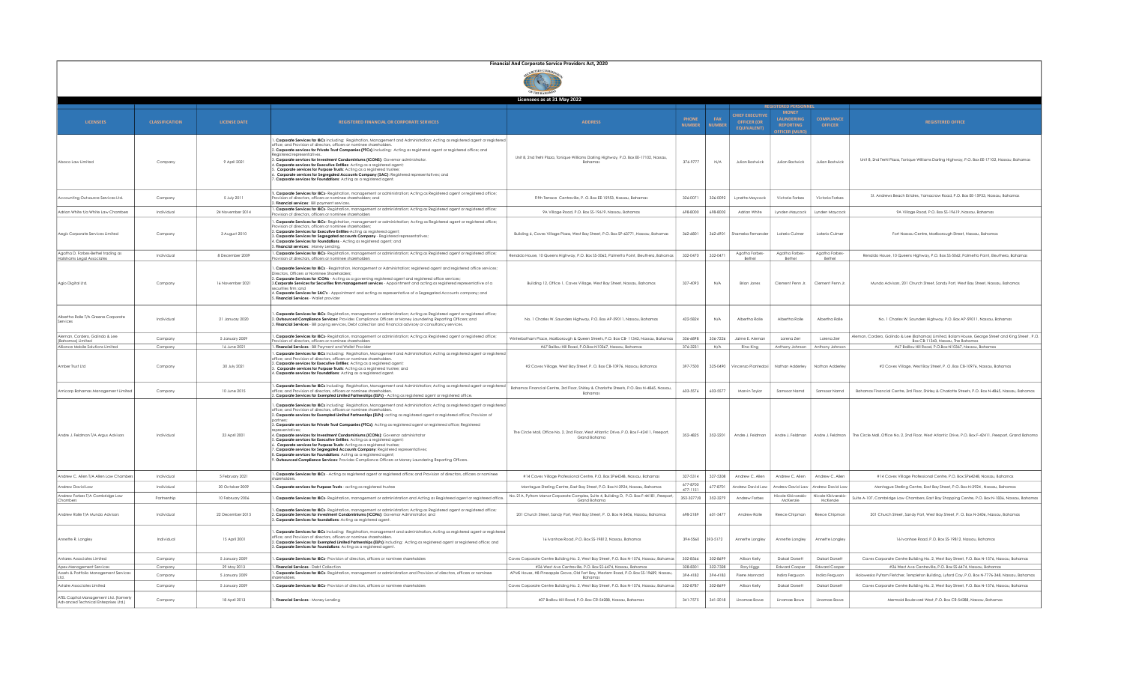| Financial And Corporate Service Providers Act, 2020 |  |
|-----------------------------------------------------|--|
|                                                     |  |

| Licensees as at 31 May 2022                                                    |                       |                                  |                                                                                                                                                                                                                                                                                                                                                                                                                                                                                                                                                                                                                                                                                                                                                                                                                                                                                                                                                                                                           |                                                                                                                                                      |                               |                             |                                                             |                                                               |                                     |                                                                                                                                                                                             |
|--------------------------------------------------------------------------------|-----------------------|----------------------------------|-----------------------------------------------------------------------------------------------------------------------------------------------------------------------------------------------------------------------------------------------------------------------------------------------------------------------------------------------------------------------------------------------------------------------------------------------------------------------------------------------------------------------------------------------------------------------------------------------------------------------------------------------------------------------------------------------------------------------------------------------------------------------------------------------------------------------------------------------------------------------------------------------------------------------------------------------------------------------------------------------------------|------------------------------------------------------------------------------------------------------------------------------------------------------|-------------------------------|-----------------------------|-------------------------------------------------------------|---------------------------------------------------------------|-------------------------------------|---------------------------------------------------------------------------------------------------------------------------------------------------------------------------------------------|
|                                                                                |                       |                                  |                                                                                                                                                                                                                                                                                                                                                                                                                                                                                                                                                                                                                                                                                                                                                                                                                                                                                                                                                                                                           |                                                                                                                                                      |                               |                             |                                                             |                                                               |                                     |                                                                                                                                                                                             |
| <b>LICENSEES</b>                                                               | <b>CLASSIFICATION</b> | <b>LICENSE DATE</b>              | <b>REGISTERED FINANCIAL OR CORPORATE SERVICES</b>                                                                                                                                                                                                                                                                                                                                                                                                                                                                                                                                                                                                                                                                                                                                                                                                                                                                                                                                                         | <b>ADDRESS</b>                                                                                                                                       | <b>PHONE</b><br><b>NUMBER</b> | <b>FAX</b><br><b>NUMBER</b> | CHIEF EXECUTIVE<br><b>OFFICER (OR</b><br><b>EQUIVALENT)</b> | <b>LAUNDERING</b><br><b>REPORTING</b><br><b>DEFICER (MLRO</b> | <b>COMPLIANCE</b><br><b>OFFICER</b> | <b>REGISTERED OFFICE</b>                                                                                                                                                                    |
| Abaco Law Limited                                                              | Company               | 9 April 2021                     | . Corporate Services for IBCs including: Registration, Management and Administration; Acting as registered agent or registered<br>office: and Provision of directors, officers or nominee shareholders<br>2. Corporate services for Private Trust Companies (PTCs) including: Acting as registered agent or registered office; and<br>Reaistered representatives.<br>3. Corporate services for Investment Condominiums (ICONS): Governor administrator.<br>4. Corporate services for Executive Entitles: Acting as a registered agent;<br>Corporate services for Purpose Trusts: Acting as a registered trustee<br>Corporate services for Segregated Accounts Company (SAC): Registered representatives; and<br>. Corporate services for Foundations: Acting as a registered agent.                                                                                                                                                                                                                       | Unit 8, 2nd Trehl Plaza, Tonique Williams Darling Highway, P.O. Box EE-17102, Nassau,<br>Bahamas                                                     | 376-9777                      | N/A                         | Julian Bostwick                                             | Julian Bostwick                                               | Julian Bostwick                     | Unit 8, 2nd Trehl Plaza, Tonique Williams Darling Highway, P.O. Box EE-17102, Nassau, Bahamas                                                                                               |
| Accounting Outsource Services Ltd.                                             | Company               | 5 July 2011                      | 1. Corporate Services for IBCs- Registration, management or administration; Acting as Registered agent or registered office;<br>rovision of directors, officers or nominee shareholders; and<br>. Financial services: Bill payment services.                                                                                                                                                                                                                                                                                                                                                                                                                                                                                                                                                                                                                                                                                                                                                              | Fifth Terrace Centreville, P. O. Box EE-15953, Nassau, Bahamas                                                                                       | 326-0071                      | 326-0092                    | Lynette Maycock                                             | Victoria Forbes                                               | Victoria Forbes                     | St. Andrews Beach Estates, Yamacraw Road, P.O. Box EE-15953, Nassau, Bahamas                                                                                                                |
| Adrian White t/a White Law Chambers                                            | Individual            | 24 November 2014                 | . Corporate Services for IBCs- Registration, management or administration; Acting as Registered agent or registered office;<br>sion of directors, officers or nominee shareholders                                                                                                                                                                                                                                                                                                                                                                                                                                                                                                                                                                                                                                                                                                                                                                                                                        | 9A Village Road, P.O. Box SS-19619, Nassau, Bahamas                                                                                                  | 698-8000                      | 698-8002                    | Adrian White                                                | Lynden Maycock                                                | Lynden Maycock                      | 9A Village Road, P.O. Box SS-19619, Nassau, Bahamas                                                                                                                                         |
| Aegis Corporate Services Limited                                               | Company               | 3 August 2010                    | . Corporate Services for IBCs- Registration, management or administration; Acting as Registered agent or registered office;<br>vision of directors, officers or nominee shareholder<br>2. Corporate Services for Executive Entities-Acting as registered agent;<br>3. Corporate Services for Segregated accounts Company - Registered representatives;<br>4. Corporate Services for Foundations - Acting as registered agent; and<br>. Financial services: Money Lending.                                                                                                                                                                                                                                                                                                                                                                                                                                                                                                                                 | Building 6, Caves Village Plaza, West Bay Street, P.O. Box SP-63771, Nassau, Bahamas                                                                 | 362-6801                      | 362-6901                    | Shameka Fernander                                           | Laterio Culmer                                                | Laterio Culmer                      | Fort Nassau Centre, Marlborough Street, Nassau, Bahamas                                                                                                                                     |
| Agatha D. Forbes-Bethel trading as<br>Hailshams Legal Associate                | Individual            | 8 December 2009                  | 1. Corporate Services for IBCs- Registration, management or administration; Acting as Registered agent or registered office;<br>ision of directors, officers or nominee shareholder                                                                                                                                                                                                                                                                                                                                                                                                                                                                                                                                                                                                                                                                                                                                                                                                                       | Renaldo House, 10 Queens Highway, P.O. Box SS-5062, Palmetto Point, Eleuthera, Bahamas                                                               | 332-0470                      | 332-0471                    | Agatha Forbes-<br>Bethel                                    | Agatha Forbes-<br>Bethel                                      | Agatha Forbes<br>Bethel             | Renaldo House, 10 Queens Highway, P.O. Box \$\$-5062, Palmetto Point, Eleuthera, Bahamas                                                                                                    |
| Agio Digital Ltd.                                                              | Company               | 16 November 2021                 | . Corporate Services for IBCs - Registration, Management or Administration; registered agent and registered office services;<br>Directors, Officers or Nominee Shareholders:<br>2. Corporate Services for ICONs - Acting as a governing registered agent and registered office services;<br>3. Corporate Services for Securities firm management services - Appointment and acting as registered representative of a<br>securities firm: and<br>4. Corporate Services for SAC's - Appointment and acting as representative of a Segregated Accounts company; and<br>. Financial Services - Wallet provider                                                                                                                                                                                                                                                                                                                                                                                                | Building 12, Office 1, Caves Village, West Bay Street, Nassau, Bahamas                                                                               | 327-4093                      | N/A                         | <b>Brian Jones</b>                                          | Clement Penn Jr.                                              | Clement Penn Jr                     | Mundo Advisors, 201 Church Street, Sandy Port, West Bay Street, Nassau, Bahamas                                                                                                             |
| Albertha Rolle T/A Greene Corporate<br>Services                                | Individual            | 21 January 2020                  | . Corporate Services for IBCs- Reaistration, management or administration: Acting as Reaistered gaent or reaistered office:<br>2. Outsourced Compliance Services: Provides Compliance Officers or Money Laundering Reporting Officers: and<br>8. Financial Services - Bill pavina services. Debt collection and Financial advisory or consultancy services.                                                                                                                                                                                                                                                                                                                                                                                                                                                                                                                                                                                                                                               | No. 1 Charles W. Saunders Highway, P.O. Box AP-59011, Nassau, Bahamas                                                                                | 422-5824                      | N/A                         | Albertha Rolle                                              | Albertha Rolle                                                | Albertha Rolle                      | No. 1 Charles W. Saunders Highway, P.O. Box AP-59011, Nassau, Bahamas                                                                                                                       |
| Aleman, Cordero, Galindo & Lee<br>(Bahamas) Limited                            | Company               | 5 January 2009                   | 1. Corporate Services for IBCs- Registration, management or administration; Acting as Registered agent or registered office;<br>ovision of directors, officers or nominee shareholders                                                                                                                                                                                                                                                                                                                                                                                                                                                                                                                                                                                                                                                                                                                                                                                                                    | Winterbotham Place, Marlborough & Queen Streets, P.O. Box CB- 11343, Nassau, Bahamas                                                                 | 356-6898                      | 356-7226                    | Igime E. Aleman                                             | Lorena Zerr                                                   | Loreno Zem                          | Aleman, Cordero, Galindo & Lee (Bahamas) Limited, Bolam House, George Street and King Street , P.O.<br>Box CB-11343, Nassau, The Bahamas                                                    |
| Alliance Mobile Solutions Limited                                              | Company               | 16 June 2021                     | 1. Financial Services - Bill Payment and Wallet Provider                                                                                                                                                                                                                                                                                                                                                                                                                                                                                                                                                                                                                                                                                                                                                                                                                                                                                                                                                  | #67 Baillou Hill Road, P.O.Box-N10367, Nassau, Bahamas                                                                                               | 376-3231                      | N/A                         | Rino King                                                   | Anthony Johnson                                               | Anthony Johnson                     | #67 Baillou Hill Road, P.O.Box-N10367, Nassau, Bahamas                                                                                                                                      |
| Amber Trust Ltd                                                                | Company               | 30 July 2021                     | 1. Corporate Services for IBCs including: Registration, Management and Administration: Acting as registered gaent or registered<br>office; and Provision of directors, officers or nominee shareholders.<br>2. Corporate services for Executive Entities: Acting as a registered agent;<br>. Corporate services for Purpose Trusts: Acting as a registered trustee; and<br>I. Corporate services for Foundations: Acting as a registered agent.                                                                                                                                                                                                                                                                                                                                                                                                                                                                                                                                                           | #2 Caves Village, West Bay Street, P. O. Box CB-10976, Nassau, Bahamas                                                                               | 397-7500                      |                             | 325-0490 Vincenzo Piantedosi                                | Nathan Adderley                                               | Nathan Adderley                     | #2 Caves Village, West Bay Street, P. O. Box CB-10976, Nassau, Bahamas                                                                                                                      |
| Amicorp Bahamas Management Limited                                             | Company               | 10 June 2015                     | . Corporate Services for IBCs including: Registration, Management and Administration; Acting as registered agent or registered<br>office; and Provision of directors, officers or nominee shareholder:<br>2. Corporate Services for Exempted Limited Partnerships (ELPs) - Acting as registered agent or registered office.                                                                                                                                                                                                                                                                                                                                                                                                                                                                                                                                                                                                                                                                               | Bahamas Financial Centre, 3rd Floor, Shirley & Charlotte Streets, P.O. Box N-4865, Nassau<br>Bahamas                                                 | 603-5576                      | 603-5577                    | Marvin Taylor                                               | Samsoor Namd                                                  | Samsoor Namd                        | Bahamas Financial Centre, 3rd Floor, Shirley & Charlotte Streets, P.O. Box N-4865, Nassau, Bahamas                                                                                          |
| Andre J. Feldman T/A Araus Advisors                                            | Individual            | 23 April 2001                    | 1. Corporate Services for IBCs including: Registration, Manggement and Administration: Acting as registered gaent or registered<br>office; and Provision of directors, officers or nominee shareholders.<br>2. Corporate services for Exempted Limited Partnerships (ELPs): acting as registered agent or registered office; Provision of<br>3. Corporate services for Private Trust Companies (PTCs): Acting as registered agent or registered office; Registered<br>resentatives<br>4. Corporate services for Investment Condominiums (ICONs): Governor administrator<br>5. Corporate services for Executive Entitles: Acting as a reaistered gaent:<br>. Corporate services for Purpose Trusts: Acting as a registered trustee;<br>. Corporate services for Segregated Accounts Company: Registered representatives;<br>B. Corporate services for Foundations: Acting as a registered agent;<br>. Outsourced Compliance Services: Provides Compliance Officers or Money Laundering Reporting Officers. | The Circle Mall, Office No. 2, 2nd Floor, West Atlantic Drive, P.O. Box F-42411, Freeport,<br>Grand Bahama                                           | 352-4825                      | 352-2201                    | Andre J. Feldman                                            |                                                               |                                     | Andre J. Feldman Andre J. Feldman The Circle Mall. Office No. 2. 2nd Floor. West Atlantic Drive. P.O. Box F-42411. Freeport. Grand Bahama                                                   |
| Andrew C. Allen T/A Allen Law Chambers                                         | Individual            | 5 February 2021                  | . Corporate Services for IBCs - Acting as registered agent or registered office; and Provision of directors, officers or nominee                                                                                                                                                                                                                                                                                                                                                                                                                                                                                                                                                                                                                                                                                                                                                                                                                                                                          | #14 Caves Village Professional Centre, P.O. Box SP64248. Nassau, Bahamas                                                                             | 327-5314                      | 327-5308                    | Andrew C. Allen                                             | Andrew C. Allen                                               | Andrew C. Allen                     | #14 Caves Village Professional Centre, P.O. Box SP64248, Nassau, Bahamas                                                                                                                    |
| Andrew David Law                                                               | Individual            | 20 October 2009                  | 1. Corporate services for Purpose Trusts - acting as registered trustee                                                                                                                                                                                                                                                                                                                                                                                                                                                                                                                                                                                                                                                                                                                                                                                                                                                                                                                                   | Montague Sterling Centre, East Bay Street, P.O. Box N-3924, Nassau, Bahamas                                                                          | 677-8700<br>$477 - 115$       | 677-8701                    | Andrew David Law                                            | Andrew David Law                                              | Andrew David Lav                    | Montague Sterling Centre, East Bay Street, P.O. Box N-3924, Nassau, Bahamas                                                                                                                 |
| Andrew Forbes T/A Cambridge Law<br>Chambers                                    | Partnership           | 10 February 2006                 | . Corporate Services for IBCs- Registration, management or administration and Acting as Registered agent or registered office                                                                                                                                                                                                                                                                                                                                                                                                                                                                                                                                                                                                                                                                                                                                                                                                                                                                             | No. 21A, Pyfrom Manor Corporate Complex, Suite 4, Building D, P.O. Box F-44181, Freeport<br>Grand Bahama                                             | 352-3277/8                    | 352-3279                    | Andrew Forbes                                               | Nicole Kikivarakis-<br>McKenzie                               | Nicole Kikivarakis-<br>McKenzie     | Suite A-107, Cambridge Law Chambers, East Bay Shopping Centre, P.O. Box N-1836, Nassau, Bahamas                                                                                             |
| Andrew Rolle T/A Mundo Advisors                                                | Individual            | 22 December 2015                 | . Corporate Services for IBCs- Registration, management or administration; Acting as Registered agent or registered office;<br>2. Corporate Services for Investment Condominiums (ICONs): Governor Administrator: and<br>3. Corporate Services for foundations: Acting as registered agent.                                                                                                                                                                                                                                                                                                                                                                                                                                                                                                                                                                                                                                                                                                               | 201 Church Street, Sandy Port, West Bay Street, P. O. Box N-3406, Nassau, Bahamas                                                                    | 698-2189                      | 601-5477                    | Andrew Rolle                                                | Reece Chipman                                                 | Reece Chipman                       | 201 Church Street, Sandy Port, West Bay Street, P. O. Box N-3406, Nassau, Bahamas                                                                                                           |
| Annette R. Longley                                                             | Individual            | 15 April 2001                    | 1. Corporate Services for IBCs including: Registration, management and administration, Acting as registered agent or registered<br>office: and Provision of directors, officers or nominee shareholders,<br>2. Corporate Services for Exempted Limited Partnerships (ELPs) including: Acting as registered agent or registered office; and<br>3. Corporate Services for Foundations: Acting as a registered agent.                                                                                                                                                                                                                                                                                                                                                                                                                                                                                                                                                                                        | 16 Ivanhoe Road, P.O. Box SS-19812, Nassau, Bahamas                                                                                                  | 394-5560                      | 393-5172                    | Annette Longley                                             | Annette Longley                                               | Annette Longley                     | 16 Ivanhoe Road, P.O. Box SS-19812, Nassau, Bahamas                                                                                                                                         |
| Antares Associates Limited                                                     | Company               | 5 January 2009                   | . Corporate Services for IBCs- Provision of directors, officers or nominee shareholders                                                                                                                                                                                                                                                                                                                                                                                                                                                                                                                                                                                                                                                                                                                                                                                                                                                                                                                   | Caves Corporate Centre Building No. 2, West Bay Street, P.O. Box N-1576, Nassau, Bahamas                                                             | 302-8566                      | 302-8699                    | Allison Kelly                                               | Dakari Dorsett                                                | Dakari Dorsett                      | Caves Corporate Centre Building No. 2, West Bay Street, P.O. Box N-1576, Nassau, Bahamas                                                                                                    |
| Apex Management Services<br>Assets & Portfolio Management Services             | Company               | 29 May 2013                      | . Financial Services - Debt Collection<br>1. Corporate Services for IBCs- Registration, management or administration and Provision of directors, officers or nominee                                                                                                                                                                                                                                                                                                                                                                                                                                                                                                                                                                                                                                                                                                                                                                                                                                      | #26 West Ave Centreville, P.O. Box SS-6474, Nassau, Bahamas<br>APMS House, #8 Pineapple Grove, Old Fort Bay, Western Road, P.O. Box SS-19689, Nassau | 328-8301                      | 322-7328                    | Rory Higgs                                                  | Edward Cooper                                                 | <b>Edward Cooper</b>                | #26 West Ave Centreville, P.O. Box SS-6474, Nassau, Bahamas                                                                                                                                 |
| Astaire Associates Limited                                                     | Company<br>Company    | 5 January 2009<br>5 January 2009 | Corporate Services for IBCs- Provision of directors, officers or nominee shareholders                                                                                                                                                                                                                                                                                                                                                                                                                                                                                                                                                                                                                                                                                                                                                                                                                                                                                                                     | Bahamas<br>Caves Corporate Centre Building No. 2, West Bay Street, P.O. Box N-1576, Nassau, Bahamas                                                  | 394-4182<br>302-8787          | 394-4183<br>302-869         | Pierre Monnard<br>Allison Kelly                             | Indira Fergusor<br>Dakari Dorsett                             | Indira Ferausor<br>Dakari Dorsett   | Holowesko Pyfrom Fletcher, Templeton Building, Lyford Cay, P.O. Box N-7776-348, Nassau, Bahamas<br>Caves Corporate Centre Building No. 2, West Bay Street, P.O. Box N-1576, Nassau, Bahamas |
| ATEL Capital Management Ltd. (formerly<br>Advanced Technical Enterprises Ltd.) | Company               | 18 April 2013                    | . Financial Services - Money Lending                                                                                                                                                                                                                                                                                                                                                                                                                                                                                                                                                                                                                                                                                                                                                                                                                                                                                                                                                                      | 407 Baillou Hill Road, P.O. Box CR-54288, Nassau, Bahamas                                                                                            | 341-7575                      | 341-2018                    | Linamae Bowe                                                | Linamae Bowe                                                  | Linamae Bowe                        | Mermaid Boulevard West, P.O. Box CR-54288, Nassau, Bahamas                                                                                                                                  |
|                                                                                |                       |                                  |                                                                                                                                                                                                                                                                                                                                                                                                                                                                                                                                                                                                                                                                                                                                                                                                                                                                                                                                                                                                           |                                                                                                                                                      |                               |                             |                                                             |                                                               |                                     |                                                                                                                                                                                             |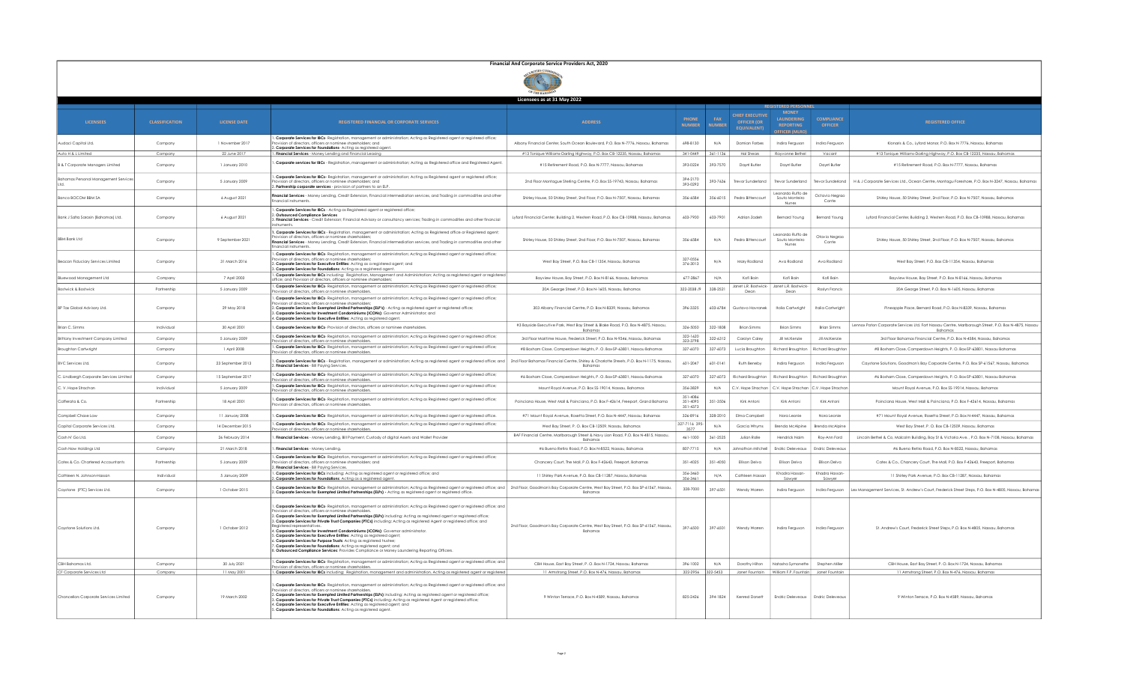|                                             |                       |                     |                                                                                                                                                                                                                                                                                                                                                                                                                                                                                                                                                                                                                                                                                                                                                                                                                                                                                                   | Financial And Corporate Service Providers Act, 2020                                               |                               |                      |                                                                    |                                                    |                                     |                                                                                                                |
|---------------------------------------------|-----------------------|---------------------|---------------------------------------------------------------------------------------------------------------------------------------------------------------------------------------------------------------------------------------------------------------------------------------------------------------------------------------------------------------------------------------------------------------------------------------------------------------------------------------------------------------------------------------------------------------------------------------------------------------------------------------------------------------------------------------------------------------------------------------------------------------------------------------------------------------------------------------------------------------------------------------------------|---------------------------------------------------------------------------------------------------|-------------------------------|----------------------|--------------------------------------------------------------------|----------------------------------------------------|-------------------------------------|----------------------------------------------------------------------------------------------------------------|
|                                             |                       |                     |                                                                                                                                                                                                                                                                                                                                                                                                                                                                                                                                                                                                                                                                                                                                                                                                                                                                                                   |                                                                                                   |                               |                      |                                                                    |                                                    |                                     |                                                                                                                |
|                                             |                       |                     |                                                                                                                                                                                                                                                                                                                                                                                                                                                                                                                                                                                                                                                                                                                                                                                                                                                                                                   | Licensees as at 31 May 2022                                                                       |                               |                      |                                                                    |                                                    |                                     |                                                                                                                |
| <b>LICENSEES</b>                            | <b>CLASSIFICATION</b> | <b>LICENSE DATE</b> | <b>REGISTERED FINANCIAL OR CORPORATE SERVICES</b>                                                                                                                                                                                                                                                                                                                                                                                                                                                                                                                                                                                                                                                                                                                                                                                                                                                 | <b>ADDRESS</b>                                                                                    | <b>PHONE</b><br><b>NUMBER</b> | FAX<br><b>NUMBER</b> | <b>CHIEF EXECUTIVE</b><br><b>OFFICER (OR</b><br><b>EQUIVALENT)</b> | <b>LAUNDERING</b><br><b>REPORTING</b>              | <b>COMPLIANCE</b><br><b>OFFICER</b> | <b>REGISTERED OFFICE</b>                                                                                       |
| Audaci Capital Ltd.                         | Company               | 1 November 2017     | . Corporate Services for IBCs- Registration, management or administration; Acting as Registered agent or registered office;<br>rision of directors, officers or nominee shareholders; and<br>. Corporate Services for Foundations- Acting as registered agent.                                                                                                                                                                                                                                                                                                                                                                                                                                                                                                                                                                                                                                    | Albany Financial Center, South Ocean Boulevard, P.O. Box N-7776, Nassau, Bahamas                  | 698-8130                      | N/A                  | Damian Forbes                                                      | Indira Ferguson                                    | Indira Ferguson                     | Klonaris & Co., Lyford Manor, P.O. Box N 7776, Nassau, Bahamas                                                 |
| Auto H & L Limited                          | Company               | 22 June 2017        | Financial Services - Money Lending and Financial Leasing                                                                                                                                                                                                                                                                                                                                                                                                                                                                                                                                                                                                                                                                                                                                                                                                                                          | #13 Tonique Williams-Darling Highway, P.O. Box CB-12235, Nassau, Bahamas                          | 341-0449                      | 361-1136             | <b>Hal Shears</b>                                                  | Rayvonne Bethe                                     | Vacant                              | #13 Tonique Williams-Darling Highway, P.O. Box CB-12235, Nassau, Bahamas                                       |
| <b>B &amp; T Corporate Managers Limited</b> | Company               | 1 January 2010      | . Corporate services for IBCs - Registration, management or administration; Acting as Registered office and Registered Agent<br>. Corporate Services for IBCs- Registration, management or administration; Acting as Registered agent or registered office;                                                                                                                                                                                                                                                                                                                                                                                                                                                                                                                                                                                                                                       | #15 Retirement Road, P.O. Box N-7777, Nassau, Bahamas                                             | 393-0224                      | 393-7570             | Daynt Butler                                                       | David Butler                                       | Daynt Butler                        | #15 Retirement Road, P.O. Box N-7777, Nassau, Bahamas                                                          |
| <b>Bahamas Personal Management Service</b>  | Company               | 5 January 2009      | sion of directors, officers or nominee shareholders; ar<br>. Partnership corporate services - provision of partners to an ELP.                                                                                                                                                                                                                                                                                                                                                                                                                                                                                                                                                                                                                                                                                                                                                                    | 2nd Floor Montague Sterling Centre, P.O. Box SS-19743, Nassau, Bahamas                            | 394-2170<br>393-0292          | 393-7636             | revor Sunderland                                                   | Trevor Sunderland<br>eonardo Ruffo de              | revor Sunderland                    | H & J Corporate Services Ltd., Ocean Centre, Montagu Foreshore, P.O. Box N-3247, Nassau, Bahamas               |
| Banco BOCOM BBM SA                          | Company               | 6 August 2021       | Financial Services - Money Lending, Credit Extension, Financial intermediation services, and Trading in commodities and other<br>nancial instruments.                                                                                                                                                                                                                                                                                                                                                                                                                                                                                                                                                                                                                                                                                                                                             | Shirley House, 50 Shirley Street, 2nd Floor, P.O. Box N-7507, Nassau, Bahamas                     | 356-6584                      | 356-6015             | Pedro Bittencourt                                                  | Souto Monteiro<br>Nunes                            | Octavio Negrac<br>Conte             | Shirley House, 50 Shirley Street, 2nd Floor, P.O. Box N-7507, Nassau, Bahamas                                  |
| Bank J Safra Sarasin (Bahamas) Ltd.         | Company               | 6 August 2021       | . Corporate Services for IBCs - Acting as Registered agent or registered office;<br><b>Outsourced Compliance Services</b><br>. Financial Services - Credit Extension; Financial Advisory or consultancy services; Trading in commodities and other financial<br>struments                                                                                                                                                                                                                                                                                                                                                                                                                                                                                                                                                                                                                         | Lyford Financial Center, Building 2, Western Road, P.O. Box CB-10988, Nassau, Bahamas             | 603-7900                      | 603-7901             | Adrian Zadeh                                                       | Bernard Young                                      | Bernard Young                       | Lyford Financial Center, Building 2, Western Road, P.O. Box CB-10988, Nassau, Bahamas                          |
| <b>BBM Bank Ltd</b>                         | Company               | 9 September 2021    | 1. Corporate Services for IBCs - Registration, management or administration; Acting as Registered office or Registered agent;<br>rision of directors, officers or nominee shareholder.<br>Financial Services - Money Lending, Credit Extension, Financial intermediation services, and Trading in commodities and other<br>nancial instruments.                                                                                                                                                                                                                                                                                                                                                                                                                                                                                                                                                   | Shirley House, 50 Shirley Street, 2nd Floor, P.O. Box N-7507, Nassau, Bahamas                     | 356-6584                      | N/A                  | Pedro Bittencour                                                   | Leonardo Ruffo de<br>Souto Monteiro<br>Nunes       | Otavio Negrad<br>Conte              | Shirley House, 50 Shirley Street, 2nd Floor, P.O. Box N-7507, Nassau, Bahamas                                  |
| <b>Seacon Fiduciary Services Limited</b>    | Company               | 31 March 2016       | . Corporate Services for IBCs- Registration, management or administration; Acting as Registered agent or registered office;<br>vision of directors officers or nominee shareholders<br>2. Corporate Services for Executive Entities: Actina as a reaistered agent: and<br>Corporate Services for Foundations: Acting as a registered agent.                                                                                                                                                                                                                                                                                                                                                                                                                                                                                                                                                       | West Bay Street, P.O. Box CB-11354, Nassau, Bahamas                                               | 327-0556<br>376-3013          | N/A                  | Mary Rodland                                                       | Ava Rodland                                        | Ava Rodland                         | West Bay Street, P.O. Box CB-11354, Nassau, Bahamas                                                            |
| Bluewood Management Ltd                     | Company               | 7 April 2003        | . Corporate Services for IBCs including: Registration, Management and Administration; Acting as registered agent or registered<br>fice; and Provision of directors, officers or nominee shareholders                                                                                                                                                                                                                                                                                                                                                                                                                                                                                                                                                                                                                                                                                              | Bayview House, Bay Street, P.O. Box N-8166, Nassau, Bahamas                                       | 677-2867                      | N/A                  | Kofi Bain                                                          | Kofi Bain                                          | Kofi Bain                           | Bayview House, Bay Street, P.O. Box N-8166, Nassau, Bahamas                                                    |
| <b>Bostwick &amp; Bostwick</b>              | Partnership           | 5 January 2009      | . Corporate Services for IBCs- Registration, management or administration; Acting as Registered agent or registered office;<br>vision of directors, officers or nominee shareholders.                                                                                                                                                                                                                                                                                                                                                                                                                                                                                                                                                                                                                                                                                                             | 20A George Street, P.O. Box N-1605, Nassau, Bahamas                                               | 322-2038 /9                   | 328-2521             | Dean                                                               | Janet L.R. Bostwick-   Janet L.R. Bostwick<br>Dean | Roslyn Francis                      | 20A George Street, P.O. Box N-1605, Nassau, Bahamas                                                            |
| BP Tax Global Advisory Ltd.                 | Company               | 29 May 2018         | . Corporate Services for IBCs- Registration, management or administration; Acting as Registered agent or registered office;<br>vision of directors, officers or nominee shareholders.<br>. Corporate Services for Exempted Limited Partnerships (ELP's) - Acting as registered agent or registered office;<br>te Services for Investment Condominiums (ICONs): Governor Administrator; and<br>. Corporate Services for Executive Entities: Acting as registered agent.                                                                                                                                                                                                                                                                                                                                                                                                                            | 303 Albany Financial Centre, P.O. Box N-8339, Nassau, Bahamas                                     | 396-3325                      | 603-6784             | Gustavo Havranel                                                   | Italia Cartwright                                  | Italia Cartwright                   | Pineapple Place, Bernard Road, P.O. Box N-8339, Nassau, Bahamas                                                |
| Brian C. Simms                              | Individual            | 30 April 2001       | . Corporate Services for IBCs- Provision of directors, officers or nominee shareholders.                                                                                                                                                                                                                                                                                                                                                                                                                                                                                                                                                                                                                                                                                                                                                                                                          | #3 Bayside Executive Park, West Bay Street & Blake Road, P.O. Box N-4875, Nassau,<br>Bahamas      | 326-5050                      | 322-1808             | <b>Brian Simms</b>                                                 | <b>Brian Simms</b>                                 | <b>Brian Simms</b>                  | ennox Paton Corporate Services Ltd. Fort Nassau Centre, Marlborough Street, P.O. Box N-4875, Nassau<br>Bahama: |
| Brittany Investment Company Limited         | Company               | 5 January 2009      | . Corporate Services for IBCs- Registration, management or administration; Acting as Registered agent or registered office;                                                                                                                                                                                                                                                                                                                                                                                                                                                                                                                                                                                                                                                                                                                                                                       | 3rd Floor Maritime House, Frederick Street, P.O. Box N-9346, Nassau, Bahamas                      | 322-1620<br>323-3798          | 322-6312             | Carolyn Caley                                                      | Jill McKenzie                                      | Jill McKenzie                       | 3rd Floor Bahamas Financial Centre, P.O. Box N-4584, Nassau, Bahamas                                           |
| <b>Broughton Cartwright</b>                 | Company               | 1 April 2008        | sion of directors, officers or nominee shareholders.<br>. Corporate Services for IBCs- Registration, management or administration; Acting as Registered agent or registered office;                                                                                                                                                                                                                                                                                                                                                                                                                                                                                                                                                                                                                                                                                                               | #8 Bosham Close, Camperdown Heights, P. O. Box-SP-63801, Nassau Bahamas                           | 327-6070                      | 327-6073             | Lucia Broughton                                                    | <b>Richard Broughton</b>                           | Richard Broughto                    | #8 Bosham Close, Camperdown Heights, P. O. Box-SP-63801, Nassau Bahamas                                        |
| <b>BVC</b> Services Ltd.                    | Company               | 23 September 2013   | of directors, officers or nominee shareholders.<br>. Corporate Services for IBCs - Registration, management or administration; Acting as registered agent or registered office; and   2nd Floor Bahamas Financial Centre, Shirley & Charlotte Streets, P.O. Box N-1175, Nassau<br>cial Services - Bill Paying Services                                                                                                                                                                                                                                                                                                                                                                                                                                                                                                                                                                            |                                                                                                   | 601-2047                      | 601-0141             | Ruth Beneby                                                        | Indira Fergusor                                    | Indira Ferguson                     | Caystone Solutions, Goodman's Bay Corporate Centre, P.O. Box SP-61567, Nassau, Bahamas                         |
| C. Lindbergh Corporate Services Limited     | Company               | 15 September 2017   | . Corporate Services for IBCs- Registration, management or administration; Acting as Registered agent or registered office;                                                                                                                                                                                                                                                                                                                                                                                                                                                                                                                                                                                                                                                                                                                                                                       | #6 Bosham Close, Camperdown Heights, P. O. Box-SP-63801, Nassau Bahamas                           | 327-6070                      | 327-6073             | Richard Broughtor                                                  | Richard Broughton                                  | Richard Broughto                    | #6 Bosham Close, Camperdown Heights, P. O. Box-SP-63801, Nassau Bahamas                                        |
| C. V. Hope Strachan                         | Individual            | 5 January 2009      | ovision of directors, officers or nominee shareholders.<br>. Corporate Services for IBCs- Registration, management or administration; Acting as Registered agent or registered office;                                                                                                                                                                                                                                                                                                                                                                                                                                                                                                                                                                                                                                                                                                            | Mount Royal Avenue, P.O. Box SS-19014, Nassau, Bahamas                                            | 356-3829                      | N/A                  | C.V. Hope Stracha                                                  | C.V. Hope Strachan C.V. Hope Strach                |                                     | Mount Royal Avenue, P.O. Box SS-19014, Nassau, Bahamas                                                         |
| Cafferata & Co.                             | Partnership           | 18 April 2001       | vision of directors, officers or nominee shareholders.<br>. Corporate Services for IBCs-Registration, management or administration; Acting as Registered agent or registered office;<br>ovision of directors, officers or nominee shareholders.                                                                                                                                                                                                                                                                                                                                                                                                                                                                                                                                                                                                                                                   | Poinciana House, West Mall & Poinciana, P.O. Box F-42614, Freeport, Grand Bahama                  | 351-4086<br>351-4095          | 351-3506             | Kirk Antoni                                                        | Kirk Antoni                                        | Kirk Antoni                         | Poinciana House, West Mall & Poinciana, P.O. Box F-42614, Nassau, Bahamas                                      |
| Campbell Chase Law                          | Company               | 11 Jonuary 2008     | . Corporate Services for IBCs- Registration, management or administration: Acting as Registered gaent or registered office.                                                                                                                                                                                                                                                                                                                                                                                                                                                                                                                                                                                                                                                                                                                                                                       | #71 Mount Royal Avenue, Rosetta Street, P.O. Box N-4447, Nassau, Bahamas                          | 351-4373<br>326-8916          | 328-2010             | Fima Campbell                                                      | Norg Leonie                                        | Norg Leonie                         | #71 Mount Royal Avenue, Rosetta Street, P.O. Box N-4447, Nassau, Bahamas                                       |
| Capital Comprate Services Ltd.              | Company               | 14 December 2015    | . Corporate Services for IBCs- Reaistration, management or administration: Acting as Reaistered gaent or reaistered office:                                                                                                                                                                                                                                                                                                                                                                                                                                                                                                                                                                                                                                                                                                                                                                       | West Bay Street P. O. Box CB-12509. Nassau, Bahamas                                               | 327-7116 395                  | N/A                  | Garcia Whyms                                                       | Brendo McAlpine                                    | <b>Brendo McAlpine</b>              | West Bay Street, P. O. Box CB-12509, Nassau, Bahamas                                                           |
| Cash N' Go Ltd.                             | Company               | 26 February 2014    | ovision of directors, officers or nominee shareholders.<br>. Financial Services - Money Lending, Bill Payment, Custody of digital Assets and Wallet Provider                                                                                                                                                                                                                                                                                                                                                                                                                                                                                                                                                                                                                                                                                                                                      | BAF Financial Centre, Marlborough Street & Navy Lion Road, P.O. Box N-4815, Nassau,               | 3577<br>461-1000              | 361-2525             | Julian Rolle                                                       | Hendrick Naim                                      | Rov-Ann Ford                        | Lincoln Bethel & Co. Malcolm Building, Bay St & Victoria Ave. . P.O. Box N-7108. Nassau, Bahamas               |
| Cash Now Holdinas Ltd                       | Company               | 21 March 2018       | Financial Services - Money Lending.                                                                                                                                                                                                                                                                                                                                                                                                                                                                                                                                                                                                                                                                                                                                                                                                                                                               | Bahama:<br>#6 Bueno Retiro Road, P.O. Box N-8522, Nassau, Bahamas                                 | 807-7715                      | N/A                  | Johnathan Mitchel                                                  | Endric Delevegux                                   | <b>Endric Delevegux</b>             | #6 Bueno Retiro Road, P.O. Box N-8522, Nassau, Bahamas                                                         |
|                                             |                       |                     | . Corporate Services for IBCs-Registration, management or administration; Acting as Registered agent or registered office;                                                                                                                                                                                                                                                                                                                                                                                                                                                                                                                                                                                                                                                                                                                                                                        |                                                                                                   |                               |                      |                                                                    |                                                    |                                     |                                                                                                                |
| Cates & Co. Chartered Accountants           | Partnership           | 5 January 2009      | sion of directors, officers or nominee shareholders; and<br>. Financial Services - Bill Paying Services.<br>Corporate Services for IBCs including: Acting as registered agent or registered office; and                                                                                                                                                                                                                                                                                                                                                                                                                                                                                                                                                                                                                                                                                           | Chancery Court, The Mall, P.O. Box F-42643, Freeport, Bahamas                                     | 351-4025<br>356-3460          | 351-4050             | Ellison Delvo                                                      | Ellison Delva<br>Khadra Hassan                     | Ellison Delva<br>Khadra Hassan      | Cates & Co., Chancery Court, The Mall, P.O. Box F-42643, Freeport, Bahamas                                     |
| Cathleen N. Johnson-Hassa                   | Individual            | 5 January 2009      | . Corporate Services for Foundations: Acting as a registered agent.                                                                                                                                                                                                                                                                                                                                                                                                                                                                                                                                                                                                                                                                                                                                                                                                                               | 11 Shirley Park Avenue, P.O. Box CB-11287, Nassau, Bahamas                                        | 356-3461                      | N/A                  | Cathleen Hassa                                                     | Sawyer                                             | Sawver                              | 11 Shirley Park Avenue, P.O. Box CB-11287, Nassau, Bahamas                                                     |
| Cavstone (PTC) Services Ltd.                | Company               | 1 October 2015      | . Corporate Services for IBCs- Registration, management or administration; Acting as Registered agent or registered office; and   2nd Floor, Goodman's Bay Corporate Centre, West Bay Street, P.O. Box SP-61567, Nassau<br>. Corporate Services for Exempted Limited Partnerships (ELPs) - Acting as registered agent or registered office.                                                                                                                                                                                                                                                                                                                                                                                                                                                                                                                                                       |                                                                                                   | 328-7000                      | 397-6501             | Wendy Warren                                                       | Indira Ferguson                                    | Indira Ferauson                     | Lex Management Services, St. Andrew's Court, Frederick Street Steps, P.O. Box N-4805, Nassau, Bahamas          |
| Caystone Solutions Ltd.                     | Company               | 1 October 2012      | Corporate Services for IBCs- Registration, management or administration: Acting as Registered gaent or registered office: and<br>ovision of directors, officers or nominee shareholders.<br>. Corporate Services for Exempted Limited Partnerships (ELPs) including: Acting as registered agent or registered office;<br>8. Corporate Services for Private Trust Companies (PTCs) including: Acting as registered Agent or registered office; and<br>eaistered representatives.<br>4. Corporate Services for Investment Condominiums (ICONs): Governor administrator.<br>. Corporate Services for Executive Entities: Acting as registered agent;<br>Corporate Services for Purpose Trusts: Acting as registered trustee;<br>Corporate Services for Foundations: Acting as registered agent; and<br>. Outsourced Compliance Services: Provides Compliance or Money Laundering Reporting Officers. | 2nd Floor, Goodman's Bay Corporate Centre, West Bay Street, P.O. Box SP-61567, Nassau,<br>Bahamas | 397-6500                      | 397-6501             | Wendy Warren                                                       | Indira Ferguson                                    | Indira Ferguson                     | St. Andrew's Court, Frederick Street Steps, P.O. Box N-4805, Nassau, Bahamas                                   |
| CBH Bahamas Ltd.                            | Company               | 30 luly 2021        | . Corporate Services for IBCs- Registration, management or administration; Acting as Registered agent or registered office; and<br>sion of directors, officers or nominee shareholder                                                                                                                                                                                                                                                                                                                                                                                                                                                                                                                                                                                                                                                                                                             | CBH House, East Bay Street, P. O. Box N-1724, Nassau, Bahamas                                     | 396-1002                      | N/A                  | Dorothy Hilton                                                     | Natasha Symonette                                  | Stephen Miller                      | CBH House, East Bay Street, P. O. Box N-1724, Nassau, Bahamas                                                  |
| CF Corporate Services Ltd                   | Company               | 11 May 2001         | 1. Corporate Services for IBCs including: Registration, management and administration, Acting as registered agent or registered                                                                                                                                                                                                                                                                                                                                                                                                                                                                                                                                                                                                                                                                                                                                                                   | 11 Armstrong Street, P.O. Box N-476, Nassau, Bahamas                                              | 322-2956 322-5453             |                      | Janet Fountain                                                     | William F.P. Fountain                              | Janet Fountain                      | 11 Armstrong Street, P.O. Box N-476, Nassau, Bahamas                                                           |
| Chancellors Corporate Services Limited      | Company               | 19 March 2002       | . Corporate Services for IBCs- Registration, management or administration; Acting as Registered agent or registered office; and<br>ovision of directors, officers or nominee shareholders,<br>. Corporate Services for Exempted Limited Partnerships (ELPs) including: Acting as registered agent or registered office;<br>c. Corporate Services for Private Trust Companies (PTCs) including: Acting as registered Agent or registered office;<br>C. Corporate Services for Private Trust Companies (PTCs) including: Acting as registered Agent or registe<br>. Corporate Services for Foundations: Acting as registered agent.                                                                                                                                                                                                                                                                 | 9 Winton Terrace, P.O. Box N-4589, Nassau, Bahamas                                                | 825-2426                      | 394-1824             | Kenred Dorsett                                                     | Endric Deleveaux                                   | Endric Deleveaux                    | 9 Winton Terrace, P.O. Box N-4589, Nassau, Bahamas                                                             |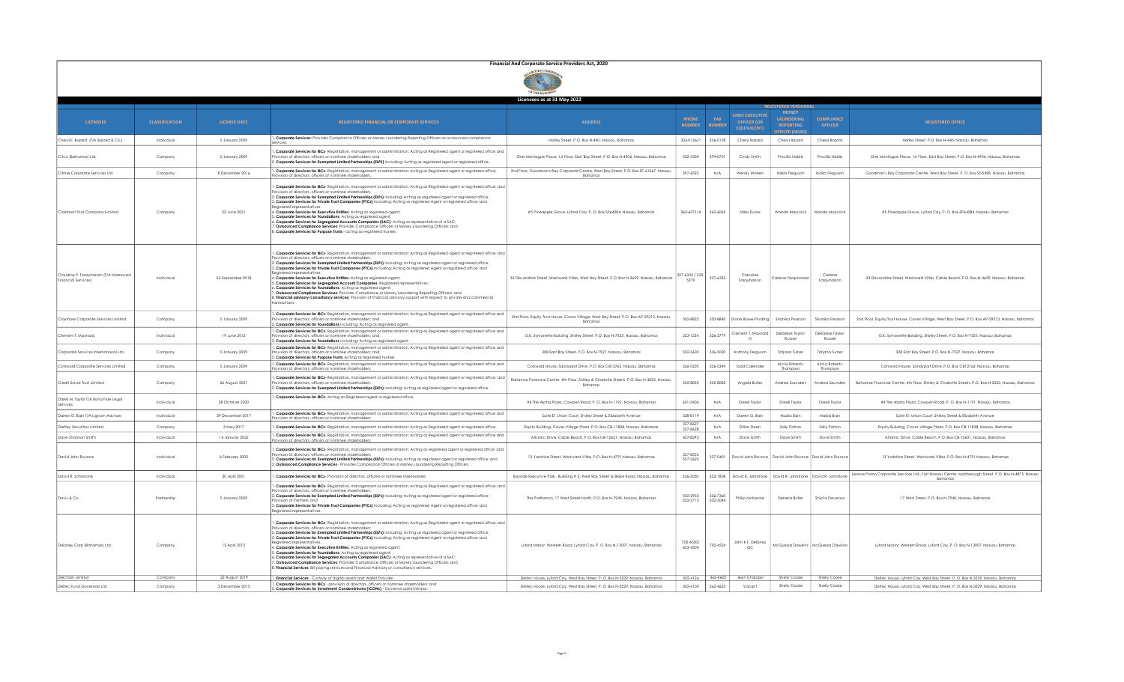|                                                                       | Financial And Corporate Service Providers Act, 2020 |                                   |                                                                                                                                                                                                                                                                                                                                                                                                                                                                                                                                                                                                                                                                                                                                                                                                                                                                                                                                                           |                                                                                                                                                              |                               |                      |                                                                    |                                                                                |                                     |                                                                                                                                                              |
|-----------------------------------------------------------------------|-----------------------------------------------------|-----------------------------------|-----------------------------------------------------------------------------------------------------------------------------------------------------------------------------------------------------------------------------------------------------------------------------------------------------------------------------------------------------------------------------------------------------------------------------------------------------------------------------------------------------------------------------------------------------------------------------------------------------------------------------------------------------------------------------------------------------------------------------------------------------------------------------------------------------------------------------------------------------------------------------------------------------------------------------------------------------------|--------------------------------------------------------------------------------------------------------------------------------------------------------------|-------------------------------|----------------------|--------------------------------------------------------------------|--------------------------------------------------------------------------------|-------------------------------------|--------------------------------------------------------------------------------------------------------------------------------------------------------------|
|                                                                       |                                                     |                                   |                                                                                                                                                                                                                                                                                                                                                                                                                                                                                                                                                                                                                                                                                                                                                                                                                                                                                                                                                           |                                                                                                                                                              |                               |                      |                                                                    |                                                                                |                                     |                                                                                                                                                              |
|                                                                       |                                                     |                                   |                                                                                                                                                                                                                                                                                                                                                                                                                                                                                                                                                                                                                                                                                                                                                                                                                                                                                                                                                           | Licensees as at 31 May 2022                                                                                                                                  |                               |                      |                                                                    |                                                                                |                                     |                                                                                                                                                              |
| <b>LICENSEES</b>                                                      | <b>CLASSIFICATION</b>                               | <b>LICENSE DATE</b>               | <b>REGISTERED FINANCIAL OR CORPORATE SERVICES</b>                                                                                                                                                                                                                                                                                                                                                                                                                                                                                                                                                                                                                                                                                                                                                                                                                                                                                                         | <b>ADDRESS</b>                                                                                                                                               | <b>PHONE</b><br><b>NUMBER</b> | FAX<br><b>NUMBER</b> | <b>CHIEF EXECUTIVE</b><br><b>OFFICER (OR</b><br><b>EQUIVALENT)</b> | <b>MONEY</b><br><b>I ALINDERING</b><br><b>REPORTING</b><br><b>EFICER (MIRC</b> | <b>COMPLIANCE</b><br><b>OFFICER</b> | <b>REGISTERED OFFICE</b>                                                                                                                                     |
| Chervl E. Bazard (T/A Bazard & Co.)                                   | Individual                                          | 5 January 2009                    | . Corporate Services: Provides Compliance Officers or Money Laundering Reporting Officers as outsourced compliance                                                                                                                                                                                                                                                                                                                                                                                                                                                                                                                                                                                                                                                                                                                                                                                                                                        | Harley Street, P.O. Box N-440, Nassau, Bahamas                                                                                                               | 326-0126/7                    | 326-0128             | Chervl Bazard                                                      | Chervl Bazard                                                                  | Chervl Bazard                       | Harley Street, P.O. Box N-440, Nassau, Bahamas                                                                                                               |
| Citco (Bahamas) Ltd.                                                  | Company                                             | 5 January 2009                    | . Corporate Services for IBCs- Registration, management or administration; Acting as Registered agent or registered office and<br>vision of directors, officers or nominee shareholders; and<br>2. Corporate Services for Exempted Limited Partnerships (ELPS) including: Acting as registered agent or registered office.                                                                                                                                                                                                                                                                                                                                                                                                                                                                                                                                                                                                                                | One Montague Place, 1st Floor, East Bay Street, P.O. Box N-4906, Nassau, Bahamas                                                                             | 502-5300                      | 394-0701             | Cindy Smith                                                        | Priscilla Habib                                                                | Priscilla Habib                     | One Montague Place, 1st Floor, East Bay Street, P.O. Box N-4906, Nassau, Bahamas                                                                             |
| Citrine Corporate Services Ltd.                                       | Company                                             | 8 December 2016                   | . Corporate Services for IBCs- Registration, management or administration; Acting as Registered agent or registered office;<br>ovision of directors, officers or nominee shareholders                                                                                                                                                                                                                                                                                                                                                                                                                                                                                                                                                                                                                                                                                                                                                                     | 2nd Floor, Goodman's Bay Corporate Centre, West Bay Street, P.O. Box SP-61567, Nassau,<br>Bahamas                                                            | 397-6523                      | N/A                  | Wendy Warren                                                       | Indira Ferguson                                                                | Indira Fergusor                     | Goodman's Bay Corporate Centre, West Bay Street, P. O. Box SS-5498, Nassau, Bahamas                                                                          |
| Clairmont Trust Company Limited                                       | Company                                             | 22 June 2021                      | Corporate Services for IBCs- Registration, management or administration; Acting as Registered agent or registered office; and<br>rovision of directors, officers or nominee shareholders<br>2. Corporate Services for Exempted Limited Partnerships (ELPs) including: Acting as registered gaent or registered office:<br>3. Corporate Services for Private Trust Companies (PTCs) including: Acting as registered Agent or registered office; and<br>4. Corporate Services for Executive Entities: Acting as registered agent;<br>5. Corporate Services for Foundations: Acting as registered ager<br>6. Corporate Services for Segregated Accounts Companies (SAC): Acting as representative of a SAC;<br>. Outsourced Compliance Services: Provides Compliance Officers or Money Laundering Officers; and<br>B. Corporate Services for Purpose Trusts - acting as registered trustee;                                                                  | #5 Pineapple Grove, Lyford Cay, P. O. Box-SP64284, Nassau, Bahamas                                                                                           | 362-6071/4                    | 362-6069             | Miles Evans                                                        | Wanda Maycock                                                                  | Wanda Maycock                       | #5 Pineapple Grove, Lyford Cay, P. O. Box-SP64284, Nassau, Bahamas                                                                                           |
| Claudine P. Farauharson (T/A Noreinvest<br><b>Financial Services)</b> | Individual                                          | 24 September 2018                 | . Corporate Services for IBCs- Registration, management or administration; Acting as Registered agent or registered office; and<br>ovision of directors, officers or nominee shareholder<br>2. Corporate Services for Exempted Limited Partnerships (ELPs) including: Acting as registered agent or registered office;<br>3. Corporate Services for Private Trust Companies (PTCs) including: Acting as registered Agent or registered office; and<br>4. Corporate Services for Executive Entities: Acting as registered agent;<br>5. Corporate Services for Segregated Account Companies: Registered representatives;<br>6. Corporate Services for Foundations: Actina as reaistered agent:<br>. Outsourced Compliance Services: Provides Compliance or Money Laundering Reporting Officers; and<br>8. Financial advisory/consultancy services: Provision of financial advisory support with respect to private and commercial<br>transactions:          | 33 Devonshire Street, Westward Villas, West Bay Street, P.O. Box N-3659, Nassau, Bahamas                                                                     | 327-6333 / 535-<br>5379       | 327-6333             | Claudine<br>Farauharson                                            | Carlene Farquharson                                                            | Carlene<br>Farauharson              | 33 Devonshire Street, Westward Villas, Cable Beach, P.O. Box N-3659, Nassau, Bahamas                                                                         |
| Claymore Corporate Services Limited                                   | Company                                             | 5 January 2009                    | . Corporate Services for IBCs- Registration, management or administration; Acting as Registered agent or registered office and<br>sion of directors, officers or nominee shareholders; and<br>. Corporate Services for Foundations including: Acting as registered agent.                                                                                                                                                                                                                                                                                                                                                                                                                                                                                                                                                                                                                                                                                 | 2nd Floor, Equity Trust House, Caves Village, West Bay Street, P.O. Box AP-59213, Nassau,<br>Bahamas                                                         | 502-8822                      | 502-8840             | Diane Bowe-Pindling                                                | Shanika Pearson                                                                | Shanika Pearsor                     | 2nd Floor, Equity Trust House, Caves Village, West Bay Street, P.O. Box AP-59213, Nassau, Bahamas                                                            |
| Clement T. Maynard                                                    | Individual                                          | 19 June 2012                      | . Corporate Services for IBCs- Registration, management or administration; Acting as Registered agent or registered office and<br>rovision of directors, officers or nominee shareholders; and<br>. Corporate Services for Foundations including: Acting as registered agent.                                                                                                                                                                                                                                                                                                                                                                                                                                                                                                                                                                                                                                                                             | G.K. Symonette Building, Shirley Street, P.O. Box N-7525, Nassau, Bahamas                                                                                    | 323-1234                      | 326-3779             | Clement T. Maynard                                                 | Dellarese Taylor<br>Russell                                                    | Dellarese Taylor<br>Russell         | G.K. Symonette Building, Shirley Street, P.O. Box N-7525, Nassau, Bahamas                                                                                    |
| Corporate Services International Ltd.                                 | Company                                             | 5 January 2009                    | . Corporate Services for IBCs- Registration, management or administration; Acting as Registered agent or registered office and<br>vision of directors, officers or nominee shareholders; and<br>. Corporate Services for Purpose Trusts: Acting as registered trustee                                                                                                                                                                                                                                                                                                                                                                                                                                                                                                                                                                                                                                                                                     | 308 East Bay Street, P.O. Box N-7527. Nassau, Bahamas                                                                                                        | 502-3600                      | 326-5020             | Anthony Ferausor                                                   | <b>Tatiana Turner</b>                                                          | <b>Tatiana Turner</b>               | 308 East Bay Street, P.O. Box N-7527. Nassau, Bahamas                                                                                                        |
| Cotswold Corporate Services Limited                                   | Company                                             | 5 January 2009                    | . Corporate Services for IBCs- Registration, management or administration; Acting as Registered agent or registered office and<br>vision of directors, officers or nominee shareholders:                                                                                                                                                                                                                                                                                                                                                                                                                                                                                                                                                                                                                                                                                                                                                                  | Cotswold House, Sandyport Drive, P.O. Box CB12762, Nassau, Bahamas                                                                                           | 326-5205                      | 326-5349             | <b>Todd Callender</b>                                              | Alicia Roberts-<br>Thompson                                                    | Alicia Roberts-<br>Thompson         | Cotswold House, Sandyport Drive, P.O. Box CB12762, Nassau, Bahamas                                                                                           |
| Credit Suisse Trust Limited                                           | Company                                             | 26 August 2021                    | . Corporate Services for IBCs- Registration, management or administration; Acting as Registered agent or registered office; and<br>ovision of directors, officers or nominee shareholde<br>2. Corporate Services for Exempted Limited Partnerships (ELPs) including: Acting as registered agent or registered office.                                                                                                                                                                                                                                                                                                                                                                                                                                                                                                                                                                                                                                     | Bahamas Financial Centre, 4th Floor, Shirley & Charlotte Streets, P.O. Box N-3023, Nassau,<br>Bahamas                                                        | 502-8050                      | 502-8082             | Angela Butler                                                      | Andrea Saunder                                                                 | Andrea Saunder:                     | Bahamas Financial Centre, 4th Floor, Shirley & Charlotte Streets, P.O. Box N-3023, Nassau, Bahamas                                                           |
| Darell M. Taylor T/A Bona Fide Legal                                  | Individual                                          | 28 October 2020                   | . Corporate Services for IBCs- Acting as Registered agent or registered office.                                                                                                                                                                                                                                                                                                                                                                                                                                                                                                                                                                                                                                                                                                                                                                                                                                                                           | #4 The Alpha Plaza, Cowpen Road, P. O. Box N-1191, Nassau, Bahamas                                                                                           | 601-5404                      | N/A                  | Darell Taylor                                                      | Darell Taylor                                                                  | Darell Taylor                       | #4 The Alpha Plaza, Cowpen Road, P. O. Box N-1191, Nassau, Bahamas                                                                                           |
| Darren O. Bain T/A Lignum Advisors                                    | Individual                                          | 29 December 2017                  | . Corporate Services for IBCs- Registration, management or administration; Acting as Registered agent or registered office and<br>ovision of directors, officers or nominee shareholders:                                                                                                                                                                                                                                                                                                                                                                                                                                                                                                                                                                                                                                                                                                                                                                 | Suite E1 Union Court, Shirley Street & Bizabeth Avenue                                                                                                       | 328-8119                      | N/A                  | Darren O. Bain                                                     | Nadia Bain                                                                     | Nadia Bain                          | Suite E1 Union Court, Shirley Street & Elizabeth Avenue                                                                                                      |
| Dartley Securities Limited                                            | Company                                             | 3 May 2017                        | . Corporate Services for IBCs- Registration, management or administration; Acting as Registered agent or registered office.                                                                                                                                                                                                                                                                                                                                                                                                                                                                                                                                                                                                                                                                                                                                                                                                                               | Equity Building, Caves Village Plaza, P.O. Box CB-11838, Nassau, Bahamas                                                                                     | 327.8427<br>327-8628          | N/A                  | Dillon Dean                                                        | Sally Patton                                                                   | Sally Patton                        | Equity Building, Caves Village Plaza, P.O. Box CB-11838, Nassau, Bahamas                                                                                     |
| Dave Shannon Smith                                                    | Individual                                          | 14 January 2022                   | . Corporate Services for IBCs- Registration, management or administration; Acting as Registered agent or registered office and<br>on of directors, officers or nominee shareholders                                                                                                                                                                                                                                                                                                                                                                                                                                                                                                                                                                                                                                                                                                                                                                       | Atlantic Drive, Cable Beach, P.O. Box CB-12631, Nassau, Bahamas                                                                                              | 427-8292                      | N/A                  | Dave Smith                                                         | Dave Smith                                                                     | Dave Smith                          | Atlantic Drive, Cable Beach, P.O. Box CB-12631, Nassau, Bahamas                                                                                              |
| David John Rounce                                                     | Individual                                          | 6 February 2002                   | . Corporate Services for IBCs- Registration, management or administration; Acting as registered agent or registered office; and<br>pvision of directors, officers or nominee shareholders<br>. Corporate Services for Exempted Limited Partnerships (ELPs) including: Acting as registered agent or registered office; and<br>3. Outsourced Compliance Services - Provides Compliance Officers or Money Launderina Reporting Officers                                                                                                                                                                                                                                                                                                                                                                                                                                                                                                                     | 13 Yorkshire Street, Westward Villas, P.O. Box N-4791 Nassau, Bahamas                                                                                        | 327-8553<br>557-2625          | 327-0401             |                                                                    | David John Rounce   David John Rounce   David John Rounce                      |                                     | 13 Yorkshire Street, Westward Villas, P.O. Box N-4791.Nassau, Bahamas                                                                                        |
| David R. Johnstone                                                    | Individual                                          | 30 April 2001                     | . Corporate Services for IBCs- Provision of directors, officers or nominee shareholders                                                                                                                                                                                                                                                                                                                                                                                                                                                                                                                                                                                                                                                                                                                                                                                                                                                                   | Bayside Executive Park , Building # 3, West Bay Street & Blake Road, Nassau, Bahamas                                                                         | 326-5050                      | 322-1808             | David R. Johnstone                                                 | David R. Johnstone                                                             | David R. Johnstone                  | Lennox Paton Corporate Services Ltd., Fort Nassau Centre, Marlborough Street, P.O. Box N-4875, Nassau<br>Bahamas                                             |
| Davis & Co.                                                           | Partnership                                         | 5 January 2009                    | . Corporate Services for IBCs- Registration, management or administration; Acting as Registered agent or registered office; and<br>ision of directors, officers or nominee shareholders<br>). Corporate Services for Exempted Limited Partnerships (ELPs) including: Acting as registered agent or registered office;<br>ovision of Partners: and<br>3. Corporate Services for Private Trust Companies (PTCs) including: Acting as registered Agent or registered office; and<br>Reaistered representatives                                                                                                                                                                                                                                                                                                                                                                                                                                               | The Parthenon, 17 West Street North, P.O. Box N-7940, Nassau, Bahamas                                                                                        | 502-2950<br>322-2715          | 326-7360<br>322-2044 | Philip McKenzie                                                    | Deneria Butler                                                                 | Shikita Deveaux                     | 17 West Street, P.O. Box N-7940, Nassau, Bahamas                                                                                                             |
| Delaney Corp (Bahamas) Ltd.                                           | Company                                             | 12 April 2012                     | . Corporate Services for IBCs- Registration, management or administration; Acting as Registered agent or registered office; and<br>rovision of directors, officers or nominee shareholders<br>2. Corporate Services for Exempted Limited Partnerships (ELPs) including: Acting as registered agent or registered office;<br>3. Corporate Services for Private Trust Companies (PTCs) including: Acting as registered Agent or registered office; and<br>Reaistered representative<br>I. Corporate Services for Executive Entities: Acting as registered agent;<br>5. <b>Corporate Services for Foundations:</b> Acting as registered agent;<br>6. <b>Corporate Services for Segregated Accounts Companies (SAC):</b> Acting as representative of a SAC;<br>. Outsourced Compliance Services: Provides Compliance Officers or Money Laundering Officers; and<br>. Financial Services: Bill paying services and Financial Advisory or consultancy services. | Lyford Manor, Western Road, Lyford Cay, P. O. Box N-13007, Nassau, Bahamas                                                                                   | 702-4500/<br>603-4500         | 702-4524             | John K.F. Delaney<br>QC                                            | McQuessa Dawkins   McQuessa Dawkins                                            |                                     | Lyford Manor, Western Road, Lyford Cay, P. O. Box N-13007, Nassau, Bahamas                                                                                   |
| Delchain Limited<br>Deltec Fund Governors Ltd.                        | Company<br>Company                                  | 22 August 2019<br>3 December 2015 | . Financial Services - Custody of digital assets and Wallet Provider<br>. Corporate Services for IBCs - provision of directors, officers or nominee shareholders; and                                                                                                                                                                                                                                                                                                                                                                                                                                                                                                                                                                                                                                                                                                                                                                                     | Deltec House, Lyford Cay, West Bay Street, P. O. Box N-3229, Nassau, Bahamas<br>Deltec House, Lyford Cay, West Bay Street, P. O. Box N-3229, Nassau, Bahamas | 302-4126<br>302-4100          | 362-4623<br>362-4623 | Jean Chalopin<br>Vacant                                            | Shelly Cooke<br>Shelly Cooke                                                   | Shelly Cooke<br>Shelly Cooke        | Deltec House, Lyford Cay, West Bay Street, P. O. Box N-3229, Nassau, Bahamas<br>Deltec House, Lyford Cay, West Bay Street, P. O. Box N-3229, Nassau, Bahamas |
|                                                                       |                                                     |                                   | orate Services for Investment Condominiums (ICONs) - Governor ad                                                                                                                                                                                                                                                                                                                                                                                                                                                                                                                                                                                                                                                                                                                                                                                                                                                                                          |                                                                                                                                                              |                               |                      |                                                                    |                                                                                |                                     |                                                                                                                                                              |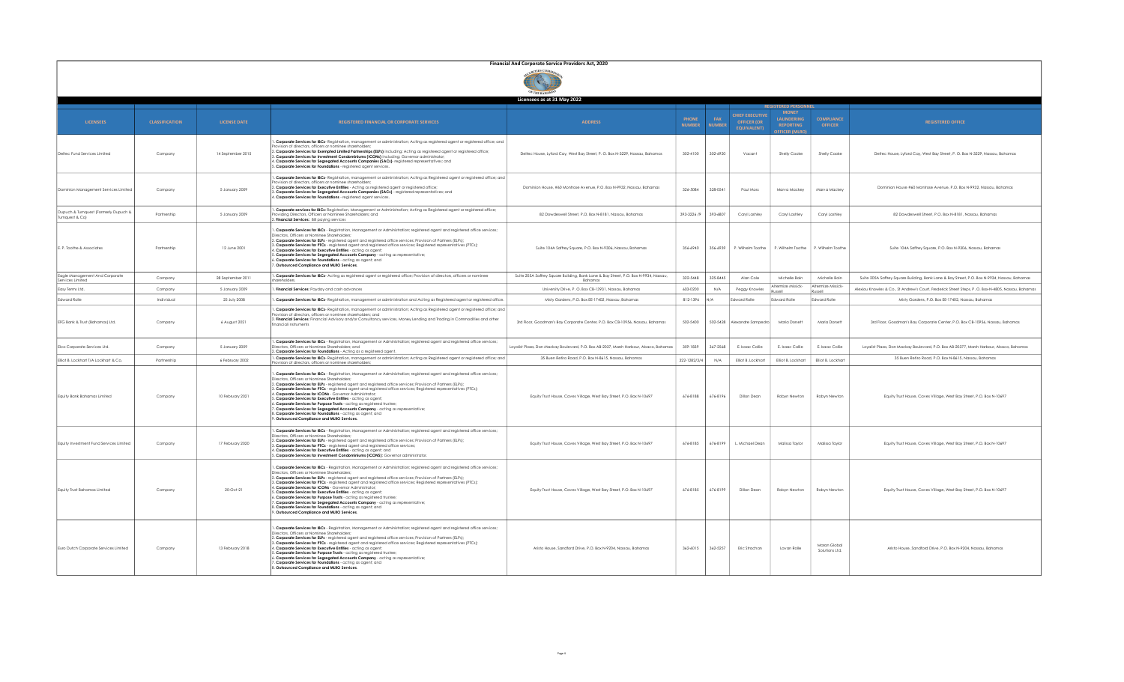|                                                          | Financial And Corporate Service Providers Act, 2020 |                     |                                                                                                                                                                                                                                                                                                                                                                                                                                                                                                                                                                                                                                                                                                                                                                                                                               |                                                                                                 |                               |                      |                                                                    |                                                                                                   |                                       |                                                                                                     |
|----------------------------------------------------------|-----------------------------------------------------|---------------------|-------------------------------------------------------------------------------------------------------------------------------------------------------------------------------------------------------------------------------------------------------------------------------------------------------------------------------------------------------------------------------------------------------------------------------------------------------------------------------------------------------------------------------------------------------------------------------------------------------------------------------------------------------------------------------------------------------------------------------------------------------------------------------------------------------------------------------|-------------------------------------------------------------------------------------------------|-------------------------------|----------------------|--------------------------------------------------------------------|---------------------------------------------------------------------------------------------------|---------------------------------------|-----------------------------------------------------------------------------------------------------|
|                                                          |                                                     |                     |                                                                                                                                                                                                                                                                                                                                                                                                                                                                                                                                                                                                                                                                                                                                                                                                                               |                                                                                                 |                               |                      |                                                                    |                                                                                                   |                                       |                                                                                                     |
|                                                          |                                                     |                     |                                                                                                                                                                                                                                                                                                                                                                                                                                                                                                                                                                                                                                                                                                                                                                                                                               | Licensees as at 31 May 2022                                                                     |                               |                      |                                                                    |                                                                                                   |                                       |                                                                                                     |
| <b>LICENSEES</b>                                         | <b>CLASSIFICATION</b>                               | <b>LICENSE DATE</b> | REGISTERED FINANCIAL OR CORPORATE SERVICES                                                                                                                                                                                                                                                                                                                                                                                                                                                                                                                                                                                                                                                                                                                                                                                    | <b>ADDRESS</b>                                                                                  | <b>PHONE</b><br><b>NUMBER</b> | FAX<br><b>NUMBER</b> | <b>CHIEF EXECUTIVE</b><br><b>OFFICER (OR</b><br><b>FOUIVALENTI</b> | <b>REGISTERED PERSON</b><br><b>MONEY</b><br>LAUNDERING<br><b>REPORTING</b><br><b>FFICER (MLRO</b> | <b>COMPLIANCE</b><br><b>OFFICER</b>   | <b>REGISTERED OFFICE</b>                                                                            |
| Deltec Fund Services Limited                             | Company                                             | 14 September 2015   | Corporate Services for IBCs- Registration, management or administration; Acting as registered agent or registered office; and<br>vision of directors, officers or nominee shareholders,<br>2. Corporate Services for Exempted Limited Partnerships (ELPs) including: Acting as registered agent or registered office;<br>3. Corporate Services for Investment Condominiums (ICONs) including: Governor administrator<br>. Corporate Services for Segregated Accounts Companies (SACs)- registered representatives; and<br>5. Corporate Services for Foundations - registered agent services.                                                                                                                                                                                                                                  | Deltec House, Lyford Cay, West Bay Street, P. O. Box N-3229, Nassau, Bahamas                    | 302-4100                      | 302-6920             | Vacant                                                             | Shelly Cooke                                                                                      | Shelly Cooke                          | Deltec House, Lyford Cay, West Bay Street, P. O. Box N-3229, Nassau, Bahamas                        |
| Dominion Management Services Limited                     | Company                                             | 5 January 2009      | . Corporate Services for IBCs- Registration, management or administration; Acting as Registered agent or registered office; and<br>vision of directors, officers or nominee shareholders<br>2. Corporate Services for Executive Entities - Acting as registered agent or registered office;<br>Corporate Services for Segregated Accounts Companies (SACs) - registered representatives; and<br>4. Corporate Services for Foundations - registered agent services.                                                                                                                                                                                                                                                                                                                                                            | Dominion House, #60 Montrose Avenue, P.O. Box N-9932, Nassau, Bahamas                           | 326-5084                      | 328-0541             | Paul Moss                                                          | Marva Mackey                                                                                      | Marva Mackey                          | Dominion House #60 Montrose Avenue, P.O. Box N-9932, Nassau, Bahamas                                |
| Dupuch & Turnquest (Formerly Dupuch &<br>Turnauest & Col | Partnership                                         | 5 January 2009      | Corporate services for IBCs: Registration, Management or Administration; Acting as Registered agent or registered office;<br>viding Directors, Officers or Nominee Shareholders; and<br>Financial Services: Bill paying services                                                                                                                                                                                                                                                                                                                                                                                                                                                                                                                                                                                              | 82 Dowdeswell Street, P.O. Box N-8181, Nassau, Bahamas                                          | 393-3226 /9                   | 393-6807             | Caryl Lashley                                                      | Caryl Lashley                                                                                     | Carvi Lashlev                         | 82 Dowdeswell Street, P.O. Box N-8181, Nassau, Bahamas                                              |
| E. P. Toothe & Associates                                | Partnership                                         | 12 June 2001        | Corporate Services for IBCs - Registration, Management or Administration; registered agent and registered office services;<br>Directors, Officers or Nominee Shareholders;<br>. Corporate Services for ELPs - registered agent and registered office services; Provision of Partners (ELPs);<br>: Corporate Services for PTCs - registered agent and registered office services; Registered representatives (PTCs);<br>. Corporate Services for Executive Entities - actina as agent:<br>Corporate Services for Segregated Accounts Company - acting as representative;<br>. Corporate Services for Foundations - acting as agent; and<br>Outsourced Compliance and MLRO Services.                                                                                                                                            | Suite 104A Saffrey Square, P.O. Box N-9306, Nassau, Bahamas                                     | 356-6940                      | 356-6939             | P. Wilhelm Toothe                                                  | P. Wilhelm Toothe                                                                                 | P. Wilhelm Toothe                     | Suite 104A Saffrey Square, P.O. Box N-9306, Nassau, Bahamas                                         |
| Eagle Management And Corporate<br>Services Limited       | Company                                             | 28 Sentember 2011   | . Corporate Services for IBCs- Acting as registered agent or registered office; Provision of directors, officers or nominee                                                                                                                                                                                                                                                                                                                                                                                                                                                                                                                                                                                                                                                                                                   | Suite 205A Saffrey Square Building, Bank Lane & Bay Street, P.O. Box N-9934, Nassau,<br>Bahamas | 322-5448                      | 325-8445             | Alon Cole                                                          | Michelle Boin                                                                                     | Michelle Boin                         | Suite 205A Saffrey Saugre Building, Bank Lane & Bay Street, P.O. Box N-9934, Nassau, Bahamas        |
| Easy Terms Ltd.                                          | Company                                             | 5 January 2009      | Financial Services: Payday and cash advances                                                                                                                                                                                                                                                                                                                                                                                                                                                                                                                                                                                                                                                                                                                                                                                  | University Drive, P. O. Box CB-13931, Nassau, Bahamas                                           | 603-0200                      | N/A                  | Peggy Knowles                                                      | Altermize Missick-                                                                                | Altermize Missick-<br><b>II</b> A22LD | Alexiou Knowles & Co., St Andrew's Court, Frederick Street Steps, P. O. Box-N-4805, Nassau, Bahamas |
| Edward Rolle                                             | Individual                                          | 25 July 2008        | . Corporate Services for IBCs- Registration, management or administration and Acting as Registered agent or registered office.                                                                                                                                                                                                                                                                                                                                                                                                                                                                                                                                                                                                                                                                                                | Misty Gardens, P.O. Box EE-17402, Nassau, Bahamas                                               | 812-1396                      | N/A                  | dward Rolle                                                        | dward Rolle                                                                                       | Edward Rolle                          | Misty Gardens, P.O. Box EE-17402, Nassau, Bahamas                                                   |
| EFG Bank & Trust (Bahamas) Ltd.                          | Company                                             | 6 August 2021       | . Corporate Services for IBCs- Registration, management or administration; Acting as Registered agent or registered office; and<br>vision of directors, officers or nominee shareholders; and<br>2. Financial Services: Financial Advisory and/or Consultancy services, Money Lending and Trading in Commodities and other<br>inancial instruments                                                                                                                                                                                                                                                                                                                                                                                                                                                                            | 3rd Floor, Goodman's Bay Corporate Center, P.O. Box CB-10956, Nassau, Bahamas                   | 502-5400                      | 502-5428             | Alexandre Sampedro                                                 | Maria Dorsett                                                                                     | Maria Dorsett                         | 3rd Floor, Goodman's Bay Corporate Center, P.O. Box CB-10956, Nassau, Bahamas                       |
| Elco Corporate Services Ltd.                             | Company                                             | 5 January 2009      | . Corporate Services for IBCs - Registration, Management or Administration; registered agent and registered office services;<br>.<br>Directors, Officers or Nominee Shareholders; and<br>2. <b>Corporate Services for Foundations</b> - Acting as a registered agent.                                                                                                                                                                                                                                                                                                                                                                                                                                                                                                                                                         | Loyalist Plaza, Don Mackay Boulevard, P.O. Box AB-2037, Marsh Harbour, Abaco, Bahamas           | 359-1839                      | 367-2568             | E. Isaac Collie                                                    | E. Isaac Collie                                                                                   | E. Isaac Collie                       | Loyalist Plaza, Don Mackay Boulevard, P.O. Box AB-20377, Marsh Harbour, Abaco, Bahamas              |
| Elliot B. Lockhart T/A Lockhart & Co.                    | Partnership                                         | 6 February 2002     | . Corporate Services for IBCs- Registration, management or administration; Acting as Registered agent or registered office; and<br>ovision of directors, officers or nominee shareholders;                                                                                                                                                                                                                                                                                                                                                                                                                                                                                                                                                                                                                                    | 35 Buen Retiro Road, P.O. Box N-8615, Nassau, Bahamas                                           | 322-1282/3/4                  | N/A                  | Elliot B. Lockhart                                                 | Elliot B. Lockhart                                                                                | Elliot B. Lockhart                    | 35 Buen Retiro Road, P.O. Box N-8615, Nassau, Bahamas                                               |
| Equity Bank Bahamas Limited                              | Company                                             | 10 February 2021    | Corporate Services for IBCs - Registration, Management or Administration; registered agent and registered office services;<br>Directors, Officers or Nominee Shareholders<br>2. Corporate Services for ELPs - reaistered agent and reaistered office services: Provision of Partners (ELPs):<br>3. Corporate Services for PTCs - registered agent and registered office services; Registered representatives (PTCs);<br>. Corporate Services for ICONs - Governor Administrator;<br>Corporate Services for Executive Entities - acting as agent;<br>. Corporate Services for Purpose Trusts - acting as registered trustee;<br>Corporate Services for Segregated Accounts Company - acting as representative;<br>3. Corporate Services for Foundations - acting as agent; and<br>Outsourced Compliance and MLRO Services.     | Equity Trust House, Caves Village, West Bay Street, P.O. Box N-10697                            | 676-8188                      | 676-8196             | Dillon Dean                                                        | Robyn Newton                                                                                      | Robyn Newton                          | Equity Trust House, Caves Village, West Bay Street, P.O. Box N-10697                                |
| Equity Investment Fund Services Limited                  | Company                                             | 17 February 2020    | . Corporate Services for IBCs - Registration, Management or Administration; registered agent and registered office services;<br>Directors, Officers or Nominee Shareholders:<br>2. Corporate Services for ELPs - reaistered agent and reaistered office services: Provision of Partners (ELPs):<br>Corporate Services for PTCs - registered agent and registered office services;<br>1. Corporate Services for Executive Entities - acting as agent; and<br>. Corporate Services for Investment Condominiums (ICONS): Governor administrator.                                                                                                                                                                                                                                                                                 | Equity Trust House, Caves Village, West Bay Street, P.O. Box N-10697                            | 676-8185                      | 676-8199             | L. Michael Dean                                                    | Malissa Taylor                                                                                    | Malissa Taylor                        | Equity Trust House, Caves Village, West Bay Street, P.O. Box N-10697                                |
| Equity Trust Bahamas Limited                             | Company                                             | 20-Oct-21           | . Corporate Services for IBCs - Registration, Management or Administration; registered agent and registered office services;<br>Directors, Officers or Nominee Shareholders;<br>2. Corporate Services for ELPs - registered agent and registered office services; Provision of Partners (ELPs);<br>3. Corporate Services for PTCs - registered agent and registered office services; Registered representatives (PTCs);<br>4. Corporate Services for ICONs - Governor Administrator:<br>5. Corporate Services for Executive Entities - actina as agent:<br>. Corporate Services for Purpose Trusts - acting as registered trustee;<br>Corporate Services for Segregated Accounts Company - acting as representative;<br>Corporate Services for Foundations - acting as agent; and<br>Outsourced Compliance and MLRO Services. | Equity Trust House, Caves Village, West Bay Street, P.O. Box N-10697                            | 676-8185                      | 676-8199             | Dillon Dean                                                        | Robyn Newton                                                                                      | Robyn Newton                          | Equity Trust House, Caves Village, West Bay Street, P.O. Box N-10697                                |
| Euro Dutch Corporate Services Limited                    | Company                                             | 13 February 2018    | . Corporate Services for IBCs - Registration, Management or Administration; registered agent and registered office services;<br>Directors, Officers or Nominee Shareholders;<br>2. Corporate Services for ELPs - registered agent and registered office services; Provision of Partners (ELPs);<br>3. Corporate Services for PTCs - registered agent and registered office services; Registered representatives (PTCs);<br>Corporate Services for Executive Entities - acting as agent;<br>. Corporate Services for Purpose Trusts - acting as registered trustee;<br>5. Corporate Services for Segregated Accounts Company - acting as representative;<br>Corporate Services for Foundations - acting as gaent: and<br>3. Outsourced Compliance and MLRO Services.                                                           | Aristo House, Sandford Drive, P.O. Box N-9204, Nassau, Bahamas                                  | 362-6015                      | 362-5257             | Eric Strachan                                                      | Lavan Rolle                                                                                       | Maran Global<br>Solutions Ltd         | Aristo House, Sandford Drive, P.O. Box N-9204, Nassau, Bahamas                                      |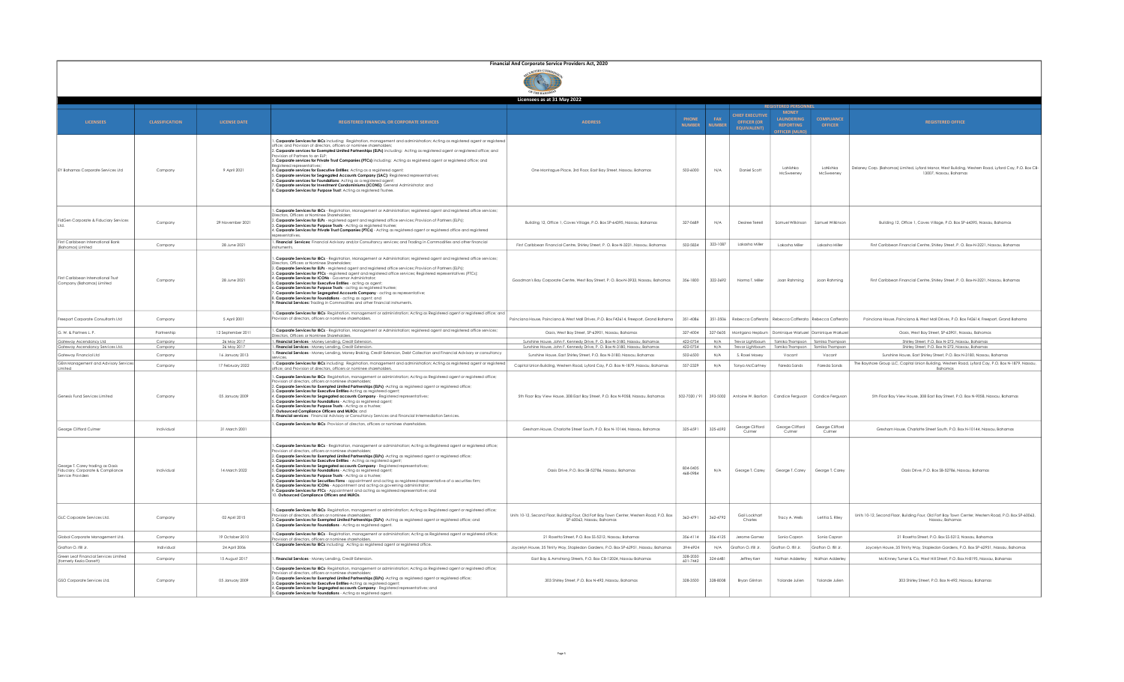|                                                                                            | Financial And Corporate Service Providers Act, 2020 |                                |                                                                                                                                                                                                                                                                                                                                                                                                                                                                                                                                                                                                                                                                                                                                                                                                                                                                                                                                                                                     |                                                                                                                                                   |                               |                      |                                                                    |                                                                                     |                                     |                                                                                                                                |
|--------------------------------------------------------------------------------------------|-----------------------------------------------------|--------------------------------|-------------------------------------------------------------------------------------------------------------------------------------------------------------------------------------------------------------------------------------------------------------------------------------------------------------------------------------------------------------------------------------------------------------------------------------------------------------------------------------------------------------------------------------------------------------------------------------------------------------------------------------------------------------------------------------------------------------------------------------------------------------------------------------------------------------------------------------------------------------------------------------------------------------------------------------------------------------------------------------|---------------------------------------------------------------------------------------------------------------------------------------------------|-------------------------------|----------------------|--------------------------------------------------------------------|-------------------------------------------------------------------------------------|-------------------------------------|--------------------------------------------------------------------------------------------------------------------------------|
|                                                                                            |                                                     |                                |                                                                                                                                                                                                                                                                                                                                                                                                                                                                                                                                                                                                                                                                                                                                                                                                                                                                                                                                                                                     | Licensees as at 31 May 2022                                                                                                                       |                               |                      |                                                                    |                                                                                     |                                     |                                                                                                                                |
| <b>LICENSEES</b>                                                                           | <b>CLASSIFICATION</b>                               | <b>LICENSE DATE</b>            | <b>REGISTERED FINANCIAL OR CORPORATE SERVICES</b>                                                                                                                                                                                                                                                                                                                                                                                                                                                                                                                                                                                                                                                                                                                                                                                                                                                                                                                                   | <b>ADDRESS</b>                                                                                                                                    | <b>PHONE</b><br><b>NUMBER</b> | FAX<br><b>NUMBER</b> | <b>CHIEF EXECUTIVE</b><br><b>OFFICER (OR</b><br><b>EQUIVALENT)</b> | <b>MONEY</b><br><b>LAUNDERING</b><br><b>REPORTING</b><br><b>JEFICER (MLR</b>        | <b>COMPLIANCE</b><br><b>OFFICER</b> | <b>REGISTERED OFFICE</b>                                                                                                       |
| EY Bahamas Corporate Services Ltd                                                          | Company                                             | 9 April 2021                   | . Corporate Services for IBCs including: Registration, management and administration; Acting as registered agent or registered<br>office; and Provision of directors, officers or nominee shareholders<br>2. Corporate services for Exempted Limited Partnerships (ELPs) including: Acting as registered agent or registered office; and<br>rovision of Partners to an ELP<br>3. Corporate services for Private Trust Companies (PTCs) including: Acting as registered agent or registered office; and<br>4. Corporate services for Executive Entitles: Actina as a reaistered agent:<br>5. Corporate services for Segregated Accounts Company (SAC): Registered representatives;<br>S. Corporate services for Foundations: Acting as a registered agent;<br>. Corporate services for Investment Condominiums (ICONS): General Administrator; and<br>8. Corporate Services for Purpose Trust: Acting as registered Trustee.                                                         | One Montague Place, 3rd Floor, East Bay Street, Nassau, Bahamas                                                                                   | 502-6000                      | N/A                  | Daniel Scott                                                       | LaNishka<br>McSweeney                                                               | LaNishka<br>McSweeney               | Delaney Corp. (Bahamas) Limited, Lyford Manor, West Building, Western Road, Lyford Cay, P.O. Box CB-<br>13007, Nassau, Bahamas |
| FidGen Corporate & Fiduciary Services                                                      | Company                                             | 29 November 2021               | . Corporate Services for IBCs - Registration, Management or Administration; registered agent and registered office services;<br>Directors, Officers or Nominee Shareholders:<br>2. Corporate Services for ELPs - registered agent and registered office services; Provision of Partners (ELPs);<br>8. Corporate Services for Purpose Trusts - Acting as registered trustee;<br>4. Corporate Services for Private Trust Companies (PTCs) - Acting as registered agent or registered office and registered                                                                                                                                                                                                                                                                                                                                                                                                                                                                            | Building 12, Office 1, Caves Village, P.O. Box SP-64395, Nassau, Bahamas                                                                          | 327-0689                      | N/A                  | Desiree Terrell                                                    | Samuel Wilkinson                                                                    | Samuel Wilkinson                    | Building 12, Office 1, Caves Village, P.O. Box SP-64395, Nassau, Bahamas                                                       |
| First Caribbean International Bank<br>(Bahamas) Limited                                    | Company                                             | 28 June 2021                   | . Financial Services: Financial Advisory and/or Consultancy services: and Tradina in Commodities and other financial<br>nstruments.                                                                                                                                                                                                                                                                                                                                                                                                                                                                                                                                                                                                                                                                                                                                                                                                                                                 | First Caribbean Financial Centre, Shirley Street, P. O. Box-N-3221, Nassau, Bahamas                                                               | 502-5834                      | 323-1087             | Lakasha Miller                                                     | Lakasha Miller                                                                      | Lakasha Miller                      | First Caribbean Financial Centre, Shirley Street, P. O. Box-N-3221, Nassau, Bahamas                                            |
| First Caribbean International Trust<br>Company (Bahamas) Limited                           | Company                                             | 28 June 2021                   | . Corporate Services for IBCs - Registration, Management or Administration; registered agent and registered office services;<br>Directors, Officers or Nominee Shareholde<br>2. Corporate Services for ELPs - registered agent and registered office services; Provision of Partners (ELPs);<br>3. Corporate Services for PTCs - registered agent and registered office services; Registered representatives (PTCs);<br>4. Corporate Services for ICONs - Governor Administrator:<br>Corporate Services for Executive Entities - acting as agent;<br>. Corporate Services for Purpose Trusts - acting as registered trustee;<br>'. Corporate Services for Segregated Accounts Company - acting as representative;<br>3. Corporate Services for Foundations - acting as agent; and<br>Financial Services: Trading in Commodities and other financial instruments.                                                                                                                    | Goodman's Bay Corporate Centre, West Bay Street, P. O. Box-N-3933, Nassau, Bahamas                                                                | 356-1800                      | 322-3692             | Norma T. Miller                                                    | Joan Rahming                                                                        | Joan Rahming                        | First Caribbean Financial Centre, Shirley Street, P.O. Box-N-3221, Nassau, Bahamas                                             |
| Freeport Corporate Consultants Ltd                                                         | Company                                             | 5 April 2001                   | . Corporate Services for IBCs- Registration, management or administration; Acting as Registered agent or registered office; and<br>rovision of directors, officers or nominee shareholders.                                                                                                                                                                                                                                                                                                                                                                                                                                                                                                                                                                                                                                                                                                                                                                                         | oinciana House, Poinciana & West Mall Drives, P.O. Box F42614, Freeport, Grand Bahama'                                                            | 351-4086                      | 351-3506             |                                                                    | Rebecca Cafferata   Rebecca Cafferata   Rebecca Cafferata                           |                                     | Poinciana House, Poinciana & West Mall Drives, P.O. Box F42614, Freeport, Grand Bahama                                         |
| G. W. & Partners L. P.                                                                     | Partnership                                         | 12 September 2011              | . Corporate Services for IBCs - Registration, Management or Administration; registered agent and registered office services;<br>Directors, Officers or Nominee Shareholders.                                                                                                                                                                                                                                                                                                                                                                                                                                                                                                                                                                                                                                                                                                                                                                                                        | Oasis, West Bay Street, SP-63901, Nassau, Bahamas                                                                                                 | 327-4004                      | 327-0605             |                                                                    | Montgano Hepbum Dominique Warluzel Dominique Warluze                                |                                     | Oasis, West Bay Street, SP-63901, Nassau, Bahamas                                                                              |
| Gateway Ascendancy Ltd                                                                     | Company                                             | 26 May 2017                    | . Financial Services - Money Lendina, Credit Extension                                                                                                                                                                                                                                                                                                                                                                                                                                                                                                                                                                                                                                                                                                                                                                                                                                                                                                                              | Sunshine House, John F. Kennedy Drive, P. O. Box-N-3180, Nassau, Bahamas                                                                          | 422-0754                      | N/A                  |                                                                    | Trevor Lightbourn   Tamika Thompson   Tamika Thompson                               |                                     | Shirley Street, P.O. Box N-272, Nassau, Bahamas                                                                                |
| Gateway Ascendancy Services Ltd.<br>Gateway Financial Ltd                                  | Company<br>Company                                  | 26 May 2017<br>16 January 2013 | . Financial Services - Money Lending, Credit Extension.<br>. Financial Services - Money Lending, Money Broking, Credit Extension, Debt Collection and Financial Advisory or consultancy                                                                                                                                                                                                                                                                                                                                                                                                                                                                                                                                                                                                                                                                                                                                                                                             | Sunshine House, John F. Kennedy Drive, P. O. Box-N-3180, Nassau, Bahamas<br>Sunshine House, East Shirley Street, P.O. Box N-3180, Nassau, Bahamas | 422-0754<br>502-6500          | N/A<br>N/A           | S. Rosel Moxey                                                     | Trevor Lightbourn   Tamika Thompson   Tamika Thompson<br>Vocant                     | Vocant                              | Shirley Street, P.O. Box N-272, Nassau, Bahamas<br>Sunshine House, East Shirley Street, P.O. Box N-3180, Nassau, Bahamas       |
| GEM Management and Advisory Services                                                       | Company                                             | 17 February 2022               | . Corporate Services for IBCs including: Registration, management and administration; Acting as registered agent or registere                                                                                                                                                                                                                                                                                                                                                                                                                                                                                                                                                                                                                                                                                                                                                                                                                                                       | Capital Union Building, Western Road, Lyford Cay, P.O. Box N-1879, Nassau, Bahamas                                                                | 557-2329                      | N/A                  | Tanya McCartney                                                    | Fareda Sands                                                                        | Fareda Sands                        | The Bayshore Group LLC, Capital Union Buildina, Western Road, Lyford Cay, P.O. Box N-1879, Nassau,                             |
| Limited<br>Genesis Fund Services Limited                                                   | Company                                             | 05 January 2009                | ffice; and Provision of directors, officers or nominee shareholders.<br>. Corporate Services for IBCs- Registration, management or administration; Acting as Registered agent or registered office;<br>rovision of directors officers or nominee shareholders<br>2. Corporate Services for Exempted Limited Partnerships (ELPs) -Acting as registered agent or registered office;<br>. Corporate Services for Executive Entities-Acting as registered agent;<br>4. Corporate Services for Segregated accounts Company - Registered representatives;<br>5. Corporate Services for Foundations - Actina as reaistered agent:<br>S. Corporate Services for Purpose Trusts - Acting as a trustee;<br>. Outsourced Compliance Officers and MLROs; and<br>8. Financial services: Financial Advisory or Consultancy Services and Financial Intermediation Services.                                                                                                                        | 5th Floor Bay View House, 308 East Bay Street, P.O. Box N-9058, Nassau, Bahamas                                                                   |                               |                      |                                                                    | 502-7020 / 91   393-5002   Antoine W. Bastian   Candice Ferguson   Candice Ferguson |                                     | Bahamas<br>5th Floor Bay View House, 308 East Bay Street, P.O. Box N-9058, Nassau, Bahamas                                     |
| George Clifford Culmer                                                                     | Individual                                          | 31 March 2001                  | . Corporate Services for IBCs- Provision of directors, officers or nominee shareholders.                                                                                                                                                                                                                                                                                                                                                                                                                                                                                                                                                                                                                                                                                                                                                                                                                                                                                            | Gresham House, Charlotte Street South, P.O. Box N-10144, Nassau, Bahamas                                                                          | 325-6591                      | 325-6592             | George Clifford<br>Culmer                                          | George Clifford<br>Culmer                                                           | George Clifford<br>Culmer           | Gresham House, Charlotte Street South, P.O. Box N-10144, Nassau, Bahamas                                                       |
| George T. Carey trading as Oasis<br>Fiduciary, Corporate & Compliance<br>Service Providers | Individual                                          | 14 March 2022                  | . Corporate Services for IBCs - Registration, management or administration; Acting as Registered agent or registered office;<br>ovision of directors, officers or nominee shareholde<br>2. Corporate Services for Exempted Limited Partnerships (ELPs) -Acting as registered agent or registered office;<br>3. Corporate Services for Executive Entities - Acting as registered agent;<br>4. Corporate Services for Segregated accounts Company - Registered representatives;<br>. Corporate Services for Foundations - Acting as registered agent;<br>. Corporate Services for Purpose Trusts - Acting as a trustee;<br>'. Corporate Services for Securities Firms - appointment and actina as reaistered representative of a securities firm:<br>3. Corporate Services for ICONs - Appointment and acting as governing administrator;<br>. Corporate Services for PTCs - Appointment and acting as registered representative; and<br>0. Outsourced Compliance Officers and MLROs. | Oasis Drive, P.O. Box SB-52786, Nassau, Bahamas                                                                                                   | 804-0405<br>468-0984          | N/A                  | George T. Carey                                                    | George T. Carey                                                                     | George T. Carey                     | Oasis Drive, P.O. Box SB-52786, Nassau, Bahamas                                                                                |
| GLC Corporate Services Ltd.                                                                | Company                                             | 02 April 2015                  | . Corporate Services for IBCs- Registration, management or administration; Acting as Registered agent or registered office;<br>rovision of directors officers or nominee shareholders<br>2. Corporate Services for Exempted Limited Partnerships (ELPs) -Acting as registered agent or registered office; and<br>. Corporate Services for Foundations - Acting as registered agent.                                                                                                                                                                                                                                                                                                                                                                                                                                                                                                                                                                                                 | Units 10-12, Second Floor, Building Four, Old Fort Bay Town Center, Western Road, P.O. Box<br>SP-60063, Nassau, Bahamas                           | 362-4791                      | 362-4792             | Gail Lockhart<br>Charles                                           | Tracy A. Wells                                                                      | Letitia S. Riley                    | Units 10-12, Second Floor, Building Four, Old Fort Bay Town Center, Western Road, P.O. Box SP-60063,<br>Nassau, Bahamas        |
| Global Corporate Management Ltd.                                                           | Company                                             | 19 October 2010                | . Corporate Services for IBCs - Registration, management or administration; Acting as Registered agent or registered office;<br>ters or nominee shareholders                                                                                                                                                                                                                                                                                                                                                                                                                                                                                                                                                                                                                                                                                                                                                                                                                        | 21 Rosetta Street, P.O. Box SS-5212, Nassau, Bahamas                                                                                              | 356-4114                      | 356-4125             | Jerome Gomez                                                       | Sonia Capron                                                                        | Sonia Capron                        | 21 Rosetta Street, P.O. Box SS-5212, Nassau, Bahamas                                                                           |
| Grafton O. Ifill Jr.                                                                       | Individual                                          | 24 April 2006                  | Corporate Services for IBCs including: Acting as registered agent or registered office.                                                                                                                                                                                                                                                                                                                                                                                                                                                                                                                                                                                                                                                                                                                                                                                                                                                                                             | Jovcelyn House, 35 Trinity Way, Stapledon Gardens, P.O. Box SP-62951, Nassau, Bahamas                                                             | 394-6924                      | N/A                  | Grafton O. Ifill Jr.                                               | Grafton O. Ifill Jr.                                                                | Grafton O. Ifill Jr.                | Joycelyn House, 35 Trinity Way, Stapledon Gardens, P.O. Box SP-62951, Nassau, Bahamas                                          |
| Green Leaf Financial Services Limited<br>(formerly Kezia Dorsett)                          | Company                                             | 15 August 2017                 | . Financial Services - Money Lending, Credit Extension.                                                                                                                                                                                                                                                                                                                                                                                                                                                                                                                                                                                                                                                                                                                                                                                                                                                                                                                             | East Bay & Armstrona Streets, P.O. Box CB-12024, Nassau Bahamas                                                                                   | 328-2030<br>601-7442          | 324-6481             | Jeffrey Kerr                                                       | Nathan Adderley                                                                     | Nathan Adderley                     | McKinney Turner & Co. West Hill Street, P.O. Box N-8195, Nossou, Bohamas                                                       |
| GSO Corporate Services Ltd.                                                                | Company                                             | 05 January 2009                | . Corporate Services for IBCs- Registration, management or administration; Acting as Registered agent or registered office;<br>ovision of directors, officers or nominee shareholders<br>2. Corporate Services for Exempted Limited Partnerships (ELPs) -Acting as registered agent or registered office;<br>3. Corporate Services for Executive Entitles-Actina as reaistered agent:<br>1. Corporate Services for Segregated accounts Company - Registered representatives; and<br>5. Corporate Services for Foundations - Acting as registered agent.                                                                                                                                                                                                                                                                                                                                                                                                                             | 303 Shirley Street, P.O. Box N-492, Nassau, Bahamas                                                                                               | 328-3500                      | 328-8008             | <b>Bryan Glinton</b>                                               | Yolande Julien                                                                      | Yolande Julien                      | 303 Shirley Street, P.O. Box N-492, Nassau, Bahamas                                                                            |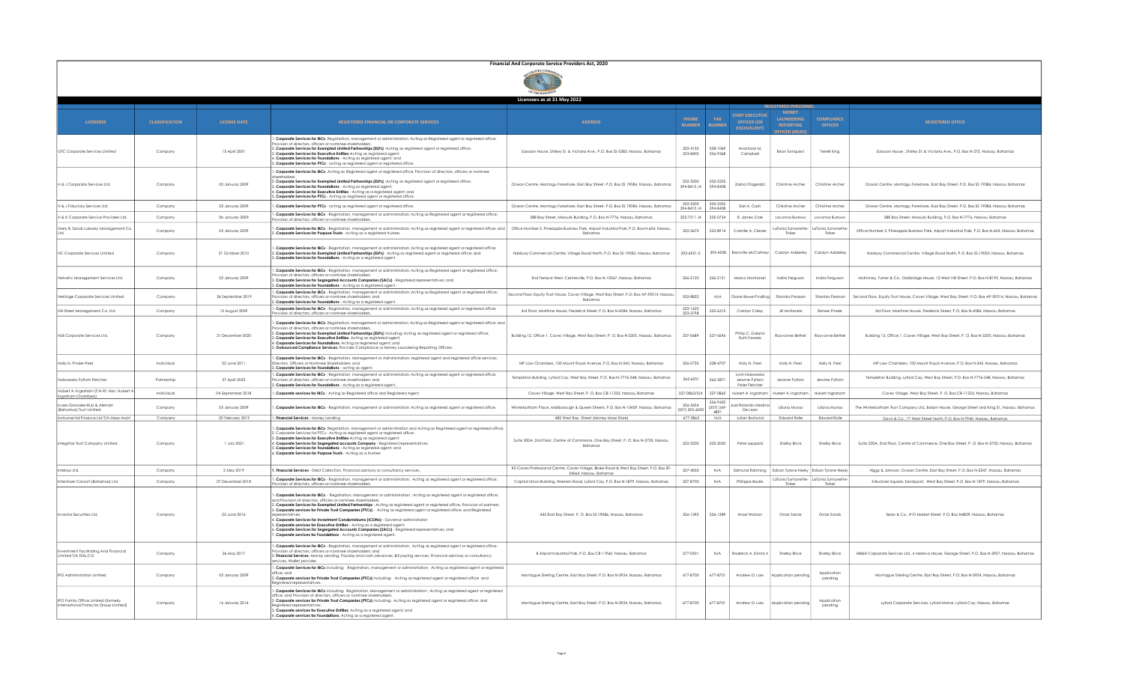

|                                                                              |                       |                     |                                                                                                                                                                                                                                                                                                                                                                                                                                                                                                                                                                                                                                                                                                                                                                                                                                  | Licensees as at 31 May 2022                                                                                      |                               |                               |                                                                    |                                                                     |                                     |                                                                                                      |
|------------------------------------------------------------------------------|-----------------------|---------------------|----------------------------------------------------------------------------------------------------------------------------------------------------------------------------------------------------------------------------------------------------------------------------------------------------------------------------------------------------------------------------------------------------------------------------------------------------------------------------------------------------------------------------------------------------------------------------------------------------------------------------------------------------------------------------------------------------------------------------------------------------------------------------------------------------------------------------------|------------------------------------------------------------------------------------------------------------------|-------------------------------|-------------------------------|--------------------------------------------------------------------|---------------------------------------------------------------------|-------------------------------------|------------------------------------------------------------------------------------------------------|
|                                                                              |                       |                     |                                                                                                                                                                                                                                                                                                                                                                                                                                                                                                                                                                                                                                                                                                                                                                                                                                  |                                                                                                                  |                               |                               |                                                                    |                                                                     |                                     |                                                                                                      |
| <b>LICENSEES</b>                                                             | <b>CLASSIFICATION</b> | <b>LICENSE DATE</b> | <b>REGISTERED FINANCIAL OR CORPORATE SERVICES</b>                                                                                                                                                                                                                                                                                                                                                                                                                                                                                                                                                                                                                                                                                                                                                                                | <b>ADDRESS</b>                                                                                                   | <b>PHONE</b><br><b>NUMBER</b> | FAX<br><b>NUMBER</b>          | <b>CHIEF EXECUTIVE</b><br><b>OFFICER (OR</b><br><b>EQUIVALENT)</b> | <b>MONEY</b><br>LAUNDERING<br><b>REPORTING</b><br><b>FICER (MLI</b> | <b>COMPLIANCE</b><br><b>OFFICER</b> | <b>REGISTERED OFFICE</b>                                                                             |
| GTC Corporate Services Limited                                               | Company               | 15 April 2001       | . Corporate Services for IBCs- Registration, management or administration; Acting as Registered agent or registered office;<br>ision of directors, officers or nominee shareholders<br>. Corporate Services for Exempted Limited Partnerships (ELPs) -Acting as registered agent or registered office;<br>Corporate Services for Executive Entities-Acting as registered agent;<br>. Corporate Services for Foundations - Acting as registered agent; and<br>5. Corporate Services for PTCs - acting as registered agent or registered office.                                                                                                                                                                                                                                                                                   | Sassoon House, Shirley St. & Victoria Ave., P.O. Box SS-5383, Nassau, Bahamas                                    | 322-4130<br>323-8405          | 328-1069<br>356-9368          | Anastasia M<br>Campbel                                             | <b>Brign Turnguest</b>                                              | Terrell King                        | Sassoon House, Shirley St. & Victoria Ave., P.O. Box N-272, Nassau, Bahamas                          |
| H & J Corporate Services Ltd.                                                | Company               | 05 January 2009     | . Corporate Services for IBCs- Acting as Registered agent or registered office; Provision of directors, officers or nominee<br>). Corporate Services for Exempted Limited Partnerships (ELPs) -Acting as registered agent or registered office;<br>8. Corporate Services for Foundations - Acting as registered agent;<br>I. Corporate Services for Executive Entitles - Acting as a registered agent; and<br>. Corporate Services for PTCs - Acting as registered agent or registered office.                                                                                                                                                                                                                                                                                                                                   | Ocean Centre, Montagu Foreshore, East Bay Street, P.O. Box SS 19084, Nassau, Bahamas                             | 502-5200<br>394-8410 /4       | 502-5255<br>394-8408          | Zarina Fitzaerald                                                  | Christine Archer                                                    | Christine Archer                    | Ocean Centre, Montagu Foreshore, East Bay Street, P.O. Box SS 19084, Nassau, Bahamas                 |
| H & J Fiduciary Services Ltd.                                                | Company               | 05 January 2009     | . Corporate Services for PTCs - acting as registered agent or registered office.                                                                                                                                                                                                                                                                                                                                                                                                                                                                                                                                                                                                                                                                                                                                                 | Ocean Centre, Montagu Foreshore, East Bay Street, P.O. Box SS 19084, Nassau, Bahamas                             | 502-5200<br>394-8410/4        | 502-5255<br>394-8408          | Earl A. Cash                                                       | Christine Archer                                                    | Christine Archer                    | Ocean Centre, Montagu Foreshore, East Bay Street, P.O. Box SS 19084, Nassau, Bahamas                 |
| H & K Corporate Service Providers Ltd                                        | Company               | 5b January 2009     | . Corporate Services for IBCs - Registration, management or administration; Acting as Registered agent or registered office;<br>ision of directors, officers or nominee shareholders                                                                                                                                                                                                                                                                                                                                                                                                                                                                                                                                                                                                                                             | 388 Bay Street, Migoulis Building, P.O. Box N-7776, Nassau, Bahamas                                              | 322-7511 /4                   | 325-0724                      | R. James Cole                                                      | Lavonna Burrows                                                     | Lavonna Burrow:                     | 388 Bay Street, Miaoulis Building, P.O. Box N-7776, Nassau, Bahamas                                  |
| Harry B. Sands Lobosky Management Co                                         | Company               | 05 January 2009     | . Corporate Services for IBCs - Registration, management or administration; Acting as registered agent or registered office; and<br>. Corporate Services for Purpose Trusts - Actina as a reaistered trustee.                                                                                                                                                                                                                                                                                                                                                                                                                                                                                                                                                                                                                    | Office Number 2, Pineapple Business Park, Airport Industrial Park, P.O. Box N-624, Nassau,<br>Bahamas            | 322-2670                      | 323-8914                      | Camille A. Cleare                                                  | aTonia Symonette-<br>Tinker                                         | Tonia Symonette<br>Tinker           | Office Number 2, Pineapple Business Park, Airport Industrial Park, P.O. Box N-624, Nassau, Bahamas   |
| <b>HC Corporate Services Limited</b>                                         | Company               | 21 October 2010     | . Corporate Services for IBCs - Registration, management or administration: Acting as registered gaent or registered office:<br>. Corporate Services for Exempted Limited Partnerships (ELPs) - Acting as registered agent or registered office; and<br>8. Corporate Services for Foundations - Acting as a registered agent.                                                                                                                                                                                                                                                                                                                                                                                                                                                                                                    | Halsbury Commercial Centre, Village Road North, P.O. Box SS-19050, Nassau, Bahamas                               | 393-4551-5                    | 393-4558                      | Branville McCartney                                                | Carolyn Adderley                                                    | Carolyn Adderley                    | Halsbury Commercial Centre, Village Road North, P.O. Box SS-19050, Nassau, Bahamas                   |
| Helvetic Management Services Ltd.                                            | Company               | 05 January 2009     | . Corporate Services for IBCs - Registration, management or administration; Acting as Registered agent or registered office;<br>rovision of directors, officers or nominee shareholders<br>. Corporate Services for Segregated Accounts Companies (SACs) - Registered representatives; and<br>. Corporate Services for Foundations - Acting as a registered agent.                                                                                                                                                                                                                                                                                                                                                                                                                                                               | 2nd Terrace West, Centreville, P.O. Box N-10567, Nassau, Bahamas                                                 | 326-2150                      | 326-2151                      | Marco Montanari                                                    | Indira Ferguson                                                     | Indira Ferguson                     | McKinney, Turner & Co., Oakbridge House, 13 West Hill Street, P.O. Box N-8195, Nassau, Bahamas       |
| Heritage Corporate Services Limited                                          | Company               | 26 September 2019   | . Corporate Services for IBCs - Registration, management or administration; Acting as Registered agent or registered office;<br>rovision of directors, officers or nominee shareholders; and<br>2. Corporate Services for Foundations - Acting as a registered agent                                                                                                                                                                                                                                                                                                                                                                                                                                                                                                                                                             | Second Floor, Equity Trust House, Caves Village, West Bay Street, P.O. Box AP-59214, Nassau<br>Bahamas           | 502-8822                      | N/A                           | Diane Bowe-Pindling                                                | Shanika Pearson                                                     | Shanika Pearson                     | Second Floor, Equity Trust House, Caves Village, West Bay Street, P.O. Box AP-59214, Nassau, Bahamas |
| Hill Street Management Co. Ltd.                                              | Company               | 12 August 2009      | Corporate Services for IBCs - Registration, management or administration; Acting as registered agent or registered office;<br>ision of directors, officers or nominee shareholders                                                                                                                                                                                                                                                                                                                                                                                                                                                                                                                                                                                                                                               | 3rd Floor, Maritime House, Frederick Street, P.O. Box N-4584, Nassau, Bahamas                                    | 322-1620<br>323-3798          | 322-6312                      | Carolyn Caley                                                      | Jill McKenzie                                                       | Renee Pinder                        | 3rd Floor, Maritime House, Frederick Street, P.O. Box N-4584, Nassau, Bahamas                        |
| HLB Corporate Services Ltd.                                                  | Company               | 31 December 2020    | . Corporate Services for IBCs- Registration, management or administration; Acting as Registered agent or registered office; and<br>vision of directors, officers or nominee shareholde<br>. Corporate Services for Exempted Limited Partnerships (ELPs) including: Acting as registered agent or registered office;<br>8. Corporate Services for Executive Entities: Acting as registered agent<br>I. Corporate Services for Foundations: Acting as registered agent; and<br>. Outsourced Compliance Services: Provides Compliance or Money Launderina Reporting Officers                                                                                                                                                                                                                                                        | Building 12, Office 1, Caves Village, West Bay Street, P. O. Box N-3205, Nassau, Bahamas                         | 327-0689                      | 327-0696                      | Philip C. Galanis<br><b>Ruth Fawkes</b>                            | Rayvonne Bethel                                                     | Rayvonne Bethel                     | Building 12, Office 1, Caves Village, West Bay Street, P. O. Box N-3205, Nassau, Bahamas             |
| Holly N. Pinder-Peel                                                         | Individual            | 22 June 2011        | . Corporate Services for IBCs - Registration, Management or Administration; registered agent and registered office services;<br>Directors, Officers or Nominee Shareholders; and<br>. Corporate Services for Foundations - acting as agent                                                                                                                                                                                                                                                                                                                                                                                                                                                                                                                                                                                       | MP Law Chambers, 100 Mount Royal Avenue, P.O. Box N-345, Nassau, Bahamas                                         | 326-2730                      | 328-4707                      | Holly N. Peel                                                      | Holly N. Peel                                                       | Holly N. Peel                       | MP Law Chambers, 100 Mount Royal Avenue, P.O. Box N-345, Nassau, Bahamas                             |
| Holowesko Pyfrom Fletcher                                                    | Partnership           | 27 April 2022       | . Corporate Services for IBCs - Registration, management or administration; Acting as registered agent or registered office;<br>ovision of directors, officers or nominee shareholders; and<br>. Corporate Services for Foundations - Actina as a reaistered agent                                                                                                                                                                                                                                                                                                                                                                                                                                                                                                                                                               | Templeton Building, Lyford Cay, West Bay Street, P.O. Box N-7776-348, Nassau, Bahamas                            | 362-6251                      | 362-5871                      | <b>Lynn Holowesko</b><br>Jerome Pyfrom<br>Peter Fletcher           | Jerome Pyfrom                                                       | Jerome Pyfrom                       | Templeton Building, Lyford Cay, West Bay Street, P.O. Box N-7776-348, Nassau, Bahamas                |
| Hubert A. Ingraham (T/A Rt. Hon. Hubert /<br>Ingraham Chambers               | Individual            | 04 September 2018   | . Corporate services for IBCs - Acting as Registered office and Registered Agent.                                                                                                                                                                                                                                                                                                                                                                                                                                                                                                                                                                                                                                                                                                                                                | Caves Village, West Bay Street, P. O. Box CB-11233, Nassau, Bahamas                                              | 327-0862/3/4                  | 327-0865                      | Hubert A. Ingraham                                                 | Hubert A. Ingraham                                                  | Hubert Ingraham                     | Caves Village, West Bay Street, P. O. Box CB-11233, Nassau, Bahamas                                  |
| Icaza Gonzalez-Ruiz & Aleman<br>(Bahamas) Trust Limited                      | Company               | 05 January 2009     | . Corporate Services for IBCs - Registration, management or administration; Acting as registered agent or registered office.                                                                                                                                                                                                                                                                                                                                                                                                                                                                                                                                                                                                                                                                                                     | Winterbotham Place, Marlborough & Queen Streets, P.O. Box N-10429, Nassau, Bahamas                               | 356-5454<br>(507) 205-6000    | 356-9432<br>(507) 269<br>4891 | oel Rolando Medin<br>De Leon                                       | Liliana Munoz                                                       | Liliana Munoz                       | The Winterbotham Trust Company Ltd., Bolam House, George Street and King St., Nassau, Bahamas        |
| Instrumental Finance Ltd T/A Maxx Assist                                     | Company               | 20 February 2019    | . Financial Services - Money Lending                                                                                                                                                                                                                                                                                                                                                                                                                                                                                                                                                                                                                                                                                                                                                                                             | 482 West Bay Street (Money Maxx Store)                                                                           | 677-2865                      | N/A                           | <b>Julian Bostwick</b>                                             | <b>Edward Rolle</b>                                                 | <b>Edward Rolle</b>                 | Davis & Co., 17 West Street North, P.O. Box N-7940, Nassau, Bahamas                                  |
| Integritas Trust Company Limited                                             | Company               | 1 luly 2021         | . Corporate Services for IBCs- Registration, management or administration and Acting as Registered agent or registered office;<br>Corporate Services for PTCs - Acting as registered agent or registered office;<br>8. Corporate Services for Executive Entities-Acting as registered agent;<br>I. Corporate Services for Segregated accounts Company - Registered representatives;<br>. Corporate Services for Foundations - Acting as registered agent; and<br>. Corporate Services for Purpose Trusts - Acting as a trustee;                                                                                                                                                                                                                                                                                                  | Suite 200A, 2nd Floor, Centre of Commerce, One Bay Street, P. O. Box N-3703, Nassau,<br>Bahamas                  | 322-2200                      | 322-2030                      | Peter Leppard                                                      | Shelby Brice                                                        | Shelby Brice                        | Suite 200A, 2nd Floor, Centre of Commerce, One Bay Street, P. O. Box N-3703, Nassau, Bahamas         |
| ntelisys Ltd.                                                                | Company               | 2 May 2019          | . Financial Services - Debt Collection, Financial advisory or consultancy services.                                                                                                                                                                                                                                                                                                                                                                                                                                                                                                                                                                                                                                                                                                                                              | #2 Caves Professional Centre, Caves Village, Blake Road & West Bay Street, P.O. Box SP-<br>54064, Nassau, Bahama | 327-4003                      | N/A                           | Edmund Rahming                                                     | Edison Tyrone Neely Edison Tyrone Neely                             |                                     | Higgs & Johnson, Ocean Centre, East Bay Street, P.O. Box N-3247, Nassau, Bahamas                     |
| Intershore Consult (Bahamas) Ltd.                                            | Company               | 07 December 2018    | . Corporate Services for IBCs - Registration, management or administration; Acting as registered agent or registered office;<br>ision of directors, officers or nominee shareholders                                                                                                                                                                                                                                                                                                                                                                                                                                                                                                                                                                                                                                             | Capital Union Building, Western Road, Lyford Cay, P.O. Box N-1879, Nassau, Bahamas                               | 327-8700                      | N/A                           | Philippe Boulle                                                    | aTonia Symonette-<br>Tinker                                         | LaTonia Symonett<br>Tinker          | 4 Buckner Sauare, Sandyport, West Bay Street, P.O. Box N-1879, Nassau, Bahamas                       |
| Investar Securities Ltd.                                                     | Company               | 23 June 2016        | . Corporate Services for IBCs - Registration, Management or administration ; Acting as registered agent or registered office;<br>nd Provision of directors, officers or nominee shareholde<br>2. Corporate Services for Exempted Limited Partnerships - Acting as registered agent or registered office; Provision of partners;<br>3. Corporate services for Private Trust Companies (PTCs) - Acting as registered agent or registered office; and Registered<br>presentative.<br>I. Corporate Services for Investment Condominiums (ICONs) - Governor administrator;<br>. Corporate services for Executive Entities - Acting as a registered agent;<br>. Corporate Services for Segregated Accounts Companies (SACs) - Registered representatives; and<br>'. Corporate services for Foundations - Acting as a registered agent. | 443 East Bay Street, P. O. Box SS-19086, Nassau, Bahamas                                                         | 326-1390                      | 326-1389                      | Ansel Watson                                                       | Omar Sands                                                          | Omar Sands                          | Sears & Co., #10 Market Street, P.O. Box N4839, Nassau, Bahamas                                      |
| stment Facilitating And Financial<br>Limited T/A Dilly.CO                    | Company               | 26 May 2017         | . Corporate Services for IBCs - Registration, management or administration; Acting as registered agent or registered office;<br>sion of directors, officers or nominee shareholders; and<br>. Financial Services- Money Lending, Payday and cash advances, Bill paying services, Financial advisory or consultancy<br>ervices. Wallet provider                                                                                                                                                                                                                                                                                                                                                                                                                                                                                   | 8 Airport Industrial Park, P.O. Box CB-11960, Nassau, Bahamas                                                    | 377-0501                      | N/A                           | Roderick A. Simms II                                               | Shelby Brice                                                        | Shelby Brice                        | MB&H Corporate Services Ltd., 4 Mareva House, George Street, P.O. Box N-3937, Nassau, Bahamas        |
| IPG Administration Limited                                                   | Company               | 05 January 2009     | 1. Corporate Services for IBCs including: Registration, management or administration; Acting as registered agent or registered<br>office; and<br>2. Corporate services for Private Trust Companies (PTCs) including: Acting as registered agent or registered office and<br>egistered representatives                                                                                                                                                                                                                                                                                                                                                                                                                                                                                                                            | Montague Sterling Centre, East Bay Street, P.O. Box N-3924, Nassau, Bahamas                                      | 677-8700                      | 677-8701                      | Andrew D. Law                                                      | Application pendin                                                  | Application<br>pending              | Montague Sterling Centre, East Bay Street, P.O. Box N-3924, Nassau, Bahamas                          |
| IPG Family Office Limited (formerly<br>International Protector Group Limited | Company               | 16 January 2014     | . Corporate Services for IBCs including: Registration, Management or administration ; Acting as registered agent or registered<br>office; and Provision of directors, officers or nominee sharehold<br>2. Corporate services for Private Trust Companies (PTCs) including: Acting as registered agent or registered office; and<br>eaistered representative<br>3. Corporate services for Executive Entities: Acting as a registered agent; and<br>4. Corporate services for Foundations: Actina as a reaistered agent.                                                                                                                                                                                                                                                                                                           | Montague Sterling Centre, East Bay Street, P.O. Box N-3924, Nassau, Bahamas                                      | 677-8700                      | 677-8701                      | Andrew D. Law                                                      | Application pendina                                                 | Application<br>pending              | Lyford Corporate Services, Lyford Manor, Lyford Cay, Nassau, Bahamas                                 |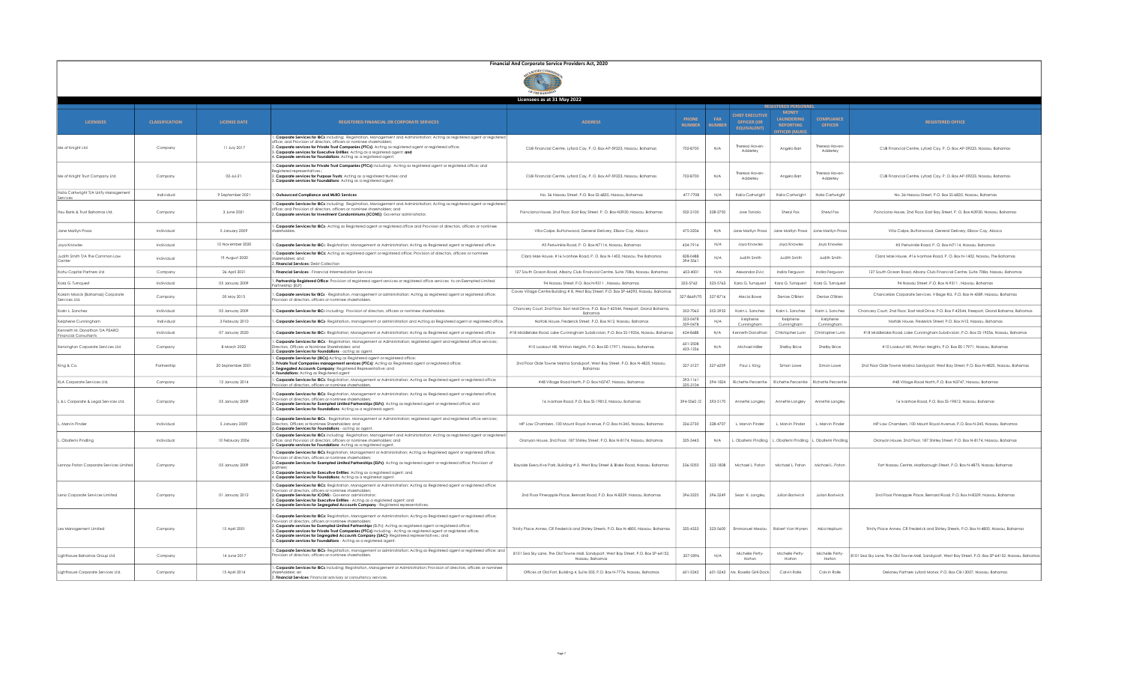|                                                               | Financial And Corporate Service Providers Act, 2020 |                     |                                                                                                                                                                                                                                                                                                                                                                                                                                                                                                                                                                                                          |                                                                                                          |                               |                             |                                                                    |                                                                              |                                     |                                                                                                       |
|---------------------------------------------------------------|-----------------------------------------------------|---------------------|----------------------------------------------------------------------------------------------------------------------------------------------------------------------------------------------------------------------------------------------------------------------------------------------------------------------------------------------------------------------------------------------------------------------------------------------------------------------------------------------------------------------------------------------------------------------------------------------------------|----------------------------------------------------------------------------------------------------------|-------------------------------|-----------------------------|--------------------------------------------------------------------|------------------------------------------------------------------------------|-------------------------------------|-------------------------------------------------------------------------------------------------------|
|                                                               |                                                     |                     |                                                                                                                                                                                                                                                                                                                                                                                                                                                                                                                                                                                                          |                                                                                                          |                               |                             |                                                                    |                                                                              |                                     |                                                                                                       |
|                                                               |                                                     |                     |                                                                                                                                                                                                                                                                                                                                                                                                                                                                                                                                                                                                          | Licensees as at 31 May 2022                                                                              |                               |                             |                                                                    |                                                                              |                                     |                                                                                                       |
| <b>LICENSEES</b>                                              | <b>CLASSIFICATION</b>                               | <b>LICENSE DATE</b> | <b>REGISTERED FINANCIAL OR CORPORATE SERVICES</b>                                                                                                                                                                                                                                                                                                                                                                                                                                                                                                                                                        | <b>ADDRESS</b>                                                                                           | <b>PHONE</b><br><b>NUMBER</b> | <b>FAX</b><br><b>NUMBER</b> | <b>CHIEF EXECUTIVE</b><br><b>OFFICER (OR</b><br><b>EQUIVALENT)</b> | <b>MONEY</b><br><b>LAUNDERING</b><br><b>REPORTING</b><br><b>FEICER (MIRC</b> | <b>COMPLIANCE</b><br><b>OFFICER</b> | <b>REGISTERED OFFICE</b>                                                                              |
| Isle of Knight Ltd                                            | Company                                             | 11 July 2017        | Corporate Services for IBCs including: Registration, Management and Administration; Acting as registered agent or registered<br>ffice; and Provision of directors, officers or nominee shareholder<br>. Corporate services for Private Trust Companies (PTCs): Acting as registered agent or registered office;<br>. Corporate services for Executive Entities: Acting as a registered agent; and<br>4. Corporate services for Foundations: Acting as a reaistered gaent.                                                                                                                                | CUB Financial Centre, Lyford Cay, P. O. Box AP-59223, Nassau, Bahamas                                    | 702-8700                      | N/A                         | Theresa Haven<br>Adderley                                          | Angelo Barr                                                                  | heresa Haven<br>Adderley            | CUB Financial Centre, Lyford Cay, P. O. Box AP-59223, Nassau, Bahamas                                 |
| Isle of Knight Trust Company Ltd.                             | Company                                             | $02 - Jul - 21$     | . Corporate services for Private Trust Companies (PTCs) including: Acting as registered agent or registered office; and<br>Reaistered representatives<br>2. Corporate services for Purpose Trusts: Actina as a reaistered trustee: and<br>Corporate services for Foundations: Acting as a registered agent.                                                                                                                                                                                                                                                                                              | CUB Financial Centre, Lyford Cay, P. O. Box AP-59223, Nassau, Bahamas                                    | 702-8700                      | N/A                         | Theresa Haver<br>Adderley                                          | Angelo Barr                                                                  | heresa Haver<br>Adderley            | CUB Financial Centre, Lyford Cav, P. O. Box AP-59223, Nassau, Bahamas                                 |
| Italia Cartwright T/A Unify Managemen<br>Service:             | Individual                                          | 9 September 2021    | . Outsourced Compliance and MLRO Services                                                                                                                                                                                                                                                                                                                                                                                                                                                                                                                                                                | No. 36 Nassau Street, P.O. Box SS-6835, Nassau, Bahamas                                                  | 477-7708                      | N/A                         | Italia Cartwright                                                  | Italia Cartwright                                                            | Italia Cartwright                   | No. 36 Nassau Street, P.O. Box SS-6835, Nassau, Bahamas                                               |
| Itau Bank & Trust Bahamas Ltd.                                | Company                                             | 3 June 2021         | . Corporate Services for IBCs including: Registration, Management and Administration; Acting as registered agent or registered<br>office: and Provision of directors, officers or nominee shareholders; and<br>2. Corporate services for Investment Condominiums (ICONS): Governor administrator.                                                                                                                                                                                                                                                                                                        | Poinciana House, 2nd Floor, East Bay Street, P.O. Box-N3930, Nassau, Bahamas                             | 502-3100                      | 328-2750                    | Jose Toniolo                                                       | Sheryl Fox                                                                   | Sheryl Fox                          | Poinciana House, 2nd Floor, East Bay Street, P. O. Box-N3930, Nassau, Bahamas                         |
| Jane Marilyn Prosa                                            | Individual                                          | 5 January 2009      | . Corporate Services for IBCs- Acting as Registered agent or registered office and Provision of directors, officers or nominee<br>hareholders                                                                                                                                                                                                                                                                                                                                                                                                                                                            | Villa Calpe, Buttonwood, General Delivery, Elbow Cay, Abaco                                              | 475-3206                      | N/A                         | Jane Marilyn Proso                                                 | Jane Marilyn Prosa                                                           | Jane Marilyn Prose                  | Villa Calpe, Buttonwood, General Delivery, Elbow Cay, Abaco                                           |
| Joya Knowles                                                  | Individual                                          | 10 November 2020    | . Corporate Services for IBCs: Registration, Management or Administration; Acting as Registered agent or registered office                                                                                                                                                                                                                                                                                                                                                                                                                                                                               | #5 Periwinkle Road, P. O. Box-N7114, Nassau, Bahamas                                                     | 424-7914                      | N/A                         | Jova Knowles                                                       | Jova Knowles                                                                 | Jova Knowles                        | #5 Periwinkle Road, P. O. Box-N7114, Nassau, Bahamas                                                  |
| Judith Smith T/A The Common Law<br>Center                     | Individual                                          | 19 August 2020      | . Corporate Services for IBCs: Acting as registered agent or registered office; Provision of directors, officers or nominee<br>areholders; and<br><b>Financial Services: Debt Collection</b>                                                                                                                                                                                                                                                                                                                                                                                                             | Clara Mae House, #16 Ivanhoe Road, P. O. Box N-1402, Nassau, The Bahamas                                 | 828-0488<br>394-5561          | N/A                         | <b>Judith Smith</b>                                                | <b>Judith Smith</b>                                                          | <b>Judith Smith</b>                 | Clara Mae House, #16 Ivanhoe Road, P. O. Box N-1402, Nassau, The Bahamas                              |
| Kahu Capital Partners Ltd                                     | Company                                             | 26 April 2021       | . Financial Services - Financial Intermediation Services                                                                                                                                                                                                                                                                                                                                                                                                                                                                                                                                                 | 127 South Ocean Road, Albany Club Financial Centre, Suite 708a, Nassau, Bahamas                          | 603-4001                      | N/A                         | Alexandar Zivic                                                    | Indira Ferguson                                                              | Indira Ferguson                     | 127 South Ocean Road, Albany Club Financial Centre, Suite 708a, Nassau, Bahamas                       |
| Kara G. Turnquest                                             | Individual                                          | 05 January 2009     | . Partnership Registered Office: Provision of registered agent services or registered office services to an Exempted Limited<br><sup>9</sup> artnership (ELP)                                                                                                                                                                                                                                                                                                                                                                                                                                            | 94 Nassau Street, P.O. Box N-9311, Nassau, Bahamas                                                       | 323-5762                      | 323-5763                    | Kara G. Turnquest                                                  | Kara G. Turnquest                                                            | Kara G. Turnquest                   | 94 Nassau Street, P.O. Box N-9311, Nassau, Bahamas                                                    |
| Karam Missick (Bahamas) Corporate<br>Services Ltd.            | Company                                             | 05 May 2015         | . Corporate services for IBCs - Registration, management or administration; Acting as registered agent or registered office;<br>Provision of directors, officers or nominee shareholders.                                                                                                                                                                                                                                                                                                                                                                                                                | Caves Village Centre Building # 8, West Bay Street, P.O. Box SP-64293, Nassau, Bahamas                   | 327-8669/70                   | 327-8716                    | Alecia Bowe                                                        | Denise O'Brien                                                               | Denise O'Rrien                      | Chancellors Corporate Services, Village Rd., P.O. Box N-4589, Nassau, Bahamas                         |
| Karin L. Sanchez                                              | Individual                                          | 05 January 2009     | . Corporate Services for IBCs including: Provision of directors, officers or nominee shareholders.                                                                                                                                                                                                                                                                                                                                                                                                                                                                                                       | Chancery Court, 2nd Floor, East Mall Drive, P.O. Box F-42544, Freeport, Grand Bahama,<br>Bahama          | 352-7063                      | 352-3932                    | Karin L. Sanchez                                                   | Karin L. Sanchez                                                             | Karin L. Sanchez                    | Chancery Court, 2nd Floor, East Mall Drive, P.O. Box F-42544, Freeport, Grand Bahama, Bahamas         |
| Kelphene Cunningham                                           | Individual                                          | 3 February 2010     | Corporate Services for IBCs- Registration, management or administration and Acting as Registered agent or registered office                                                                                                                                                                                                                                                                                                                                                                                                                                                                              | Norfolk House, Frederick Street, P.O. Box N12, Nassau, Bahamas                                           | 323-0478<br>359-0478          | N/A                         | Kelphene<br>Cunningham                                             | Kelphene<br>Cunningham                                                       | Kelphene<br>Cunningham              | Norfolk House, Frederick Street, P.O. Box N12, Nassau, Bahamas                                        |
| Kenneth M. Donathan T/A PEARO<br><b>Financial Consultants</b> | Individual                                          | 07 January 2020     | . Corporate Services for IBCs: Registration, Management or Administration; Acting as Registered agent or registered office                                                                                                                                                                                                                                                                                                                                                                                                                                                                               | #18 Middlelake Road, Lake Cunningham Subdivision, P.O. Box SS-19256, Nassau, Bahamas                     | 424-8688                      | N/A                         | Kenneth Donathar                                                   | Christopher Lunr                                                             | Christopher Lunn                    | #18 Middlelake Road, Lake Cunningham Subdivision, P.O. Box SS-19256, Nassau, Bahamas                  |
| Kensington Corporate Services Ltd                             | Company                                             | 8 March 2022        | . Corporate Services for IBCs - Registration, Management or Administration; registered agent and registered office services;<br>lirectors, Officers or Nominee Shareholders; and<br>Corporate Services for Foundations - acting as agent                                                                                                                                                                                                                                                                                                                                                                 | #10 Lookout Hill, Winton Heights, P.O. Box EE-17971, Nassau, Bahamas                                     | 601-2508<br>423-1236          | N/A                         | Michael Miller                                                     | Shelby Brice                                                                 | Shelby Brice                        | #10 Lookout Hill, Winton Heights, P.O. Box EE-17971, Nassau, Bahamas                                  |
| King & Co.                                                    | Partnership                                         | 20 September 2001   | . Corporate Services for (IBCs) Acting as Registered agent or registered office;<br>Private Trust Companies management services (PTCs): Acting as Registered agent or registered office;<br>3. Segregated Accounts Company: Registered Representative; and<br>. Foundations: Actina as Reaistered agent                                                                                                                                                                                                                                                                                                  | 2nd Floor Olde Towne Marina Sandyport, West Bay Street, P.O. Box N-4825, Nassau<br>Bahamas               | 327-3127                      | 327-6259                    | Paul J. Kina                                                       | Simon Lowe                                                                   | Simon Lowe                          | 2nd Floor Olde Towne Marina Sandvport, West Bay Street, P.O. Box N-4825, Nassau, Bahamas              |
| KLA Corporate Services Ltd.                                   | Company                                             | 12 January 2014     | . Corporate Services for IBCs: Registration, Management or Administration; Acting as Registered agent or registered office;<br>ovision of directors, officers or nominee shareholders                                                                                                                                                                                                                                                                                                                                                                                                                    | #48 Village Road North, P.O. Box N3747, Nassau, Bahamas                                                  | 393-1161<br>325-3104          | 394-1824                    | Richette Percentie                                                 | Richette Percentie                                                           | Richette Percentie                  | #48 Village Road North, P.O. Box N3747, Nassau, Bahamas                                               |
| L & L Corporate & Legal Services Ltd.                         | Company                                             | 05 January 2009     | . Corporate Services for IBCs: Registration, Management or Administration; Acting as Registered agent or registered office;<br>ovision of directors, officers or nominee shareholders<br>. Corporate Services for Exempted Limited Partnerships (ELPs): Acting as registered agent or registered office; and<br>. Corporate Services for Foundations: Acting as a registered agent.                                                                                                                                                                                                                      | 16 Ivanhoe Road, P.O. Box SS-19812, Nassau, Bahamas                                                      | 394-5560 /2                   | 393-5170                    | Annette Longley                                                    | Annette Longley                                                              | Annette Longley                     | 16 Ivanhoe Road, P.O. Box SS-19812. Nassau, Bahamas                                                   |
| L. Marvin Pinder                                              | Individual                                          | 5 January 2009      | . Corporate Services for IBCs - Registration, Management or Administration; registered agent and registered office services;<br>Directors, Officers or Nominee Shareholders; and<br>. Corporate Services for Foundations - acting as agent                                                                                                                                                                                                                                                                                                                                                               | MP Law Chambers, 100 Mount Roval Avenue, P.O. Box N-345, Nassau, Bahamas                                 | 326-2730                      | 328-4707                    | L. Marvin Pinder                                                   | L. Marvin Pinder                                                             | Marvin Pinder                       | MP Law Chambers, 100 Mount Royal Avenue, P.O. Box N-345, Nassau, Bahamas                              |
| Obafemi Pindling                                              | Individual                                          | 10 February 2006    | . Corporate Services for IBCs including: Registration, Management and Administration; Acting as registered agent or registere<br>ffice; and Provision of directors, officers or nominee shareholders; and<br>. Corporate services for Foundations: Acting as a registered agent.                                                                                                                                                                                                                                                                                                                         | Oranyan House, 2nd Floor, 187 Shirley Street, P.O. Box N-8174, Nassau, Bahamas                           | 325-3443                      | N/A                         | Obafemi Pindling                                                   | Obafemi Pindling   L. Obafemi Pindlin                                        |                                     | Oranyan House, 2nd Floor, 187 Shirley Street, P.O. Box N-8174, Nassau, Bahamas                        |
| Lennox Paton Corporate Services Limited                       | Company                                             | 05 January 2009     | . Corporate Services for IBCs Registration, Management or Administration; Acting as Registered agent or registered office;<br>ovision of directors, officers or nominee shareholders<br>2. Corporate Services for Exempted Limited Partnerships (ELPs): Acting as registered agent or registered office; Provision of<br>3. Corporate Services for Executive Entities: Actina as a reaistered agent: and<br>. Corporate Services for Foundations: Actina as a reaistered agent.                                                                                                                          | Bayside Executive Park, Building # 3, West Bay Street & Blake Road, Nassau, Bahamas                      | 326-5050                      | 323-1808                    | Michael L. Paton                                                   | Michael L. Paton                                                             | Michael L. Paton                    | Fort Nassau Centre, Marlborough Street, P.O. Box N-4875, Nassau Bahamas                               |
| Leno Corporate Services Limited                               | Company                                             | 01 January 2012     | . Corporate Services for IBCs: Registration, Management or Administration; Acting as Registered agent or registered office;<br>ovision of directors, officers or nominee shareholders<br>2. Corporate Services for ICONS:- Governor administrator:<br>3. Corporate Services for Executive Entities - Acting as a registered agent; and<br>. Corporate Services for Segregated Accounts Company - Registered representatives.                                                                                                                                                                             | 2nd Floor Pineapple Place, Bernard Road, P.O. Box N-8339, Nassau, Bahamas                                | 396-3225                      | 396-3249                    | Sean K. Longley                                                    | Julian Bostwick                                                              | Julian Bostwick                     | 2nd Floor Pineapple Place, Bernard Road, P.O. Box N-8339, Nassau, Bahamas                             |
| Lex Management Limited                                        | Company                                             | 15 April 2001       | . Corporate Services for IBCs: Registration, Management or Administration; Acting as Registered agent or registered office;<br>ovision of directors, officers or nominee shareholders<br>. Corporate services for Exempted Limited Partnerships (ELPs): Acting as registered agent or registered office;<br>Corporate services for Private Trust Companies (PTCs) including - Acting as registered agent or registered office;<br>1. Corporate services for Segregated Accounts Company (SAC)- Registered representatives.; and<br>5. Corporate services for Foundations - Acting as a registered agent. | Trinity Place Annex, CR Frederick and Shirley Streets, P.O. Box N-4805, Nassau, Bahamas                  | 325-4333                      | 323-5600                    | Emmanuel Alexiou                                                   | Robert Van Wynen                                                             | Akia Hepburn                        | Trinity Place Annex, CR Frederick and Shirley Streets, P.O. Box N-4805, Nassau, Bahamas               |
| Lighthouse Bahamas Group Ltd                                  | Company                                             | 14 June 2017        | . Corporate Services for IBCs- Registration, management or administration; Acting as Registered agent or registered office; and<br>ovision of directors, officers or nominee shareholders                                                                                                                                                                                                                                                                                                                                                                                                                | 8101 Sea Sky Lane, The Old Towne Mall, Sandyport, West Bay Street, P.O. Box SP-64152,<br>Nassau, Bahamas | 327-0396                      | N/A                         | Michelle Petty<br>Horton                                           | Michelle Petty-<br>Horton                                                    | Michelle Petty-<br>Horton           | 8101 Sea Sky Lane. The Old Towne Mall, Sandyport, West Bay Street, P.O. Box SP-64152, Nassau, Bahamas |
| Lighthouse Corporate Services Ltd.                            | Company                                             | 15 April 2014       | . Corporate Services for IBCs including: Registration, Management or Administration; Provision of directors, officers or nominee<br>2. Financial Services: Financial advisory or consultancy services                                                                                                                                                                                                                                                                                                                                                                                                    | Offices at Old Fort, Building 4, Suite 303, P.O. Box N-7776, Nassau, Bahamas                             | 601-5242                      | 601-5243                    | Ms. Rosella Grill-Dack                                             | Calvin Rolle                                                                 | Calvin Rolle                        | Delaney Partners Lyford Manor, P.O. Box CB-13007, Nassau, Bahamas                                     |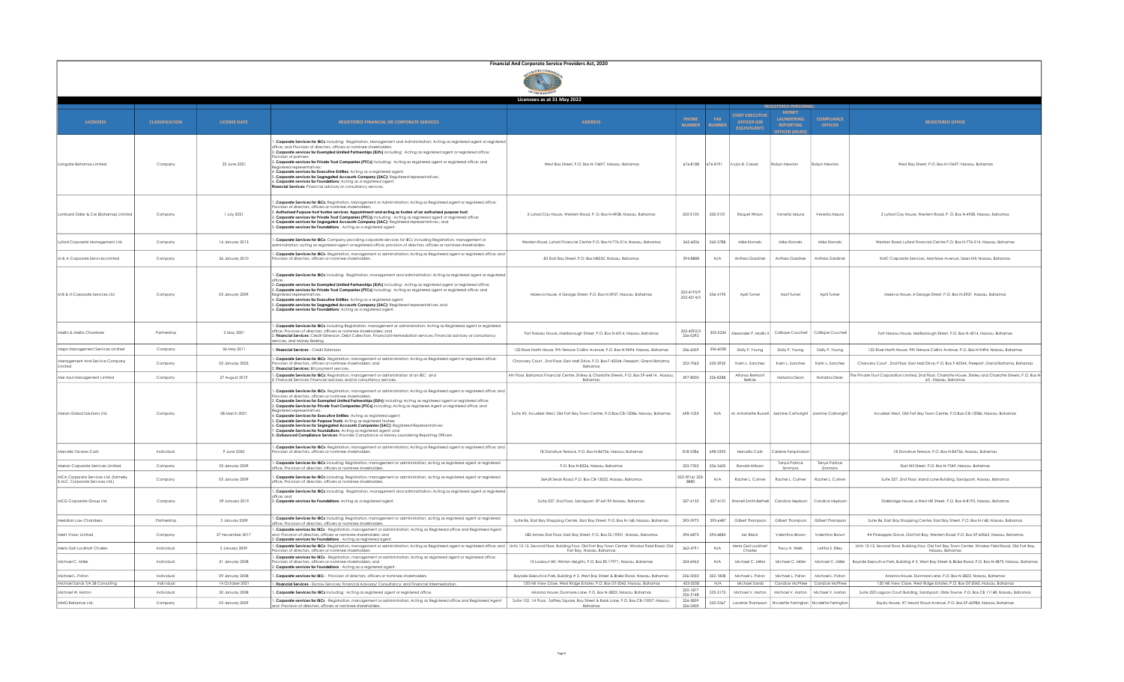|                                                                          | Financial And Corporate Service Providers Act, 2020 |                     |                                                                                                                                                                                                                                                                                                                                                                                                                                                                                                                                                                                                                                                                                                                                                                                                                                                                                                            |                                                                                                                                                           |                               |                             |                                                                    |                                                                 |                                           |                                                                                                                                      |
|--------------------------------------------------------------------------|-----------------------------------------------------|---------------------|------------------------------------------------------------------------------------------------------------------------------------------------------------------------------------------------------------------------------------------------------------------------------------------------------------------------------------------------------------------------------------------------------------------------------------------------------------------------------------------------------------------------------------------------------------------------------------------------------------------------------------------------------------------------------------------------------------------------------------------------------------------------------------------------------------------------------------------------------------------------------------------------------------|-----------------------------------------------------------------------------------------------------------------------------------------------------------|-------------------------------|-----------------------------|--------------------------------------------------------------------|-----------------------------------------------------------------|-------------------------------------------|--------------------------------------------------------------------------------------------------------------------------------------|
|                                                                          |                                                     |                     |                                                                                                                                                                                                                                                                                                                                                                                                                                                                                                                                                                                                                                                                                                                                                                                                                                                                                                            |                                                                                                                                                           |                               |                             |                                                                    |                                                                 |                                           |                                                                                                                                      |
|                                                                          |                                                     |                     |                                                                                                                                                                                                                                                                                                                                                                                                                                                                                                                                                                                                                                                                                                                                                                                                                                                                                                            | Licensees as at 31 May 2022                                                                                                                               |                               |                             |                                                                    |                                                                 |                                           |                                                                                                                                      |
| <b>LICENSEES</b>                                                         | <b>CLASSIFICATION</b>                               | <b>LICENSE DATE</b> | <b>REGISTERED FINANCIAL OR CORPORATE SERVICES</b>                                                                                                                                                                                                                                                                                                                                                                                                                                                                                                                                                                                                                                                                                                                                                                                                                                                          | <b>ADDRESS</b>                                                                                                                                            | <b>PHONE</b><br><b>NUMBER</b> | <b>FAX</b><br><b>NUMBER</b> | <b>CHIEF EXECUTIVE</b><br><b>OFFICER (OR</b><br><b>FOUIVALENTI</b> | <b>MONEY</b><br><b>LAUNDERING</b><br><b>REPORTING</b>           | <b>COMPLIANCE</b><br><b>OFFICER</b>       | <b>REGISTERED OFFICE</b>                                                                                                             |
| Lionaate Bahamas Limited                                                 | Company                                             | 22 June 2021        | Corporate Services for IBCs including: Registration, Management and Administration; Acting as registered agent or registere<br>ffice; and Provision of directors, officers or nominee shareholde<br>2. Corporate services for Exempted Limited Partnerships (ELPs) including: Acting as registered agent or registered office;<br>vision of partner<br>3. Corporate services for Private Trust Companies (PTCs) including: Acting as registered agent or registered office; and<br>eaistered represent<br>I. Corporate services for Executive Entities: Acting as a registered agent;<br>. Corporate services for Segregated Accounts Company (SAC): Registered representatives;<br>Corporate services for Foundations: Acting as a registered agent;<br><b>Inancial Services:</b> Financial advisory or consultancy services.                                                                             | West Bay Street, P.O. Box N-10697, Nassau, Bahamas                                                                                                        | 676-8188                      | 676-8191                    | Ivvivn B. Cassar                                                   | Robyn Newton                                                    | Robyn Newton                              | West Bay Street, P.O. Box N-10697, Nassau, Bahamas                                                                                   |
| Lombard Odier & Cie (Bahamas) Limited                                    | Company                                             | 1 July 2021         | Corporate Services for IBCs: Registration, Management or Administration; Acting as Registered agent or registered office;<br>vision of directors, officers or nominee shareholders<br>. Authorised Purpose trust trustee services: Appointment and acting as trustee of an authorised purpose trust;<br>Corporate services for Private Trust Companies (PTCs) including - Acting as registered agent or registered office;<br>l <b>. Corporate services for Segregated Accounts Company (SAC)</b> -Registered representatives.; and<br>6 <b>. Corporate services for Foundations</b> - Acting as a registered agent.                                                                                                                                                                                                                                                                                       | 3 Lyford Cay House, Western Road, P. O. Box N-4938, Nassau, Bahamas                                                                                       | 302-2100                      | 302-2101                    | Raquel Wilson                                                      | Venetia Maura                                                   | Venetia Maura                             | 3 Lyford Cay House, Western Road, P. O. Box N-4938, Nassau, Bahamas                                                                  |
| Lyford Corporate Management Ltd.                                         | Company                                             | 16 Ignuary 2013     | . Corporate Services for IBCs: Company providing corporate services for IBCs including Registration, management or<br>dministration; acting as registered agent or registered office; provision of directors, officers or nominee shareholders.                                                                                                                                                                                                                                                                                                                                                                                                                                                                                                                                                                                                                                                            | Western Road Lyford Financial Centre P.O. Box N-776-514. Nassau, Bahamas                                                                                  | 362-6006                      | 362-5788                    | Mike Klongris                                                      | Mike Klongris                                                   | Mike Klongris                             | Western Road Lyford Financial Centre P.O. Box N-776-514, Nassau, Bahamas                                                             |
| M & A Corporate Services Limited                                         | Company                                             | 26 January 2010     | Corporate Services for IBCs- Registration, management or administration; Acting as Registered agent or registered office; and<br>ovision of directors, officers or nominee shareholders.                                                                                                                                                                                                                                                                                                                                                                                                                                                                                                                                                                                                                                                                                                                   | 83 East Bay Street, P.O. Box N8332, Nassau, Bahamas                                                                                                       | 394-8888                      | N/A                         | Anthea Gardiner                                                    | Anthea Gardiner                                                 | Anthea Gardine                            | KMC Corporate Services, Montrose Avenue, Sears Hill, Nassau, Bahamas                                                                 |
| M B & H Corporate Services Ltd                                           | Company                                             | 05 January 2009     | . Corporate Services for IBCs including: Registration, management and administration; Acting as registered agent or registered<br>. Corporate services for Exempted Limited Partnerships (ELPs) including: Acting as registered agent or registered office;<br>8. Corporate services for Private Trust Companies (PTCs) including: Acting as registered agent or registered office; and<br>I. Corporate services for Executive Entitles: Acting as a registered agent;<br>. Corporate services for Segregated Accounts Company (SAC): Registered representatives; and<br>. Corporate services for Foundations: Acting as a registered agent.                                                                                                                                                                                                                                                               | Mareva House, 4 George Street, P.O. Box N-3937, Nassau, Bahamas                                                                                           | 322-4195/9<br>322-4214/5      | 356-4195                    | April Turne                                                        | April Turne                                                     | April Turner                              | Mareva House, 4 George Street, P.O. Box N-3937, Nassau, Bahamas                                                                      |
| Maillis & Maillis Chambers                                               | Partnership                                         | 2 May 2001          | . Corporate Services for IBCs including Registration, management or administration; Acting as Registered agent or registered<br>ffice; Provision of directors, officers or nominee shareholders; and<br>. Financial Services: Credit Extension, Debt Collection, Financial Intermediation services, Financial advisory or consultancy<br>rvices, and Money Broking.                                                                                                                                                                                                                                                                                                                                                                                                                                                                                                                                        | Fort Nassau House, Marlborough Street, P.O. Box N-4014, Nassau, Bahamas                                                                                   | 322-4292/3<br>326-0392        | 323-2334                    | Alexander P. Maillis                                               | Calliope Couchell                                               | Calliope Couche                           | Fort Nassau House, Marlborough Street, P.O. Box N-4014, Nassau, Bahamas                                                              |
| Major Management Services Limited                                        | Company                                             | 26 May 2011         | Financial Services - Credit Extension                                                                                                                                                                                                                                                                                                                                                                                                                                                                                                                                                                                                                                                                                                                                                                                                                                                                      | 122 Rose North House, 9th Terrace Collins Avenue, P.O. Box N-9494, Nassau, Bahamas                                                                        | 356-6059                      | 356-6058                    | Dolly P. Young                                                     | Dolly P. Young                                                  | Dolly P. Young                            | 122 Rose North House, 9th Terrace Collins Avenue, P.O. Box N-9494, Nassau, Bahamas                                                   |
| Management And Service Company<br>Limited                                | Company                                             | 02 January 2003     | . Corporate Services for IBCs- Registration, management or administration; Acting as Registered agent or registered office;<br>vision of directors, officers or nominee shareholders; and<br>Financial Services: Bill payment services.                                                                                                                                                                                                                                                                                                                                                                                                                                                                                                                                                                                                                                                                    | Chancery Court, 2nd Floor, East Mall Drive, P.O. Box F-42544, Freeport, Grand Bahama,<br>Bahamas                                                          | 352-7063                      | 352-3932                    | Karin L. Sanchez                                                   | Karin L. Sanchez                                                | Karin L. Sanchez                          | Chancery Court , 2nd Floor, East Mall Drive, P.O. Box F-42544, Freeport, Grand Bahama, Bahamas                                       |
| Mar Azul Management Limited                                              | Company                                             | 27 August 2019      | . Corporate Services for IBCs: Registration, management or administration of an IBC; and<br>Financial Services: Financial advisory and/or consultancy services                                                                                                                                                                                                                                                                                                                                                                                                                                                                                                                                                                                                                                                                                                                                             | 4th Floor, Bahamas Financial Centre, Shirley & Charlotte Streets, P.O. Box SP-64414, Nassau<br>Bahama:                                                    | 397-8000                      | 326-8388                    | Alfonso Belmont<br><b>Bellido</b>                                  | Natasha Dean                                                    | Natasha Dear                              | The Private Trust Corporation Limited, 2nd Floor, Charlotte House, Shirley and Charlotte Streets, P.O. Box N-<br>65, Nassau, Bahamas |
| Maran Global Solutions Ltd.                                              | Company                                             | 08 March 2021       | . Corporate Services for IBCs- Registration, management or administration; Acting as Registered agent or registered office; and<br>ovision of directors, officers or nominee shareholders.<br>. Corporate Services for Exempted Limited Partnerships (ELPs) including: Acting as registered agent or registered office;<br>3. Corporate Services for Private Trust Companies (PTCs) including: Acting as registered Agent or registered office; and<br>eaistered representative<br>I. Corporate Services for Executive Entities: Acting as registered agent;<br>. Corporate Services for Purpose Trusts: Acting as registered trustee<br>. Corporate Services for Segregated Accounts Companies (SAC): Registered Representatives;<br>Corporate Services for Foundations: Acting as registered agent; and<br>. Outsourced Compliance Services: Provides Compliance or Money Laundering Reporting Officers. | Suite #5, Incudesk West, Old Fort Bay Town Centre, P.O.Box-CB-12086, Nassau, Bahamas                                                                      | 698-1033                      | N/A                         |                                                                    | M. Antoinette Russell   Jasmine Cartwright   Jasmine Cartwright |                                           | Incudesk West. Old Fort Bay Town Centre, P.O.Box-CB-12086, Nassau, Bahamas                                                           |
| Marcello Tavares Cash                                                    | Individual                                          | 9 June 2020         | . Corporate Services for IBCs- Registration, management or administration; Acting as Registered agent or registered office; and<br>vision of directors, officers or nominee shareholders,                                                                                                                                                                                                                                                                                                                                                                                                                                                                                                                                                                                                                                                                                                                  | 18 Donahue Terrace, P.O. Box N-84736, Nassau, Bahamas                                                                                                     | 818-5286                      | 698-5392                    | Marcello Cash                                                      | Carlene Farauharsor                                             |                                           | 18 Donahue Terrace, P.O. Box N-84736, Nassau, Bahamas                                                                                |
| Marron Corporate Services Limited                                        | Company                                             | 05 January 2009     | . Corporate Services for IBCs including: Registration, management or administration, acting as registered agent or registered<br>fice. Provision of directors, officers or nominee shareholder:                                                                                                                                                                                                                                                                                                                                                                                                                                                                                                                                                                                                                                                                                                            | P.O. Box N-8326, Nassau, Bahamas                                                                                                                          | 325-7355                      | 326-5602                    | Ronald Aitkson                                                     | Tanya Patrice<br>Simmons                                        | Tanya Patrice<br>Simmons                  | East Hill Street, P.O. Box N-7549, Nassau, Bahamas                                                                                   |
| MCA Corporate Services Ltd. (formerly<br>K.M.C. Corporate Services Ltd.) | Company                                             | 05 January 2009     | . Corporate Services for IBCs including: Registration, management or administration, acting as registered agent or registered<br>office, Provision of directors, officers or nominee shareholders                                                                                                                                                                                                                                                                                                                                                                                                                                                                                                                                                                                                                                                                                                          | 36A/B Sears Road, P.O. Box CB-13022, Nassau, Bahamas                                                                                                      | 322-3916/323-<br>8880         | N/A                         | Rachel L. Culmer                                                   | Rachel L. Culmer                                                | Rachel L. Culme                           | Suite 227, 2nd Floor, Island Lane Building, Sandyport, Nassau, Bahamas                                                               |
| MCG Corporate Group Ltd                                                  | Company                                             | 09 January 2019     | . Corporate Services for IBCs including: Registration, management and administration; Acting as registered agent or registered<br>ffice: and<br>2. Corporate services for Foundations: Acting as a reaistered gaent.                                                                                                                                                                                                                                                                                                                                                                                                                                                                                                                                                                                                                                                                                       | Suite 227, 2nd Floor, Sandyport, SP-64195 Nassau, Bahamas                                                                                                 | 327-4150                      |                             | 327-4151 Shanell Smith-Bethell                                     | Candice Hepburn                                                 | Candice Hepburr                           | Oakbridge House, 6 West Hill Street, P.O. Box N-8195, Nassau, Bahamas                                                                |
| Meridian Law Chambers                                                    | Partnership                                         | 5 January 2009      | . Corporate Services for IBCs including: Registration, management or administration, acting as registered agent or registered<br>office, Provision of directors, officers or nominee shareholders.                                                                                                                                                                                                                                                                                                                                                                                                                                                                                                                                                                                                                                                                                                         | Suite B6, East Bay Shopping Center, East Bay Street, P.O. Box N-168, Nassau, Bahamas                                                                      | 393-3975                      | 393-6487                    | Gilbert Thompson                                                   | Gilbert Thompson                                                | Gilbert Thompson                          | Suite B6, East Bay Shopping Center, East Bay Street, P.O. Box N-168, Nassau, Bahamas                                                 |
| Merit Vision Limited                                                     | Company                                             | 27 November 2017    | . Corporate services for IBCs - Registration, management or administration; Acting as Registered office and Registered Agent<br>and Provision of directors, officers or nominee shareholders; and<br>. Corporate services for Foundations - Acting as registered agent.                                                                                                                                                                                                                                                                                                                                                                                                                                                                                                                                                                                                                                    | UBS Annex 2nd Floor, East Bay Street, P.O. Box SS-19501, Nassau, Bahamas                                                                                  | 394-6870                      | 394-6884                    | lan Black                                                          | Valentino Brown                                                 | Valentino Brown                           | #4 Pineapple Grove, Old Fort Bay, Western Road, P.O. Box SP-60063, Nassau, Bahamas                                                   |
| Meta Gail Lockhart Charles                                               | Individual                                          | 5 January 2009      | . Corporate Services for IBCs- Registration, management or administration; Acting as Registered agent or registered office; and   Units 10-12, Second Floor, Building Four, Old Fort Bay Town Center, Windsor Field Road, Old<br>ovision of directors, officers or nominee shareholders                                                                                                                                                                                                                                                                                                                                                                                                                                                                                                                                                                                                                    | Fort Bay, Nassau, Bahamas                                                                                                                                 | 362-4791                      | N/A                         | Meta Gail Lockhar<br>Charles                                       | Tracy A. Wells                                                  | Letitia S. Rilev                          | Units 10-12, Second Floor, Building Four, Old Fort Bay Town Center, Windsor Field Road, Old Fort Bay,<br>Nassau, Bahamas             |
| Michael C. Miller                                                        | Individual                                          | 31 January 2008     | . Corporate services for IBCs - Registration, management or administration; Acting as registered agent or registered office;<br>vision of directors, officers or nominee shareholders; and<br>2. Corporate services for Foundations - Acting as a registered agent.                                                                                                                                                                                                                                                                                                                                                                                                                                                                                                                                                                                                                                        | 10 Lookout Hill, Winton Heights, P.O. Box EE-17971, Nassau, Bahamas                                                                                       | 324-6963                      | N/A                         | Michael C. Miller                                                  | Michael C. Miller                                               | Michael C. Miller                         | Bayside Executive Park, Building # 3, West Bay Street & Blake Road, P.O. Box N-4875, Nassau, Bahamas                                 |
| Michael L. Paton                                                         | Individual                                          | 09 January 2008     | Corporate services for IBCs - Provision of directors, officers or nominee shareholders                                                                                                                                                                                                                                                                                                                                                                                                                                                                                                                                                                                                                                                                                                                                                                                                                     | Bayside Executive Park, Building # 3, West Bay Street & Blake Road, Nassau, Bahamas                                                                       | 326-5050                      | 322-1808                    | Michael L. Pator                                                   | Michael L. Paton                                                | Michael L Pata                            | Arianna House, Dunmore Lane, P.O. Box N-3822, Nassau, Bahamas                                                                        |
| Michael Sands T/A SB Consulting                                          | Individual                                          | 14 October 2021     | . Financial Services - Escrow Services; Financial Advisory/ Consultancy; and Financial Intermediation.                                                                                                                                                                                                                                                                                                                                                                                                                                                                                                                                                                                                                                                                                                                                                                                                     | 120 Hill View Close, West Ridge Estates, P.O. Box GT-2043, Nassau, Bahamas                                                                                | 423-3558<br>325-1877          | N/A<br>325-3173             | Michael Sands                                                      | Candice McPhee<br>Michael V Horton                              | Candice McPhe<br>Michael V Horton         | 120 Hill View Close, West Ridge Estates, P.O. Box GT-2043, Nassau, Bahamas                                                           |
| Michael W. Horton                                                        | Individual                                          | 30 January 2008     | . Corporate Services for IBCs including: Acting as registered agent or registered office.<br>. Corporate services for IBCs - Registration, management or administration; Acting as Registered office and Registered Agent                                                                                                                                                                                                                                                                                                                                                                                                                                                                                                                                                                                                                                                                                  | Arianna House, Dunmore Lane, P.O. Box N-3822, Nassau, Bahamas<br>Suite 102, 1st Floor, Saffrey Square, Bay Street & Bank Lane, P.O. Box CB-13937, Nassau, | 326-5148<br>326-5859          |                             | Michael V. Horton                                                  |                                                                 |                                           | Suite 220 Lagoon Court Building, Sandyport, Olde Towne, P.O. Box CB 11148, Nassau, Bahamas                                           |
| MMG Bahamas Ltd.                                                         | Company                                             | 05 January 2009     | ctors, officers or nominee shareholde                                                                                                                                                                                                                                                                                                                                                                                                                                                                                                                                                                                                                                                                                                                                                                                                                                                                      | Bahamas                                                                                                                                                   | 326-2400                      | 322-5567                    | Laverne Thompson                                                   |                                                                 | Nicolette Farrington Nicolette Farrington | Equity House, #7 Mount Royal Avenue, P.O. Box SP-62984, Nassau, Bahamas                                                              |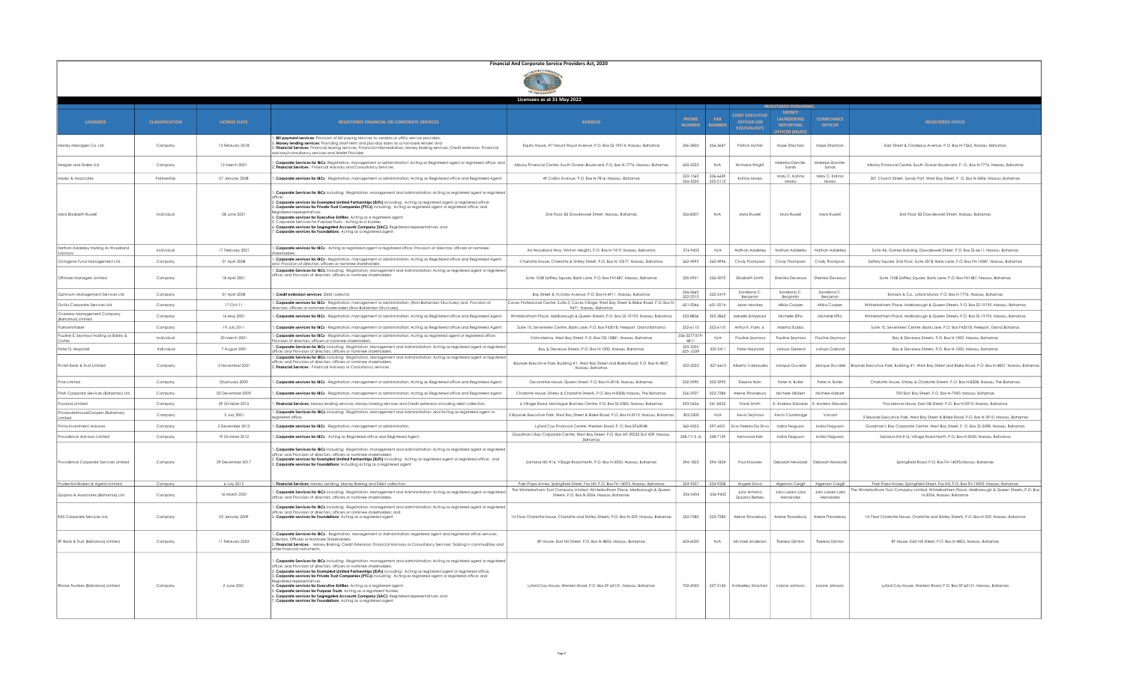|                                                  |                       |                     |                                                                                                                                                                                                                                                                                                                                                                                                                                                                                                                                                                                                                                                                                                                                                                                                                  | Financial And Corporate Service Providers Act, 2020                                                                                                                   |                               |                      |                                                             |                                                                              |                                     |                                                                                                                                                                                         |
|--------------------------------------------------|-----------------------|---------------------|------------------------------------------------------------------------------------------------------------------------------------------------------------------------------------------------------------------------------------------------------------------------------------------------------------------------------------------------------------------------------------------------------------------------------------------------------------------------------------------------------------------------------------------------------------------------------------------------------------------------------------------------------------------------------------------------------------------------------------------------------------------------------------------------------------------|-----------------------------------------------------------------------------------------------------------------------------------------------------------------------|-------------------------------|----------------------|-------------------------------------------------------------|------------------------------------------------------------------------------|-------------------------------------|-----------------------------------------------------------------------------------------------------------------------------------------------------------------------------------------|
|                                                  |                       |                     |                                                                                                                                                                                                                                                                                                                                                                                                                                                                                                                                                                                                                                                                                                                                                                                                                  |                                                                                                                                                                       |                               |                      |                                                             |                                                                              |                                     |                                                                                                                                                                                         |
|                                                  |                       |                     |                                                                                                                                                                                                                                                                                                                                                                                                                                                                                                                                                                                                                                                                                                                                                                                                                  | Licensees as at 31 May 2022                                                                                                                                           |                               |                      |                                                             |                                                                              |                                     |                                                                                                                                                                                         |
| <b>LICENSEES</b>                                 | <b>CLASSIFICATION</b> | <b>LICENSE DATE</b> | <b>REGISTERED FINANCIAL OR CORPORATE SERVICES</b>                                                                                                                                                                                                                                                                                                                                                                                                                                                                                                                                                                                                                                                                                                                                                                | <b>ADDRESS</b>                                                                                                                                                        | <b>PHONE</b><br><b>NUMBER</b> | FAX<br><b>NUMBER</b> | <b>CHIEF EXECUTIVE</b><br>OFFICER (OR<br><b>EQUIVALENT)</b> | <b>MONEY</b><br><b>LAUNDERING</b><br><b>REPORTING</b><br><b>FFICER IMLRC</b> | <b>COMPLIANCI</b><br><b>OFFICER</b> | <b>REGISTERED OFFICE</b>                                                                                                                                                                |
| Money Managers Co. Ltd.                          | Company               | 13 February 2018    | . Bill payment services: Provision of bill paying services to vendors or utility service providers;<br>ding services: Providing short-term and pay-day loans as a non-bank lender; and<br>. Financial Services: Financial leasing services, Financial intermediation, Money broking services, Credit extension, Financial<br>tvisory/consultancy services and Wallet Provider.                                                                                                                                                                                                                                                                                                                                                                                                                                   | Equity House, #7 Mount Royal Avenue, P.O. Box SS-19014, Nassau, Bahamas                                                                                               | 356-3830                      | 356-3647             | Patrick McFall                                              | Hope Strachan                                                                | Hope Strachan                       | East Street & Cordeaux Avenue, P.O. Box N-7363, Nassau, Bahamas                                                                                                                         |
| Morgan and Drake Ltd                             | Company               | 12 March 2021       | Corporate Services for IBCs- Registration, management or administration; Acting as Registered agent or registered office; and<br>Financial Services - Financial Advisory and Consultancy Services.                                                                                                                                                                                                                                                                                                                                                                                                                                                                                                                                                                                                               | Albany Financial Center, South Ocean Boulevard, P.O. Box N-7776, Nassau, Bahamas                                                                                      | 603-2222                      | N/A                  | Nicholas Wright                                             | Makeba Darville<br>Sands                                                     | Makeba Darville<br>Sands            | Albany Financial Centre, South Ocean Boulevard, P. O., Box N-7776, Nassau, Bahamas                                                                                                      |
| Mosko & Associate                                | Partnership           | 07 January 2008     | Corporate services for IBCs - Registration, management or administration; Acting as Registered office and Registered Agen                                                                                                                                                                                                                                                                                                                                                                                                                                                                                                                                                                                                                                                                                        | 49 Collins Avenue, P.O. Box N-7816, Nassau, Bahamas                                                                                                                   | 322-1565<br>326-5330          | 326-6639<br>325-5112 | Katina Moska                                                | Mary C. Katina<br>Mosko                                                      | Mary C. Katina<br>Mosko             | 201 Church Street, Sandy Port, West Bay Street, P.O. Box N-3406, Nassau, Bahamas                                                                                                        |
| <b>Myra Elizabeth Russell</b>                    | Individual            | 28 June 2021        | Corporate Services for IBCs including: Registration, management and administration; Acting as registered agent or registere<br>2. Corporate services for Exempted Limited Partnerships (ELPs) including: Acting as registered agent or registered office;<br>3. Corporate services for Private Trust Companies (PTCs) including: Acting as registered agent or registered office; and<br>4. Corporate services for Executive Entities: Acting as a registered agent;<br>Corporate Services for Purpose Trusts - Acting as a truste<br>Corporate services for Segregated Accounts Company (SAC): Registered representatives; and<br>Corporate services for Foundations: Acting as a reaistered gaent.                                                                                                             | 2nd Floor, 83 Dowdeswell Street, Nassau, Bahamas                                                                                                                      | 326-8507                      | N/A                  | Myra Russell                                                | Myra Russell                                                                 | Myra Russel                         | 2nd Floor, 83 Dowdeswell Street, Nassau, Bahamas                                                                                                                                        |
| Nathan Adderley trading As Woodland<br>Solutions | Individual            | 17 February 2021    | Corporate services for IBCs - Acting as registered agent or registered office; Provision of directors, officers or nominee                                                                                                                                                                                                                                                                                                                                                                                                                                                                                                                                                                                                                                                                                       | #6 Woodland Way, Winton Heights, P.O. Box N-7419, Nassau, Bahamas                                                                                                     | 376-9455                      | N/A                  | Nathan Adderley                                             | Nathan Adderley                                                              | Nathan Adderle                      | Suite #6, Gomez Building, Dowdeswell Street, P.O. Box SS-6611, Nassau, Bahamas                                                                                                          |
| Octogone Fund Management Ltd.                    | Company               | 01 April 2008       | Corporate services for IBCs - Registration, management or administration; Acting as Registered office and Registered Agen                                                                                                                                                                                                                                                                                                                                                                                                                                                                                                                                                                                                                                                                                        | Charlotte House, Charlotte & Shirley Street, P.O. Box N-10577, Nassau, Bahamas                                                                                        | 362-4995                      | 362-4996             | Cindy Thompson                                              | Cindy Thompson                                                               | Cindy Thompsor                      | Saffery Square, 2nd Floor, Suite 2018, Bank Lane, P.O. Box FH-14587, Nassau, Bahamas                                                                                                    |
| Offshore Managers Limited                        | Company               | 18 April 2001       | nd Provision of directors, officers or nominee shareholders.<br>Corporate Services for IBCs including: Registration, Management and Administration; Acting as registered agent or registere<br>office; and Provision of directors, officers or nominee shareholders.                                                                                                                                                                                                                                                                                                                                                                                                                                                                                                                                             | Suite 103B Saffrey Square, Bank Lane, P.O. Box FH1487, Nassau, Bahamas                                                                                                | 325-0921                      | 326-5072             | Elizabeth Smith                                             | Shenika Deveaux                                                              | Shenika Deveau                      | Suite 103B Saffrey Square, Bank Lane, P.O. Box FH1487, Nassau, Bahamas                                                                                                                  |
| Optimum Management Services Ltd.                 | Company               | 01 April 2008       | Credit extension services: Debt collector                                                                                                                                                                                                                                                                                                                                                                                                                                                                                                                                                                                                                                                                                                                                                                        | Bay Street & Victoria Avenue, P.O. Box N-4911, Nassau, Bahamas                                                                                                        | 326-0665<br>322-2315          | 322-5419             | Sandrena C.<br>Benjamin                                     | Sandrena C.<br>Benjamin                                                      | Sandrena C.<br>Benjamin             | Klonaris & Co., Lyford Manor, P.O. Box N 7776, Nassau, Bahamas                                                                                                                          |
| Orchis Corporate Services Ltd.                   | Company               | $17-0ct-11$         | . Corporate services for IBCs - Registration, management or administration; (Non-Bahamian Structures) and Provision of<br>rectors, officers or nominee shareholders (Non-Bahamian Structures)                                                                                                                                                                                                                                                                                                                                                                                                                                                                                                                                                                                                                    | Caves Professional Centre, Suite 3, Caves Village, West Bay Street & Blake Road, P.O. Box N-<br>9471, Nassau, Bahamas                                                 | 601-0246                      | 601-5214             | Jason Mackey                                                | Mikia Cooper                                                                 | Mikia Cooper                        | Winterbotham Place, Marlborough & Queen Streets, P.O. Box SS-19195, Nassau, Bahamas                                                                                                     |
| Overseas Management Company<br>(Bahamas) Limited | Company               | 16 May 2001         | . Corporate services for IBCs - Registration, management or administration: Acting as Registered office and Registered Agent.                                                                                                                                                                                                                                                                                                                                                                                                                                                                                                                                                                                                                                                                                    | Winterbotham Place, Marlborough & Queen Streets, P.O. Box SS-19195, Nassau, Bahamas                                                                                   | 323-8806                      | 325-2863             | <b>Isabelle Estripeaut</b>                                  | Michelle Effio                                                               | Michelle Effio                      | Winterbotham Place, Marlborough & Queen Streets, P.O. Box SS-19195, Nassau, Bahamas                                                                                                     |
| Parriswhittaker                                  | Company               | 19 July 2011        | Corporate services for IBCs - Registration, management or administration; Acting as Registered office and Registered Agent.                                                                                                                                                                                                                                                                                                                                                                                                                                                                                                                                                                                                                                                                                      | Suite 10, Seventeen Centre, Bank Lane, P.O. Box F43018, Freeport, Grand Bahama                                                                                        | 352-6110                      | 352-6110             | Arthur K. Parris Jr.                                        | Marsha Stubbs                                                                |                                     | Suite 10, Seventeen Centre, Bank Lane, P.O. Box F43018, Freeport, Grand Bahama                                                                                                          |
| Pauline E. Seymour trading as Bailey &           | Individual            | 25 March 2021       | Corporate services for IBCs - Registration, management or administration; Acting as registered agent or registered office;<br>vision of directors, officers or nominee shareholders                                                                                                                                                                                                                                                                                                                                                                                                                                                                                                                                                                                                                              | Vista Marina, West Bay Street, P.O. Box CB-13881, Nassau, Bahamas                                                                                                     | 356-3377 819<br>4811          | N/A                  | Pauline Seymour                                             | Pauline Seymou                                                               | Pauline Seymou                      | Bay & Deveaux Streets, P.O. Box N-1000, Nassau, Bahamas                                                                                                                                 |
| Peter D. Maynard                                 | Individual            | 7 August 2001       | Corporate Services for IBCs including: Registration, Management and Administration; Acting as registered agent or registered<br>fice; and Provision of directors, officers or nominee shareholders.                                                                                                                                                                                                                                                                                                                                                                                                                                                                                                                                                                                                              | Bay & Deveaux Streets, P.O. Box N-1000, Nassau, Bahamas                                                                                                               | 325-5335<br>325-5339          | 325-5411             | Peter Maynard                                               | Latoya Garland                                                               | Latova Garland                      | Bay & Deveaux Streets, P.O. Box N-1000, Nassau, Bahamas                                                                                                                                 |
| Pictet Bank & Trust Limited                      | Company               | 3 November 2021     | . Corporate Services for IBCs includina: Reaistration. Management and Administration: Acting as registered gaent or registere<br>ision of directors, officers or nominee shareholders<br>Financial Services - Financial Advisory or Consultancy services.                                                                                                                                                                                                                                                                                                                                                                                                                                                                                                                                                        | Bayside Executive Park, Building #1, West Bay Street and Blake Road, P.O. Box N-4837,<br>Nassau, Bahamas                                                              | 302-2222                      | 327-6610             | Alberto Volenzuelo                                          | <b>Innique Duvolie</b>                                                       | Janique Duvalier                    | Bayside Executive Park, Building #1, West Bay Street and Blake Road, P.O. Box N-4837, Nassau, Bahamas                                                                                   |
| Pine Limited                                     | Company               | 05January 2009      | Corporate services for IBCs - Registration, management or administration; Acting as Registered office and Registered Agen                                                                                                                                                                                                                                                                                                                                                                                                                                                                                                                                                                                                                                                                                        | Devonshire House, Queen Street, P.O. Box N-3918, Nassau, Bahamas                                                                                                      | 302-5990                      | 302-5995             | Eleanor Bain                                                | Peter A, Butler                                                              | Peter A, Butler                     | Charlotte House, Shirley & Charlotte Streets, P.O. Box N-8308, Nassau, The Bahamas                                                                                                      |
| PMA Comorate Services (Bahamas) Ltd.             | Company               | 02 December 2009    | . Corporate services for IBCs - Registration, management or administration; Acting as Registered office and Registered Agent                                                                                                                                                                                                                                                                                                                                                                                                                                                                                                                                                                                                                                                                                     | Charlotte House, Shirley & Charlotte Streets, P.O. Box N-8308, Nassau, The Bahamas                                                                                    | 326-5927                      | 323-7284             | Arlene Thronebury                                           | Michele Hibbert                                                              | Michele Hibber                      | 700 Fast Bay Street P.O. Bax N-7940. Nassau, Bahamas                                                                                                                                    |
| Pouland Limited                                  | Company               | 29 October 2013     | Financial Services: Money lending services, Money broking services and Credit extension including debt collection.                                                                                                                                                                                                                                                                                                                                                                                                                                                                                                                                                                                                                                                                                               | 6 Village Road, Montague Business Centre, P.O. Box SS-5583, Nassau, Bahamas                                                                                           | 393-5626                      | 341-8322             | Frank Smith                                                 | E. Andrew Edwards   E. Andrew Edward                                         |                                     | Providence House, East Hill Street, P.O. Box N-3910, Nassau, Bahamas                                                                                                                    |
| PricewaterhouseCoopers (Bahamas)<br>Limited      | Company               | 5 July 2001         | Corporate Services for IBCs including: Registration, Management and Administration; and Acting as registered agent or<br>gistered office.                                                                                                                                                                                                                                                                                                                                                                                                                                                                                                                                                                                                                                                                        | 2 Bayside Executive Park, West Bay Street & Blake Road, P.O. Box N-3910. Nassau, Bahamas                                                                              | 302-5300                      | N/A                  | Kevin Seymour                                               | Kevin Cambridge                                                              | Vacant                              | 2 Bayside Executive Park, West Bay Street & Blake Road, P.O. Box N-3910, Nassau, Bahamas                                                                                                |
| Primo Investment Advisors                        | Company               | 3 December 2015     | Corporate services for IBCs - Registration, management or administration                                                                                                                                                                                                                                                                                                                                                                                                                                                                                                                                                                                                                                                                                                                                         | Lyford Cay Financial Centre, Western Road, P. O. Box-SP63948                                                                                                          | 362-4353                      | 397-6501             | Ecio Pereira Da Silve                                       | Indira Ferauson                                                              | Indira Ferguson                     | Goodman's Bay Corporate Centre, West Bay Street, P. O. Box SS-5498, Nassau, Bahama:                                                                                                     |
| Providence Advisors Limited                      | Company               | 19 October 2012     | Corporate services for IBCs - Acting as Registered office and Registered Agent                                                                                                                                                                                                                                                                                                                                                                                                                                                                                                                                                                                                                                                                                                                                   | Goodman's Bay Corporate Centre, West Bay Street, P.O. Box AP-59233 Slot 409, Nassau<br>Bahamas                                                                        | 328-7115 /6                   | 328-7129             | Kenwood Ker                                                 | Indira Fergusor                                                              | Indira Fergusor                     | Samana Hill #16, Village Road North, P.O. Box N-3050, Nassau, Bahama:                                                                                                                   |
| Providence Corporate Services Limited            | Company               | 29 December 2017    | Corporate Services for IBCs including: Registration, management and administration; Acting as registered agent or registered<br>iffice: and Provision of directors, officers or nominee shareholders:<br>Corporate services for Exempted Limited Partnerships (ELPs) including: Acting as registered agent or registered office; and<br>3. Corporate services for Foundations: including acting as a registered agent.                                                                                                                                                                                                                                                                                                                                                                                           | Samana Hill #16, Village Road North, P.O. Box N-3050, Nassau, Bahamas                                                                                                 | 394-1823                      | 394-1824             | Paul Knowles                                                | Deborah Newbold                                                              | Deborah Newbold                     | Springfield Road, P.O. Box FH-14095, Nassau, Bahamas                                                                                                                                    |
| Prudential Brokers & Agents Limited              | Company               | 6 July 2015         | Financial Services: Money Lending, Money Broking and Debt collection                                                                                                                                                                                                                                                                                                                                                                                                                                                                                                                                                                                                                                                                                                                                             | Park Plaza Annex, Springfield Street, Fox Hill, P.O. Box FH-14095, Nassau, Bahamas<br>The Winterbotham Trust Company Limited, Winterbotham Place, Marlborough & Queen | 324-9257                      | 324-9258             | Angela Davis                                                | Algemon Cargill                                                              | Algemon Cargill                     | Park Plaza Annex, Springfield Street, Fox Hill, P.O. Box FH-14095, Nassau, Bahamas<br>[he Winterbotham Trust Company Limited, Winterbotham Place, Marlborough & Queen Streets, P.O. Box |
| Quijano & Associates (Bahamas) Ltd               | Company               | 16 March 2021       | Corporate Services for IBCs including: Registration, Management and Administration; Acting as registered agent or registered<br>office: and Provision of directors, officers or nominee shareholders.                                                                                                                                                                                                                                                                                                                                                                                                                                                                                                                                                                                                            | Streets, P.O. Box N-3026, Nassau, Bahamas                                                                                                                             | 356-5454                      | 356-9432             | Julio Antonio<br>Quiiano Berbev                             | Julio Lazaro Lara<br>Hemandez                                                | Julio Lazaro Larc<br>Hemandez       | N-3026, Nassau, Bahamas                                                                                                                                                                 |
| RAS Corporate Services Ltd.                      | Company               | 05 January 2009     | . Corporate Services for IBCs including: Registration, management and administration; Acting as registered agent or registered<br>fice; and Provision of directors, officers or nominee shareholders; and<br>. Corporate services for Foundations: Acting as a registered agent.                                                                                                                                                                                                                                                                                                                                                                                                                                                                                                                                 | 1st Floor Charlotte House, Charlotte and Shirley Streets, P.O. Box N-529, Nassau, Bahamas                                                                             | 323-7585                      | 323-7284             | Arlene Thronebury                                           | Arlene Thronebury                                                            | Arlene Thronebur                    | 1st Floor Charlotte House, Charlotte and Shirley Streets, P.O. Box N-529, Nassau, Bahamas                                                                                               |
| RF Bank & Trust (Bahamas) Limited                | Company               | 11 February 2022    | Corporate Services for IBCs - Registration, Management or Administration; registered agent and registered office services;<br>rectors Officers or Nominee Sharehold<br>. Financial Services - Money Brokina: Credit Extension: Financial Advisory or Consultancy Services: Trading in commodities and<br>ther financial instrument                                                                                                                                                                                                                                                                                                                                                                                                                                                                               | RF House, East Hill Street, P.O. Box N-4853, Nassau, Bahamas                                                                                                          | 603-6000                      | N/A                  | Michael Anderson                                            | Theresa Glinton                                                              | Theresa Glinton                     | RF House, East Hill Street, P.O. Box N-4853, Nassau, Bahamas                                                                                                                            |
| Rhone Trustees (Bahamas) Limited                 | Company               | 2 June 2021         | Corporate Services for IBCs including: Registration, management and administration; Acting as registered agent or registered<br>office; and Provision of directors, officers or nominee shareholders.<br>. Corporate services for Exempted Limited Partnerships (ELPs) including: Acting as registered agent or registered office;<br>3. Corporate services for Private Trust Companies (PTCs) including: Acting as registered agent or registered office; and<br>eaistered represe<br>4. Corporate services for Executive Entities: Actina as a reaistered agent:<br>5. Corporate services for Purpose Trusts: Acting as a registered trustee<br>Corporate services for Segregated Accounts Company (SAC): Registered representatives; and<br>Corporate services for Foundations: Acting as a registered agent. | Lyford Cay House, Western Road, P.O. Box SP-63131, Nassau, Bahamas                                                                                                    | 702-4050                      |                      | 327-5143   Kimberley Strachan                               | Lianne Johnson                                                               | Lianne Johnson                      | Lyford Cav House, Western Road, P.O. Box SP-63131, Nassau, Bahamas                                                                                                                      |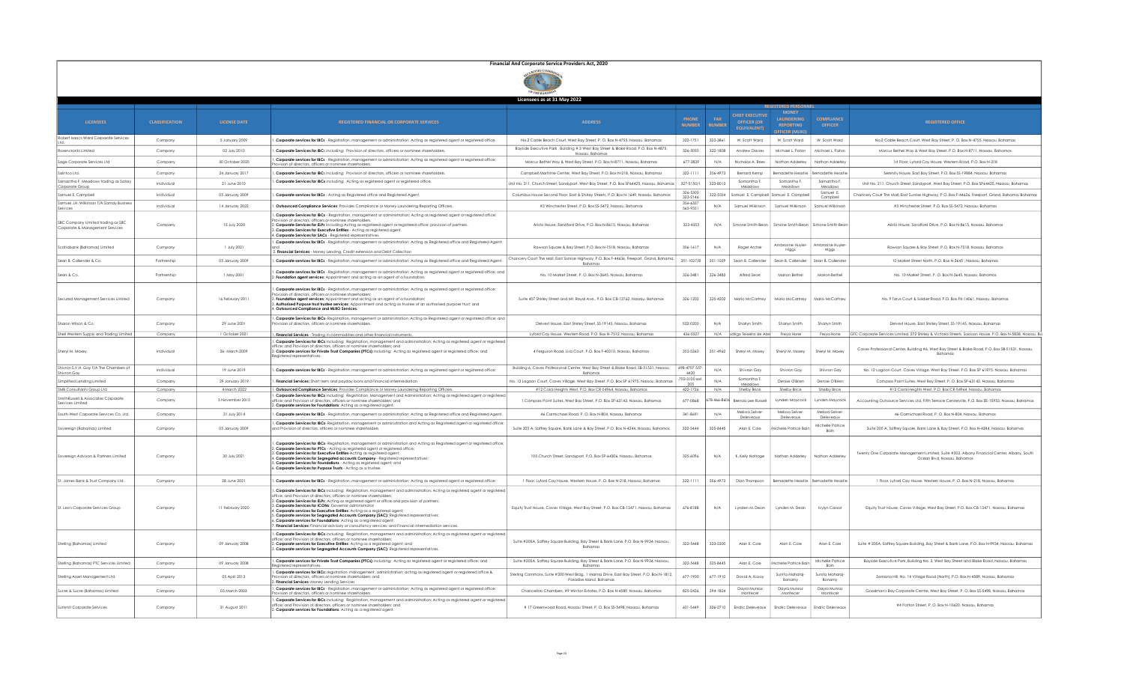| Financial And Corporate Service Providers Act, 2020 |  |
|-----------------------------------------------------|--|
|                                                     |  |

|                                                                                      |                       |                                 |                                                                                                                                                                                                                                                                                                                                                                                                                                                                                                                                                                                                                                                                                                                       | Licensees as at 31 May 2022                                                                                                               |                               |                       |                                                                   |                                                           |                                       |                                                                                                                                                                |
|--------------------------------------------------------------------------------------|-----------------------|---------------------------------|-----------------------------------------------------------------------------------------------------------------------------------------------------------------------------------------------------------------------------------------------------------------------------------------------------------------------------------------------------------------------------------------------------------------------------------------------------------------------------------------------------------------------------------------------------------------------------------------------------------------------------------------------------------------------------------------------------------------------|-------------------------------------------------------------------------------------------------------------------------------------------|-------------------------------|-----------------------|-------------------------------------------------------------------|-----------------------------------------------------------|---------------------------------------|----------------------------------------------------------------------------------------------------------------------------------------------------------------|
|                                                                                      |                       |                                 |                                                                                                                                                                                                                                                                                                                                                                                                                                                                                                                                                                                                                                                                                                                       |                                                                                                                                           |                               |                       |                                                                   | <b>MONEY</b>                                              |                                       |                                                                                                                                                                |
| <b>LICENSEES</b>                                                                     | <b>CLASSIFICATION</b> | <b>LICENSE DATE</b>             | <b>REGISTERED FINANCIAL OR CORPORATE SERVICES</b>                                                                                                                                                                                                                                                                                                                                                                                                                                                                                                                                                                                                                                                                     | <b>ADDRESS</b>                                                                                                                            | <b>PHONE</b><br><b>NUMBER</b> | FAX<br><b>ILIMRER</b> | <b>CHIEF EXECUTIVE</b><br><b>OFFICER (OR</b><br><b>FOUIVALENT</b> | LAUNDERING<br><b>REPORTING</b><br><b>FICER (MI</b>        | <b>COMPLIANCE</b><br>OFFICER          | <b>REGISTERED OFFICE</b>                                                                                                                                       |
| Robert Isaacs Ward Corporate Services                                                | Company               | 5 January 2009                  | . Corporate services for IBCs - Registration, management or administration; Acting as registered agent or registered office.                                                                                                                                                                                                                                                                                                                                                                                                                                                                                                                                                                                          | No.2 Cable Beach Court, West Bay Street, P.O. Box N-4755, Nassau, Bahamas                                                                 | 322-1751                      | 322-3861              | W. Scott Ward                                                     | W. Scott Ward                                             | W. Scott Ward                         | No.2 Cable Beach Court, West Bay Street, P.O. Box N-4755, Nassau, Bahamas                                                                                      |
| Rosencrantz Limited                                                                  | Company               | 02 July 2010                    | Corporate Services for IBCs including: Provision of directors, officers or nominee shareholders,                                                                                                                                                                                                                                                                                                                                                                                                                                                                                                                                                                                                                      | Bayside Executive Park, Building # 3 West Bay Street & Blake Road, P.O. Box N-4875,<br>Nassau, Bahama:                                    | 326-5050                      | 322-1808              | <b>Andrew Davies</b>                                              | Michael L. Paton                                          | Michael L. Paton                      | Marcus Bethel Way & West Bay Street, P.O. Box N-8711, Nassau, Bahamas                                                                                          |
| Sage Corporate Services Ltd                                                          | Company               | 30 October 2020                 | . Corporate services for IBCs - Registration, management or administration; Acting as registered agent or registered office;<br>ision of directors, officers or nominee shareholders,                                                                                                                                                                                                                                                                                                                                                                                                                                                                                                                                 | Marcus Bethel Way & West Bay Street, P.O. Box N-8711, Nassau, Bahama:                                                                     | 677-2839                      | N/A                   | Nicholas A. Rees                                                  | Nathan Adderley                                           | Nathan Adderley                       | 1st Floor, Lyford Cay House, Western Road, P.O. Box N-218                                                                                                      |
| Saintco Ltd.                                                                         | Company               | 24 January 2017                 | Corporate Services for IBCs including: Provision of directors, officers or nominee shareholders.                                                                                                                                                                                                                                                                                                                                                                                                                                                                                                                                                                                                                      | Campbell Maritime Center, West Bay Street, P.O. Box N-218, Nassau, Bahamas                                                                | $322 - 111$                   | 356-4973              | Bernard Kemp                                                      |                                                           | Bernadette Heastie Bernadette Heastie | Serenity House, East Bay Street, P.O. Box SS-19884, Nassau, Bahamas                                                                                            |
| Samantha F. Meadows trading as Satory<br>Corporate Group                             | Individual            | 21 June 2010                    | Corporate Services for IBCs including: Acting as registered agent or registered office.                                                                                                                                                                                                                                                                                                                                                                                                                                                                                                                                                                                                                               | Unit No. 211, Church Street, Sandyport, West Bay Street, P.O. Box SP64425, Nassau, Bahamas                                                | 327-5150/1                    | 323-8013              | Samantha F                                                        | Samantha F                                                | Samantha F<br>Meadow                  | Unit No. 211. Church Street, Sandyport, West Bay Street, P.O. Box SP64425, Nassau, Bahamas                                                                     |
| Samuel E. Campbell                                                                   | Individual            | 05 January 2009                 | . Corporate services for IBCs - Acting as Registered office and Registered Agent.                                                                                                                                                                                                                                                                                                                                                                                                                                                                                                                                                                                                                                     | Columbus House Second Floor, East & Shirley Streets, P.O. Box N-1649, Nassau, Bahamas                                                     | 326-5300<br>323-2146          | 322-5554              | Samuel E. Campbel                                                 | Samuel E. Campbe                                          | Samuel E.<br>Campbell                 | Chancery Court The Mall, East Sunrise Highway, P.O. Box F-44636, Freeport, Grand, Bahama, Bahama;                                                              |
| Samuel J.H. Wilkinson T/A Samdy Business<br>Services                                 | Individual            | 14 January 2022                 | Outsourced Compliance Services: Provides Compliance or Money Laundering Reporting Officers.                                                                                                                                                                                                                                                                                                                                                                                                                                                                                                                                                                                                                           | #3 Winchester Street, P.O. Box SS-5472, Nassau, Bahamas                                                                                   | 356-6327<br>565-9551          | N/A                   | Samuel Wilkinson                                                  | Samuel Wilkinson                                          | Samuel Wilkinson                      | #3 Winchester Street, P.O. Box SS-5472, Nassau, Bahamas                                                                                                        |
| SBC Company Limited trading as SBC<br>Corporate & Management Services                | Company               | 15 July 2020                    | Corporate Services for IBCs - Registration, management or administration; Acting as registered agent or registered office;<br>vision of directors, officers or nominee shareholders,<br>. Corporate Services for ELPs including Acting as registered agent or registered office; provision of partners.<br>Corporate Services for Executive Entities - Acting as registered agent.<br>. Corporate Services for SACs - Registered representatives                                                                                                                                                                                                                                                                      | Aristo House, Sandford Drive, P.O. Box N-8615, Nassau, Bahamas                                                                            | 323-4353                      | N/A                   |                                                                   | Simone Smith-Bean   Simone Smith-Bean   Simone Smith-Bear |                                       | Aristo House, Sandford Drive, P.O. Box N-8615, Nassau, Bahamas                                                                                                 |
| Scotiabank (Bahamas) Limited                                                         | Company               | 1 July 2021                     | Corporate services for IBCs - Registration, management or administration; Acting as Registered office and Registered Agent;<br>2. Financial Services - Money Lending, Credit extension and Debt Collection                                                                                                                                                                                                                                                                                                                                                                                                                                                                                                            | Rawson Square & Bay Street, P.O. Box N-7518, Nassau, Bahamas                                                                              | 356-1617                      | N/A                   | Roger Archer                                                      | Ambrosine Huvler-<br>Higgs                                | Ambrosine Huyler<br>Higgs             | Rawson Square & Bay Street, P.O. Box N-7518, Nassau, Bahamas                                                                                                   |
| Sean B. Callender & Co.                                                              | Partnership           | 05 January 2009                 | . Corporate services for IBCs - Registration, management or administration; Acting as Registered office and Registered Agent.                                                                                                                                                                                                                                                                                                                                                                                                                                                                                                                                                                                         | Chancery Court The Mall, East Sunrise Highway, P.O. Box F-44636, Freeport, Grand, Bahama,<br>Bahamas                                      | 351-1027/8                    | 351-1029              | Sean B. Callende                                                  | Sean B. Callender                                         | Sean B. Callende                      | 10 Market Street North, P.O. Box N-3645 . Nassau, Bahamas                                                                                                      |
| Sears & Co.                                                                          | Partnership           | 1 May 2001                      | Corporate services for IBCs - Registration, management or administration; Acting as registered agent or registered office; and<br>. Foundation agent services: Appointment and acting as an agent of a foundation.                                                                                                                                                                                                                                                                                                                                                                                                                                                                                                    | No. 10 Market Street, P. O. Box N-3645. Nassau, Bahamas                                                                                   | 326-3481                      | 326-3483              | Alfred Sears                                                      | Marion Bethel                                             | Marion Bethel                         | No. 10 Market Street, P. O. Box N-3645, Nassau, Bahamas                                                                                                        |
| Secured Management Services Limited                                                  | Company               | 16 February 2011                | Corporate services for IBCs - Registration, management or administration; Acting as registered agent or registered office;<br>vision of directors, officers or nominee shareholders;<br>Foundation agent services: Appointment and acting as an agent of a foundation;<br>Authorised Purpose trust trustee services: Appointment and acting as trustee of an authorised purpose trust; and<br>. Outsourced Compliance and MLRO Services.                                                                                                                                                                                                                                                                              | Suite 407 Shirley Street and Mt. Royal Ave., P.O. Box CB-12762, Nassau, Bahamas                                                           | 326-1202                      | 325-4202              | Mario McCartney                                                   | Mario McCartney                                           | Mario McCartney                       | No. 9 Tarus Court & Soldier Road, P.O. Box FH-14061, Nassau, Bahamas                                                                                           |
| Sharon Wilson & Co.                                                                  | Company               | 29 June 2001                    | . Corporate Services for IBCs- Registration, management or administration; Acting as Registered agent or registered office; and<br>ision of directors, officers or nominee shareholders.                                                                                                                                                                                                                                                                                                                                                                                                                                                                                                                              | Delvest House, East Shirley Street, SS-19145, Nassau, Bahamas                                                                             | 502-0200                      | N/A                   | Sharlyn Smith                                                     | Sharlyn Smith                                             | Sharlyn Smith                         | Delvest House, East Shirley Street, SS-19145, Nassau, Bahamas                                                                                                  |
| Shell Western Supply and Trading Limited                                             | Company               | 1 October 202                   | Financial Services - Trading in commodities and other financial instruments.                                                                                                                                                                                                                                                                                                                                                                                                                                                                                                                                                                                                                                          | Lyford Cay House, Western Road, P.O. Box N-7512, Nassau, Bahamas                                                                          | 436-552                       | N/A                   | pdrigo Teixeira de Abr                                            | Freya Hone                                                | Freya Hone                            | GTC Corporate Services Limited, 272 Shirley & Victoria Streets, Sassoon House, P.O. Box N-5838, Nassau, Ba                                                     |
| Sheryl M. Moxey                                                                      | Individual            | 26- March 2009                  | Corporate Services for IBCs including: Registration, management and administration; Acting as registered agent or registered<br>fice; and Provision of directors, officers or nominee shareholders; and<br>2. Corporate services for Private Trust Companies (PTCs) including: Acting as registered agent or registered office; and<br>eaistered representatives.                                                                                                                                                                                                                                                                                                                                                     | 4 Ferguson Road, Lisa Court, P.O. Box F-40210, Nassau, Bahamas                                                                            | 352-5260                      | 351-4962              | Shervl M. Moxev                                                   | Shervl M, Moxey                                           | Shervl M, Moxey                       | Caves Professional Center, Building #6, West Bay Street & Blake Road, P.O. Box SB-51531, Nassau,<br>Bahamas                                                    |
| Shivron S.V.H. Gav T/A The Chambers of<br>Shivron Gay                                | Individual            | 19 June 2019                    | . Corporate services for IBCs - Registration, management or administration; Acting as registered agent or registered office;                                                                                                                                                                                                                                                                                                                                                                                                                                                                                                                                                                                          | Building 6, Caves Professional Center, West Bay Street & Blake Road, SB-51531, Nassau,<br>Bahamas                                         | 698-4707 557<br>4420          | N/A                   | Shivron Gay                                                       | Shivron Gav                                               | Shivron Gav                           | No. 12 Lagoon Court, Caves Village. West Bay Street. P.O. Box SP 61975. Nassau, Bahamas                                                                        |
| Simplified Lending Limited                                                           | Company               | 29 January 2019                 | Financial Services: Short term and payday loans and Financial intermediation                                                                                                                                                                                                                                                                                                                                                                                                                                                                                                                                                                                                                                          | No. 12 Lagoon Court, Caves Village. West Bay Street. P.O. Box SP 61975. Nassau, Bahamas                                                   | 702-3100 ext<br>205           | N/A                   | Samantha F.<br>Mendows                                            | Denise O'Brien                                            | Denise O'Brier                        | Compass Point Suites, West Bay Street, P. O. Box SP-63143, Nassau, Bahamas                                                                                     |
| SMB Consultants Group Ltd<br>SmithRussell & Associates Corporate<br>Services Limited | Company<br>Company    | 4 March 2022<br>5 November 2015 | . Outsourced Compliance Services: Provides Compliance or Money Laundering Reporting Officers.<br>. Corporate Services for IBCs including: Registration, Manggement and Administration: Acting as registered gaent or registered<br>ffice; and Provision of directors, officers or nominee shareholders; and<br>2. Corporate services for Foundations: Acting as a registered agent.                                                                                                                                                                                                                                                                                                                                   | #12 Coral Heights West, P.O. Box CR-54964, Nassau, Bahamas<br>1 Compass Point Suites, West Bay Street, P.O. Box SP-63143, Nassau, Bahamas | 422-172<br>677-0868           | N/A<br>78-466-86      | Shelby Brice<br>Brenda Lee Russell                                | Shelby Brice<br>ynden Maycock                             | Shelby Brice<br>Lynden Maycock        | #12 Coral Heights West, P.O. Box CR-54964, Nassau, Bahamas<br>Accounting Outsource Services Ltd, Fifth Terrace Centerville, P.O. Box EE-15953, Nassau, Bahamas |
| South-West Corporate Services Co. Ltd.                                               | Company               | 31 July 2014                    | Corporate services for IBCs - Registration, management or administration; Acting as Registered office and Registered Agent.                                                                                                                                                                                                                                                                                                                                                                                                                                                                                                                                                                                           | 46 Carmichael Road, P. O. Box N-804, Nassau, Bahamas                                                                                      | 341-869                       | N/A                   | Melissa Selver-<br>Delevening                                     | Melissa Selver<br>Delevegux                               | Melissa Selver<br>Delevenux           | 46 Carmichael Road, P. O. Box N-804, Nassau, Bahamas                                                                                                           |
| Sovereign (Bahamas) Limited                                                          | Company               | 05 January 2009                 | . Corporate Services for IBCs- Registration, management or administration and Acting as Registered agent or registered office;<br>nd Provision of directors, officers or nominee shareholders.                                                                                                                                                                                                                                                                                                                                                                                                                                                                                                                        | Suite 205 A. Saffrey Sauare, Bank Lane & Bay Street, P.O. Box N-4244, Nassau, Bahamas                                                     | 322-5444                      | 325-8445              | Alan E. Cole                                                      | ichelle Patrice Bai                                       | Michelle Patrice<br>Bain              | Suite 205 A. Saffrey Sauare, Bank Lane & Bay Street, P.O. Box N-4244, Nassau, Bahamas                                                                          |
| Sovereign Advisors & Partners Limited                                                | Company               | 30 July 2021                    | Corporate Services for IBCs- Registration, management or administration and Acting as Registered agent or registered office;<br>Corporate Services for PTCs - Acting as registered gaent or registered office:<br>Corporate Services for Executive Entities-Actina as reaistered agent:<br>Corporate Services for Segregated accounts Company - Registered representatives:<br>Corporate Services for Foundations - Acting as registered agent; and<br>Corporate Services for Purpose Trusts - Acting as a trustee.                                                                                                                                                                                                   | 105 Church Street, Sandyport, P.O. Box SP-64306, Nassau, Bahamas                                                                          | 325-6096                      | N/A                   | K. Kelly Nottage                                                  | Nathan Adderley                                           | Nathan Adderle                        | Twenty One Corporate Management Limited, Suite #502, Albany Financial Center, Albany, South<br>Ocean Blvd, Nassau, Bahamas                                     |
| St. James Bank & Trust Company Ltd.                                                  | Company               | 28 June 2021                    | . Corporate services for IBCs - Registration, management or administration; Acting as registered agent or registered office;                                                                                                                                                                                                                                                                                                                                                                                                                                                                                                                                                                                          | 1 Floor, Lyford Cay House, Western House, P. O. Box N-218, Nassau, Bahamas                                                                | 322-1111                      | 356-4973              | Dion Thompson                                                     |                                                           | Bernadette Heastie Bernadette Heastie | 1 Floor, Lyford Cay House, Western House, P. O. Box N-218, Nassau, Bahamas                                                                                     |
| St. Leo's Corporate Services Group                                                   | Company               | 11 February 2020                | . Corporate Services for IBCs including: Registration, management and administration; Acting as registered agent or registered<br>office; and Provision of directors, officers or nominee shareholder<br>Corporate Services for ELPs: Acting as registered agent or office and provision of partners;<br>Corporate Services for ICONs: Governor administrator<br>. Corporate services for Executive Entities: Actina as a reaistered agent:<br>Corporate services for Seareagted Accounts Company (SAC): Registered representatives:<br>. Corporate services for Foundations: Acting as a registered agent;<br>Financial Services: Financial advisory or consultancy services; and Financial intermediation services. | Equity Trust House, Caves Village, West Bay Street, P.O. Box CB-13471, Nassau, Bahamas                                                    | 676-8188                      | N/A                   | Lynden M. Dean                                                    | Lynden M. Dean                                            | Ivylyn Cassar                         | Equity Trust House, Caves Village, West Bay Street, P.O. Box CB-13471, Nassau, Bahamas                                                                         |
| Sterling (Bahamas) Limited                                                           | Company               | 09 January 2008                 | Corporate Services for IBCs including: Registration, management and administration; Acting as registered agent or registere<br>fice; and Provision of directors, officers or nominee shareholders;<br>Corporate services for Executive Entitles: Acting as a registered gaent: and<br>Corporate services for Segregated Accounts Company (SAC): Registered representatives.                                                                                                                                                                                                                                                                                                                                           | Suite #205A, Saffrey Square Building, Bay Street & Bank Lane, P.O. Box N-9934, Nassau,<br>Bahamas                                         | 322-5448                      | 323-2300              | Alan E. Cole                                                      | Alan E. Cole                                              | Alan E. Cole                          | Suite # 205A, Saffrey Square Building, Bay Street & Bank Lane, P.O. Box N-9934, Nassau, Bahamas                                                                |
| Sterling (Bahamas) PTC Services Limited                                              | Company               | 09 January 2008                 | Corporate services for Private Trust Companies (PTCs) including: Acting as registered agent or registered office; and<br>egistered representative!                                                                                                                                                                                                                                                                                                                                                                                                                                                                                                                                                                    | Suite #205A, Saffrey Square Building, Bay Street & Bank Lane, P.O. Box N-9934, Nassau,<br>Bahama:                                         | 322-5448                      | 325-8445              | Alan E. Cole                                                      | Aichelle Patrice Bair                                     | Michelle Patrice<br>Bain              | Bayside Executive Park, Building No. 3, West Bay Street and Blake Road, Nassau, Bahamas                                                                        |
| Sterling Asset Management Ltd.                                                       | Company               | 05 April 2013                   | . Corporate services for IBCs: registration, management, administration; acting as registered agent or registered office &<br>vision of directors, officers or nominee shareholders; and<br>Financial Services: Money Lending Services                                                                                                                                                                                                                                                                                                                                                                                                                                                                                | Sterling Commons, Suite #200 West Bldg., 1 Marina Drive, East Bay Street, P.O. Box N-1812,<br>Paradise Island, Bahamas                    | 677-1900                      | 677-1910              | David A. Kosov                                                    | Sunita Maharaj-<br>Bonamy                                 | Sunita Maharaj-<br>Bonamy             | Samana Hill, No. 14 Village Road (North), P.O. Box N-4589, Nassau, Bahamas                                                                                     |
| Sucre & Sucre (Bahamas) Limited                                                      | Company               | 03 March 2003                   | Corporate services for IBCs - Registration, management or administration; Acting as registered agent or registered office;<br>vision of directors, officers or nominee shareholders.                                                                                                                                                                                                                                                                                                                                                                                                                                                                                                                                  | Chancellors Chambers, #9 Winton Estates, P.O. Box N-4589, Nassau, Bahamas                                                                 | 825-2426                      | 394-1824              | Dayra Munroz<br>Montecer                                          | Dayra Munroz<br>Montecer                                  | Dayra Munroz<br>Montecer              | Goodman's Bay Corporate Centre, West Bay Street, P. O. Box \$\$-5498, Nassau, Bahamas                                                                          |
| Summit Corporate Services                                                            | Company               | 31 August 2011                  | Corporate Services for IBCs including: Registration, management and administration; Acting as registered agent or registered<br>fice; and Provision of directors, officers or nominee shareholders; and<br>. Corporate services for Foundations: Acting as a registered agent.                                                                                                                                                                                                                                                                                                                                                                                                                                        | # 17 Greenwood Road, Nassau Street, P. O. Box SS-5498, Nassau, Bahamas                                                                    | 601-5449                      | 326-2710              | <b>Endric Deleveaux</b>                                           |                                                           | Endric Deleveaux   Endric Deleveaux   | #4 Patton Street, P. O. Box N-10620, Nassau, Bahamas                                                                                                           |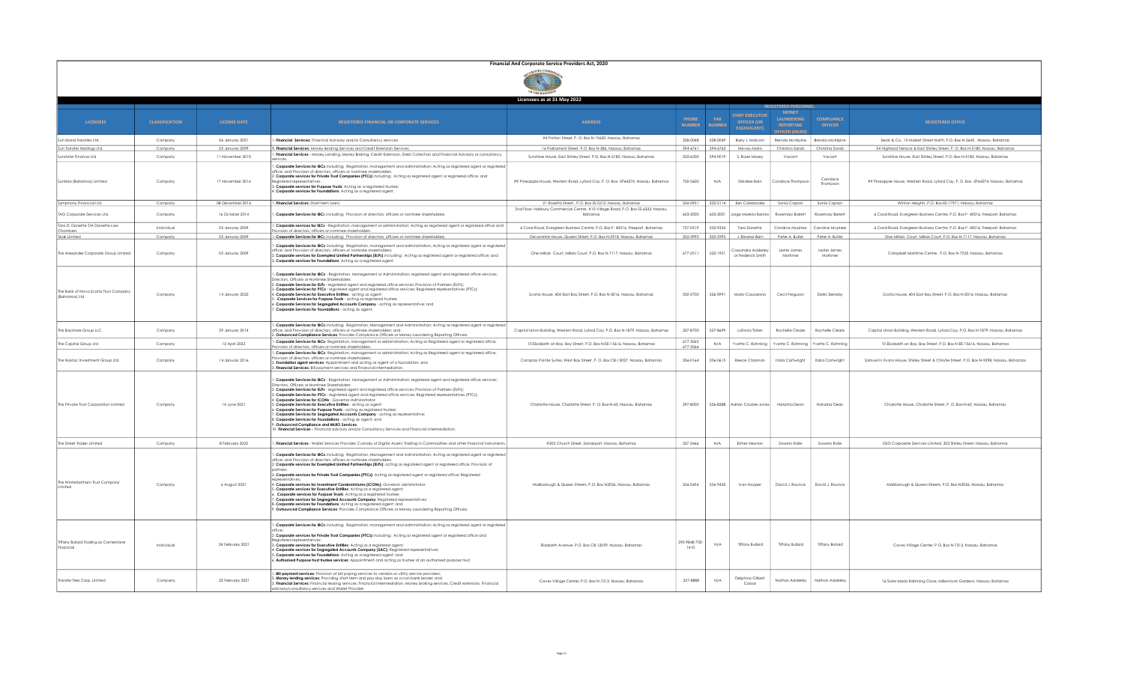| Financial And Corporate Service Providers Act, 2020 |  |
|-----------------------------------------------------|--|
| OF THE BAHAMAS                                      |  |

|                                                        |                       |                     |                                                                                                                                                                                                                                                                                                                                                                                                                                                                                                                                                                                                                                                                                                                                                                                                                                                                                                                                                                                     | Licensees as at 31 May 2022                                                                     |                               |                      |                                                                    |                                                                       |                                     |                                                                                           |  |  |
|--------------------------------------------------------|-----------------------|---------------------|-------------------------------------------------------------------------------------------------------------------------------------------------------------------------------------------------------------------------------------------------------------------------------------------------------------------------------------------------------------------------------------------------------------------------------------------------------------------------------------------------------------------------------------------------------------------------------------------------------------------------------------------------------------------------------------------------------------------------------------------------------------------------------------------------------------------------------------------------------------------------------------------------------------------------------------------------------------------------------------|-------------------------------------------------------------------------------------------------|-------------------------------|----------------------|--------------------------------------------------------------------|-----------------------------------------------------------------------|-------------------------------------|-------------------------------------------------------------------------------------------|--|--|
|                                                        |                       |                     |                                                                                                                                                                                                                                                                                                                                                                                                                                                                                                                                                                                                                                                                                                                                                                                                                                                                                                                                                                                     |                                                                                                 |                               |                      |                                                                    | <b>REGISTERED PERSON</b>                                              |                                     |                                                                                           |  |  |
| <b>LICENSEES</b>                                       | <b>CLASSIFICATION</b> | <b>LICENSE DATE</b> | REGISTERED FINANCIAL OR CORPORATE SERVICES                                                                                                                                                                                                                                                                                                                                                                                                                                                                                                                                                                                                                                                                                                                                                                                                                                                                                                                                          | <b>ADDRESS</b>                                                                                  | <b>PHONE</b><br><b>NUMBER</b> | FAX<br><b>NUMBER</b> | <b>CHIEF EXECUTIVE</b><br><b>OFFICER (OR</b><br><b>FOUIVALENTI</b> | <b>MONEY</b><br>LAUNDERING<br><b>REPORTING</b><br><b>FFICER (MLRO</b> | <b>COMPLIANCE</b><br><b>OFFICER</b> | <b>REGISTERED OFFICE</b>                                                                  |  |  |
| Sun Island Transfers Ltd.                              | Company               | 06 January 2021     | . Financial Services: Financial Advisory and/or Consultancy services.                                                                                                                                                                                                                                                                                                                                                                                                                                                                                                                                                                                                                                                                                                                                                                                                                                                                                                               | #4 Patton Street, P. O. Box N-10620, Nassau, Bahamas                                            | 328-0048                      | 328-0049             | Barry J. Malcom                                                    | Brenda McAlpine                                                       | Brenda McAlpine                     | Sears & Co., 10 Market Street North, P.O. Box N-3645 . Nassau, Bahamas                    |  |  |
| Sun Transfer Holdings Ltd                              | Company               | 05 January 2009     | I. Financial Services: Money lending Services and Credit Extension Services.                                                                                                                                                                                                                                                                                                                                                                                                                                                                                                                                                                                                                                                                                                                                                                                                                                                                                                        | 16 Parliament Street, P.O. Box N-386, Nassau, Bahamas                                           | 394-6761                      | 394-6763             | Harvey Morris                                                      | Christina Sands                                                       | Christina Sands                     | 34 Highland Terrace & East Shirley Street, P. O. Box N-3180, Nassau, Bahamas              |  |  |
| Sunshine Finance Ltd                                   | Company               | 11 November 2010    | Financial Services - Money Lending, Money Broking, Credit Extension, Debt Collection and Financial Advisory or consultancy                                                                                                                                                                                                                                                                                                                                                                                                                                                                                                                                                                                                                                                                                                                                                                                                                                                          | Sunshine House, East Shirley Street, P.O. Box N-3180, Nassau, Bahamas                           | 502-6500                      | 394-0019             | S. Rosel Moxey                                                     | Vacant                                                                | Vacant                              | Sunshine House, East Shirley Street, P.O. Box N-3180, Nassau, Bahamas                     |  |  |
| Suntera (Bahamas) Limited                              | Company               | 17 November 2016    | . Corporate Services for IBCs including: Registration, management and administration; Acting as registered agent or registered<br>office: and Provision of directors, officers or nominee shareholders<br>2. Corporate services for Private Trust Companies (PTCs) including: Acting as registered agent or registered office; and<br>Registered representatives<br>3. Corporate services for Purpose Trusts: Acting as a registered trustee;<br>4. Corporate services for Foundations: Acting as a registered agent.                                                                                                                                                                                                                                                                                                                                                                                                                                                               | #9 Pineapple House, Western Road, Lyford Cay, P. O. Box -SP64274, Nassau, Bahamas               | 702-5600                      | N/A                  | Deidree Bain                                                       | Candace Thompson                                                      | Candace<br>Thompson                 | #9 Pineapple House, Western Road, Lyford Cay, P. O. Box -SP64274, Nassau, Bahamas         |  |  |
| Symphony Financial Ltd.                                | Company               | 08 December 2016    | . Financial Services: Short-term loans.                                                                                                                                                                                                                                                                                                                                                                                                                                                                                                                                                                                                                                                                                                                                                                                                                                                                                                                                             | 21 Rosetta Street , P.O. Box SS-5212, Nassau, Bahamas                                           | 356-0951                      |                      | 322-2114 Een Colebrooke                                            | Sonia Capron                                                          | Sonia Capron                        | Winton Heights, P.O. Box EE-17971, Nassau, Bahamas                                        |  |  |
| TAG Corporate Services Ltd.                            | Company               | 16 October 2014     | . Corporate Services for IBCs including: Provision of directors, officers or nominee shareholders.                                                                                                                                                                                                                                                                                                                                                                                                                                                                                                                                                                                                                                                                                                                                                                                                                                                                                  | 2nd Floor, Halsbury Commercial Centre, #10 Village Road, P.O. Box \$\$-6333, Nassau,<br>Bahamas | 603-2000                      | 603-2001             | Jorge Moreira Barroy                                               | <b>Rosemary Barrett</b>                                               | Rosemary Barrett                    | 6 Coral Road, Evergreen Business Centre, P.O. Box F- 40016, Freeport, Bahamas             |  |  |
| Tara D. Dorsette T/A Dorsette Law                      | Individual            | 05 January 2009     | . Corporate services for IBCs - Registration, management or administration; Acting as registered agent or registered office and<br>ovision of directors, officers or nominee shareholders.                                                                                                                                                                                                                                                                                                                                                                                                                                                                                                                                                                                                                                                                                                                                                                                          | 6 Coral Road, Evergreen Business Centre, P.O. Box F- 40016, Freeport, Bahamas                   | 727-0519                      | 352-9334             | <b>Tara Dorsette</b>                                               | Candice Mcphee                                                        | Candice Mcphee                      | 6 Coral Road, Evergreen Business Centre, P.O. Box F- 40016, Freeport, Bahamas             |  |  |
| Chambers<br>Teak Limited                               | Company               | 05 January 2009     | . Corporate Services for IBCs including: Provision of directors, officers or nominee shareholders.                                                                                                                                                                                                                                                                                                                                                                                                                                                                                                                                                                                                                                                                                                                                                                                                                                                                                  | Devonshire House, Queen Street, P.O. Box N-3918, Nassau, Bahamas                                | 302-5990                      | 302-5995             | J. Eleanor Bair                                                    | Peter A. Butler                                                       | Peter A. Butler                     | One Millars Court, Millars Court, P.O. Box N-7117, Nassau, Bahamas                        |  |  |
| The Alexander Corporate Group Limited                  | Company               | 05 January 2009     | . Corporate Services for IBCs including: Registration, management and administration. Acting as registered gaent or registered<br>office: and Provision of directors, officers or nominee shareholders<br>. Corporate services for Exempted Limited Partnerships (ELPs) including: Acting as registered agent or registered office; and<br>. Corporate services for Foundations: Acting as a registered agent.                                                                                                                                                                                                                                                                                                                                                                                                                                                                                                                                                                      | One Millars Court, Millars Court, P.O. Box N-7117, Nassau, Bahamas                              | 677-2511                      | 322-1951             | Cassandra Adderley<br>or Frederick Smith                           | Lester James<br>Mortimer                                              | Lester James<br>Mortimer            | Campbell Maritime Centre . P.O. Box N-7535. Nassau. Bahamas                               |  |  |
| The Bank of Nova Scotia Trust Company<br>(Bahamas) Ltd | Company               | 14 January 2022     | . Corporate Services for IBCs - Registration, Management or Administration; registered agent and registered office services;<br>Directors, Officers or Nominee Shareholders<br>2. Corporate Services for ELPs - registered agent and registered office services; Provision of Partners (ELPs);<br>3. Corporate Services for PTCs - registered agent and registered office services; Registered representatives (PTCs);<br>4. Corporate Services for Executive Entities - acting as agent;<br>Corporate Services for Purpose Trusts - acting as registered trustee.<br>. Corporate Services for Segregated Accounts Company - acting as representative; and<br>. Corporate Services for Foundations - acting as agent.                                                                                                                                                                                                                                                               | Scotia House, 404 East Bay Street, P.O. Box N-3016, Nassau, Bahamas                             | 502-5700                      | 326-0991             | Mario Causarano                                                    | Cecil Ferguson                                                        | Delric Beneby                       | Scotia House, 404 East Bay Street, P.O. Box N-3016, Nassau, Bahamas                       |  |  |
| The Bayshore Group LLC                                 | Company               | 29 January 2014     | . Corporate Services for IBCs including: Registration, Management and Administration; Acting as registered agent or registered<br>office; and Provision of directors, officers or nominee shareholders; and<br>. Outsourced Compliance Services: Provides Compliance Officers or Money Laundering Reporting Officers.                                                                                                                                                                                                                                                                                                                                                                                                                                                                                                                                                                                                                                                               | Capital Union Building, Western Road, Lyford Cay, P.O. Box N-1879, Nassau, Bahamas              | 327-8700                      | 327-8699             | LaTonia Tinke                                                      | Rochelle Cleare                                                       | Rochelle Cleare                     | Capital Union Building, Western Road, Lyford Cay, P.O. Box N-1879, Nassau, Bahamas        |  |  |
| The Capital Group Ltd                                  | Company               | 12 April 2022       | Corporate Services for IBCs- Registration, management or administration; Acting as Registered agent or registered office;<br>ision of directors, officers or nominee shareholders.                                                                                                                                                                                                                                                                                                                                                                                                                                                                                                                                                                                                                                                                                                                                                                                                  | 10 Elizabeth on Bay, Bay Street, P.O. Box N-EE-15616, Nassau, Bahamas                           | 677-5265<br>677-5266          | N/A                  | Yvette C. Rahmina                                                  | (vette C. Rahmina                                                     | Yvette C. Rahmino                   | 10 Elizabeth on Bay, Bay Street, P.O. Box N-EE-15616, Nassau, Bahamas                     |  |  |
| The Nastac Investment Group Ltd.                       | Company               | 14 January 2016     | Corporate Services for IBCs- Registration, management or administration; Acting as Registered agent or registered office;<br>ovision of directors, officers or nominee shareholders<br>Foundation agent services: Appointment and acting as agent of a foundation; and<br>. Financial Services: Bill payment services and Financial intermediation.                                                                                                                                                                                                                                                                                                                                                                                                                                                                                                                                                                                                                                 | Compass Pointe Suites, West Bay Street, P. O. Box CB-13027, Nassau, Bahamas                     | 356-0164                      | 356-0615             | Reece Chipman                                                      | Italia Cartwright                                                     | Italia Cartwright                   | Samuel H. Evans House, Shirley Street & Christie Street, P.O. Box N-9298, Nassau, Bahamas |  |  |
| The Private Trust Corporation Limited                  | Company               | 14 June 2021        | . Corporate Services for IBCs - Registration, Management or Administration; registered agent and registered office services;<br>Directors, Officers or Nominee Shareholders<br>2. Corporate Services for ELPs - registered agent and registered office services; Provision of Partners (ELPs);<br>3. Corporate Services for PTCs - registered agent and registered office services; Registered representatives (PTCs);<br>1. Corporate Services for ICONs - Governor Administrator;<br>Corporate Services for Executive Entities - acting as agent<br>. Corporate Services for Purpose Trusts - acting as registered trustee;<br>Corporate Services for Segregated Accounts Company - acting as representative;<br>Corporate Services for Foundations - acting as agent; and<br>Outsourced Compliance and MLRO Services.<br>0. Financial Services - Financial advisory and/or Consultancy Services and Financial intermediation.                                                    | Charlotte House, Charlotte Street, P. O. Box-N-65, Nassau, Bahamas                              | 397-8000                      |                      | 326-8388 Adrian Crosbie-Jones                                      | Natasha Dean                                                          | Natasha Dean                        | Charlotte House, Charlotte Street, P. O. Box-N-65, Nassau, Bahamas                        |  |  |
| The Street Trader Limited                              | Company               | 8 February 2022     | . Financial Services - Wallet Services Provider; Custody of Digital Assets; Trading in Commodities and other financial instruments.                                                                                                                                                                                                                                                                                                                                                                                                                                                                                                                                                                                                                                                                                                                                                                                                                                                 | #205 Church Street, Sandyport, Nassau, Bahamas                                                  | 327-3466                      | N/A                  | Esther Newton                                                      | Soweto Rolle                                                          | Soweto Rolle                        | GSO Corporate Services Limited, 303 Shirley Street, Nassau, Bahamas                       |  |  |
| The Winterbotham Trust Company<br><b>Innited</b>       | Company               | 6 August 2021       | . Corporate Services for IBCs including: Registration, Management and Administration; Acting as registered agent or registered<br>office: and Provision of directors, officers or nominee shareholder<br>2. Corporate services for Exempted Limited Partnerships (ELPs): acting as registered agent or registered office; Provision of<br>3. Corporate services for Private Trust Companies (PTCs): Acting as registered agent or registered office; Registered<br>4. Corporate services for Investment Condominiums (ICONs): Governor administrator<br>Corporate services for Executive Entities: Acting as a registered agent;<br>Corporate services for Purpose Trusts: Acting as a registered trustee;<br>Corporate services for Segregated Accounts Company: Registered representatives;<br>3. Corporate services for Foundations: Acting as a registered agent; and<br>. Outsourced Compliance Services: Provides Compliance Officers or Money Laundering Reporting Officers. | Marlborough & Queen Streets, P.O. Box N3026, Nassau, Bahamas                                    | 356-5454                      | 356-9432             | Ivan Hooper                                                        | David J. Rounce                                                       | David J. Rounce                     | Marlborough & Queen Streets, P.O. Box N3026, Nassau, Bahamas                              |  |  |
| Tiffany Bullard Trading as Cornerstone<br>Financial    | Individual            | 24 February 2021    | . Corporate Services for IBCs including: Registration, management and administration; Acting as registered agent or registered  <br>2. Corporate services for Private Trust Companies (PTCs) including: Acting as registered agent or registered office and<br>Reaistered representative<br>3. Corporate services for Executive Entitles: Actina as a reaistered agent:<br>4. <b>Corporate services for Segregated Accounts Company (SAC)</b> : Registered representatives;<br>5. <b>Corporate services for Foundations</b> : Acting as a registered agent; and<br>5. Authorised Purpose trust trustee services: Appointment and acting as trustee of an authorised purpose trust.                                                                                                                                                                                                                                                                                                  | Elizabeth Avenue, P.O. Box CB-12059, Nassau. Bahamas                                            | 395-9848 702-<br>1410         | N/A                  | <b>Tiffany Bullard</b>                                             | <b>Tiffany Bullard</b>                                                | <b>Tiffany Bullard</b>              | Caves Village Center, P.O. Box N-7313. Nassau, Bahamas                                    |  |  |
| Transfer Tree Corp. Limited                            | Company               | 23 February 2021    | . Bill payment services: Provision of bill paying services to vendors or utility service providers;<br>. Money lending services: Providing short-term and pay-day loans as a non-bank lender; and<br>3. Financial Services: Financial leasing services, Financial intermediation, Money broking services, Credit extension, Financial<br>advisory/consultancy services and Wallet Provider.                                                                                                                                                                                                                                                                                                                                                                                                                                                                                                                                                                                         | Caves Village Center, P.O. Box N-7313, Nassau, Bahamas                                          | 327-8888                      | N/A                  | Delphino Gilbert<br>Cassar                                         | Nathan Adderley                                                       | Nathan Adderley                     | 16 Sister Maria Rahming Close, Millennium Gardens, Nassau, Bahamas                        |  |  |